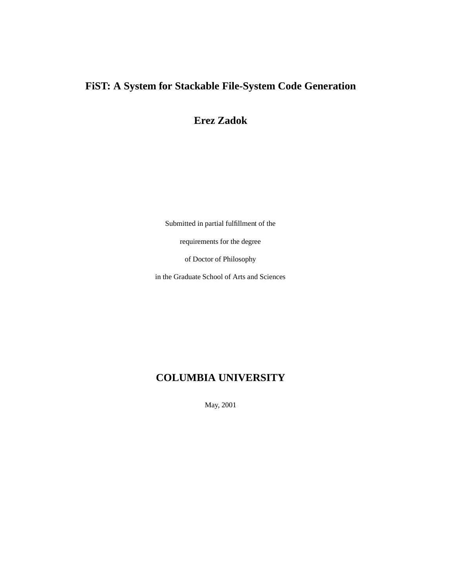## **FiST: A System for Stackable File-System Code Generation**

**Erez Zadok**

Submitted in partial fulfillment of the

requirements for the degree

of Doctor of Philosophy

in the Graduate School of Arts and Sciences

## **COLUMBIA UNIVERSITY**

May, 2001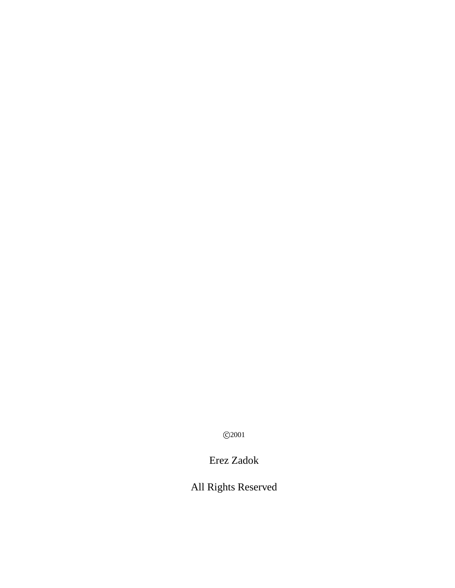c 2001

Erez Zadok

All Rights Reserved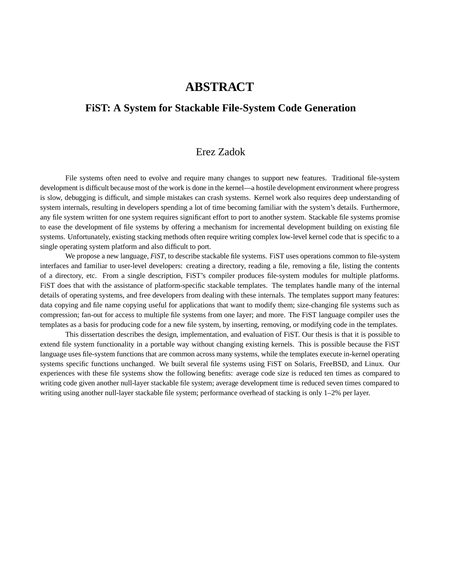## **ABSTRACT**

### **FiST: A System for Stackable File-System Code Generation**

## Erez Zadok

File systems often need to evolve and require many changes to support new features. Traditional file-system development is difficult because most of the work is done in the kernel—a hostile development environment where progress is slow, debugging is difficult, and simple mistakes can crash systems. Kernel work also requires deep understanding of system internals, resulting in developers spending a lot of time becoming familiar with the system's details. Furthermore, any file system written for one system requires significant effort to port to another system. Stackable file systems promise to ease the development of file systems by offering a mechanism for incremental development building on existing file systems. Unfortunately, existing stacking methods often require writing complex low-level kernel code that is specific to a single operating system platform and also difficult to port.

We propose a new language, *FiST*, to describe stackable file systems. FiST uses operations common to file-system interfaces and familiar to user-level developers: creating a directory, reading a file, removing a file, listing the contents of a directory, etc. From a single description, FiST's compiler produces file-system modules for multiple platforms. FiST does that with the assistance of platform-specific stackable templates. The templates handle many of the internal details of operating systems, and free developers from dealing with these internals. The templates support many features: data copying and file name copying useful for applications that want to modify them; size-changing file systems such as compression; fan-out for access to multiple file systems from one layer; and more. The FiST language compiler uses the templates as a basis for producing code for a new file system, by inserting, removing, or modifying code in the templates.

This dissertation describes the design, implementation, and evaluation of FiST. Our thesis is that it is possible to extend file system functionality in a portable way without changing existing kernels. This is possible because the FiST language uses file-system functions that are common across many systems, while the templates execute in-kernel operating systems specific functions unchanged. We built several file systems using FiST on Solaris, FreeBSD, and Linux. Our experiences with these file systems show the following benefits: average code size is reduced ten times as compared to writing code given another null-layer stackable file system; average development time is reduced seven times compared to writing using another null-layer stackable file system; performance overhead of stacking is only 1–2% per layer.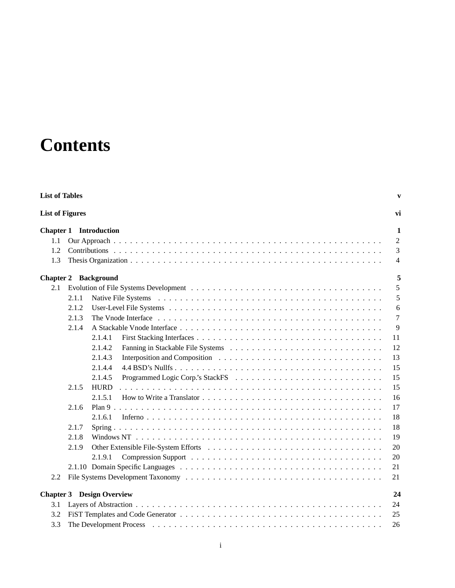# **Contents**

| <b>List of Tables</b> |                        |                                                                                                                                                             |                |  |  |  |  |
|-----------------------|------------------------|-------------------------------------------------------------------------------------------------------------------------------------------------------------|----------------|--|--|--|--|
|                       | <b>List of Figures</b> |                                                                                                                                                             |                |  |  |  |  |
|                       |                        | <b>Chapter 1</b> Introduction                                                                                                                               | 1              |  |  |  |  |
| 1.1                   |                        |                                                                                                                                                             | $\overline{2}$ |  |  |  |  |
| 1.2                   |                        |                                                                                                                                                             | 3              |  |  |  |  |
| 1.3                   |                        |                                                                                                                                                             | $\overline{4}$ |  |  |  |  |
|                       |                        | <b>Chapter 2 Background</b>                                                                                                                                 | 5              |  |  |  |  |
| 2.1                   |                        |                                                                                                                                                             | 5              |  |  |  |  |
|                       | 2.1.1                  |                                                                                                                                                             | 5              |  |  |  |  |
|                       | 2.1.2                  |                                                                                                                                                             | 6              |  |  |  |  |
|                       | 2.1.3                  |                                                                                                                                                             | $\overline{7}$ |  |  |  |  |
|                       | 2.1.4                  |                                                                                                                                                             | 9              |  |  |  |  |
|                       |                        | 2.1.4.1                                                                                                                                                     | 11             |  |  |  |  |
|                       |                        | 2.1.4.2                                                                                                                                                     | 12             |  |  |  |  |
|                       |                        | 2.1.4.3                                                                                                                                                     | 13             |  |  |  |  |
|                       |                        | 2.1.4.4                                                                                                                                                     | 15             |  |  |  |  |
|                       |                        | 2.1.4.5                                                                                                                                                     | 15             |  |  |  |  |
|                       | 2.1.5                  | <b>HURD</b>                                                                                                                                                 | 15             |  |  |  |  |
|                       |                        | 2.1.5.1<br>How to Write a Translator $\ldots$ , $\ldots$ , $\ldots$ , $\ldots$ , $\ldots$ , $\ldots$ , $\ldots$ , $\ldots$ , $\ldots$ , $\ldots$ , $\ldots$ | 16             |  |  |  |  |
|                       | 2.1.6                  |                                                                                                                                                             | 17             |  |  |  |  |
|                       |                        | 2.1.6.1                                                                                                                                                     | 18             |  |  |  |  |
|                       | 2.1.7                  |                                                                                                                                                             | 18             |  |  |  |  |
|                       | 2.1.8                  |                                                                                                                                                             | 19             |  |  |  |  |
|                       | 2.1.9                  |                                                                                                                                                             | 20             |  |  |  |  |
|                       |                        | 2.1.9.1                                                                                                                                                     | 20             |  |  |  |  |
|                       |                        |                                                                                                                                                             | 21             |  |  |  |  |
| 2.2                   |                        |                                                                                                                                                             | 21             |  |  |  |  |
|                       |                        | <b>Chapter 3</b> Design Overview                                                                                                                            | 24             |  |  |  |  |
| 3.1                   |                        |                                                                                                                                                             | 24             |  |  |  |  |
| 3.2                   |                        |                                                                                                                                                             | 25             |  |  |  |  |
| 3.3                   |                        |                                                                                                                                                             | 26             |  |  |  |  |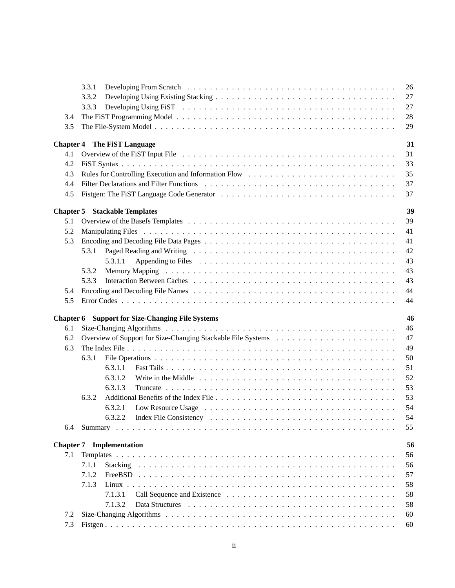|            | 3.3.1                                                   | 26       |
|------------|---------------------------------------------------------|----------|
|            | 3.3.2                                                   | 27       |
|            | 3.3.3                                                   | 27       |
| 3.4        |                                                         | 28       |
| 3.5        |                                                         | 29       |
|            |                                                         |          |
|            | <b>Chapter 4 The FiST Language</b>                      | 31       |
| 4.1        |                                                         | 31       |
| 4.2        |                                                         | 33       |
| 4.3        |                                                         | 35       |
| 4.4        |                                                         | 37       |
| 4.5        |                                                         | 37       |
|            |                                                         |          |
|            | <b>Chapter 5 Stackable Templates</b>                    | 39       |
| 5.1        |                                                         | 39       |
| 5.2        |                                                         | 41       |
| 5.3        |                                                         | 41       |
|            | 5.3.1                                                   | 42       |
|            | 5.3.1.1                                                 | 43       |
|            | 5.3.2                                                   | 43       |
|            | 5.3.3                                                   | 43       |
| 5.4        |                                                         | 44       |
| 5.5        |                                                         | 44       |
|            |                                                         |          |
|            | <b>Chapter 6</b> Support for Size-Changing File Systems | 46       |
| 6.1        |                                                         | 46       |
| 6.2        |                                                         | 47       |
| 6.3        |                                                         | 49       |
|            | 6.3.1                                                   | 50       |
|            | 6.3.1.1                                                 | 51       |
|            | 6.3.1.2                                                 | 52       |
|            | 6.3.1.3                                                 | 53       |
|            | 6.3.2                                                   | 53       |
|            | 6.3.2.1                                                 | 54       |
|            |                                                         |          |
|            |                                                         | 54       |
| 6.4        |                                                         | 55       |
|            | <b>Chapter 7</b> Implementation                         | 56       |
| 7.1        |                                                         | 56       |
|            | 7.1.1                                                   | 56       |
|            | 7.1.2                                                   | 57       |
|            |                                                         | 58       |
|            |                                                         |          |
|            | 7.1.3                                                   |          |
|            | 7.1.3.1                                                 | 58       |
|            | 7.1.3.2                                                 | 58       |
| 7.2<br>7.3 |                                                         | 60<br>60 |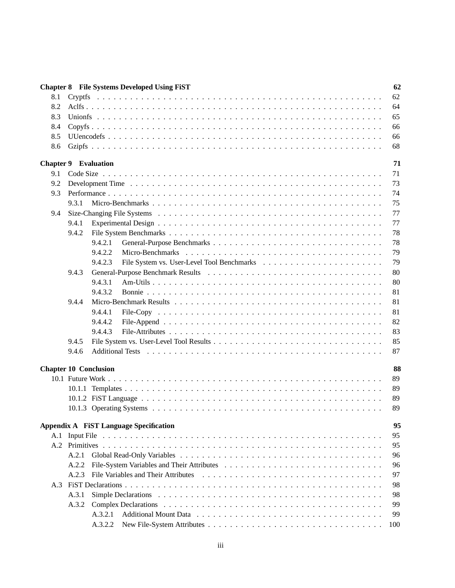|     | <b>Chapter 8</b> File Systems Developed Using FiST | 62  |
|-----|----------------------------------------------------|-----|
| 8.1 |                                                    | 62  |
| 8.2 |                                                    | 64  |
| 8.3 |                                                    | 65  |
| 8.4 |                                                    | 66  |
| 8.5 |                                                    | 66  |
| 8.6 |                                                    | 68  |
|     | <b>Chapter 9 Evaluation</b>                        | 71  |
| 9.1 |                                                    | 71  |
| 9.2 |                                                    | 73  |
| 9.3 |                                                    | 74  |
|     | 9.3.1                                              | 75  |
| 9.4 |                                                    | 77  |
|     | 9.4.1                                              | 77  |
|     | 9.4.2                                              | 78  |
|     | 9.4.2.1                                            | 78  |
|     | 9.4.2.2                                            | 79  |
|     | 9.4.2.3                                            | 79  |
|     | 9.4.3                                              | 80  |
|     | 9.4.3.1                                            | 80  |
|     | 9.4.3.2                                            | 81  |
|     | 9.4.4                                              | 81  |
|     | 9.4.4.1                                            | 81  |
|     | 9.4.4.2                                            | 82  |
|     | 9.4.4.3                                            | 83  |
|     | 9.4.5                                              | 85  |
|     | 9.4.6                                              | 87  |
|     |                                                    |     |
|     | <b>Chapter 10 Conclusion</b>                       | 88  |
|     |                                                    | 89  |
|     |                                                    | 89  |
|     |                                                    | 89  |
|     |                                                    | 89  |
|     | <b>Appendix A FiST Language Specification</b>      | 95  |
|     |                                                    | 95  |
|     |                                                    | 95  |
|     | A.2.1                                              | 96  |
|     | A.2.2                                              | 96  |
|     | A.2.3                                              | 97  |
|     |                                                    | 98  |
|     | A.3.1                                              | 98  |
|     | A.3.2                                              | 99  |
|     | A.3.2.1                                            | 99  |
|     | A.3.2.2                                            | 100 |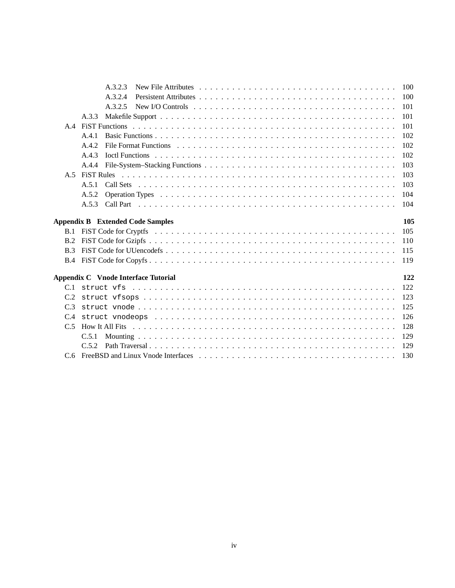|            | A.3.2.3                                                                                                                       | 100 |
|------------|-------------------------------------------------------------------------------------------------------------------------------|-----|
|            | A.3.2.4                                                                                                                       | 100 |
|            | New I/O Controls $\dots \dots \dots \dots \dots \dots \dots \dots \dots \dots \dots \dots \dots \dots \dots \dots$<br>A.3.2.5 | 101 |
|            | A.3.3                                                                                                                         | 101 |
| A.4        |                                                                                                                               | 101 |
|            | A.4.1                                                                                                                         | 102 |
|            | A.4.2                                                                                                                         | 102 |
|            | A.4.3                                                                                                                         | 102 |
|            | A.4.4                                                                                                                         | 103 |
|            |                                                                                                                               | 103 |
|            | A.5.1                                                                                                                         | 103 |
|            | A.5.2                                                                                                                         | 104 |
|            | A.5.3                                                                                                                         | 104 |
|            |                                                                                                                               |     |
|            | <b>Appendix B</b> Extended Code Samples                                                                                       | 105 |
| B.1        |                                                                                                                               | 105 |
| B.2        |                                                                                                                               | 110 |
| B.3        |                                                                                                                               | 115 |
| <b>B.4</b> |                                                                                                                               | 119 |
|            |                                                                                                                               |     |
|            | Appendix C Vnode Interface Tutorial                                                                                           | 122 |
|            |                                                                                                                               | 122 |
|            |                                                                                                                               | 123 |
| C.3        |                                                                                                                               | 125 |
|            |                                                                                                                               |     |
|            |                                                                                                                               | 126 |
| C.5        |                                                                                                                               | 128 |
|            | C.5.1                                                                                                                         | 129 |
|            | C.5.2                                                                                                                         | 129 |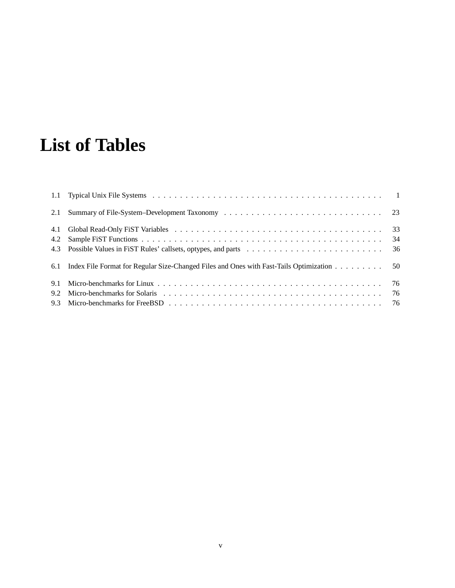# **List of Tables**

|     | 6.1 Index File Format for Regular Size-Changed Files and Ones with Fast-Tails Optimization 50                                                                                                                                  |  |
|-----|--------------------------------------------------------------------------------------------------------------------------------------------------------------------------------------------------------------------------------|--|
| 9.1 |                                                                                                                                                                                                                                |  |
| 9.2 | Micro-benchmarks for Solaris (a) contained a series of the series of the Solaris (b) and the series of the series of the series of the series of the series of the series of the series of the series of the series of the ser |  |
|     |                                                                                                                                                                                                                                |  |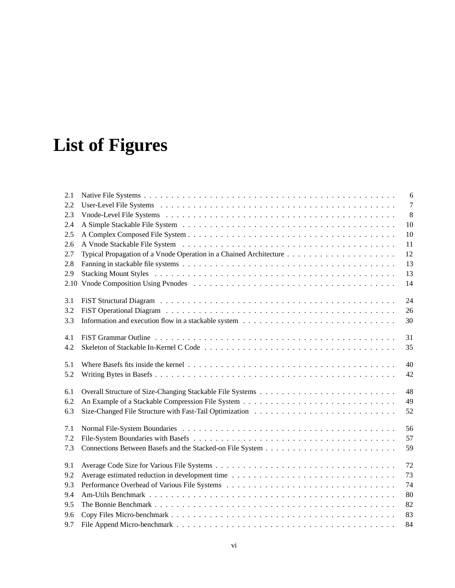# **List of Figures**

| 2.1 | 6              |
|-----|----------------|
| 2.2 | $\overline{7}$ |
| 2.3 | 8              |
| 2.4 | 10             |
| 2.5 | 10             |
| 2.6 | 11             |
| 2.7 | 12             |
| 2.8 | 13             |
| 2.9 | 13             |
|     | 14             |
| 3.1 | 24             |
| 3.2 | 26             |
| 3.3 | 30             |
| 4.1 | 31             |
| 4.2 | 35             |
| 5.1 | 40             |
| 5.2 | 42             |
| 6.1 | 48             |
| 6.2 | 49             |
| 6.3 | 52             |
| 7.1 | 56             |
| 7.2 | 57             |
| 7.3 | 59             |
| 9.1 | 72             |
| 9.2 | 73             |
| 9.3 | 74             |
| 9.4 | 80             |
| 9.5 | 82             |
| 9.6 | 83             |
| 9.7 | 84             |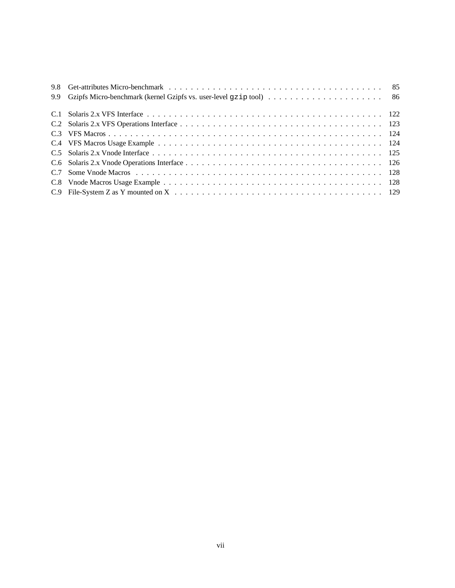| 9.9 |  |
|-----|--|
|     |  |
|     |  |
|     |  |
|     |  |
|     |  |
|     |  |
|     |  |
|     |  |
|     |  |
|     |  |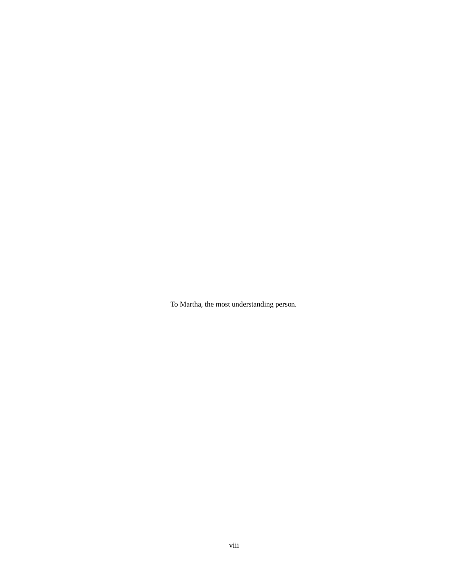To Martha, the most understanding person.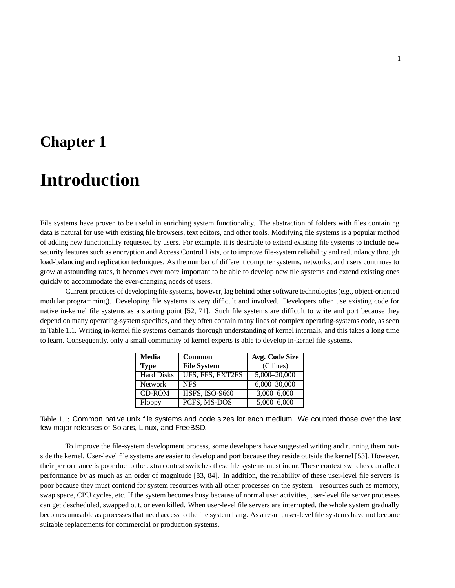## **Chapter 1**

# **Introduction**

File systems have proven to be useful in enriching system functionality. The abstraction of folders with files containing data is natural for use with existing file browsers, text editors, and other tools. Modifying file systems is a popular method of adding new functionality requested by users. For example, it is desirable to extend existing file systems to include new security features such as encryption and Access Control Lists, or to improve file-system reliability and redundancy through load-balancing and replication techniques. As the number of different computer systems, networks, and users continues to grow at astounding rates, it becomes ever more important to be able to develop new file systems and extend existing ones quickly to accommodate the ever-changing needs of users.

Current practices of developing file systems, however, lag behind other software technologies(e.g., object-oriented modular programming). Developing file systems is very difficult and involved. Developers often use existing code for native in-kernel file systems as a starting point [52, 71]. Such file systems are difficult to write and port because they depend on many operating-system specifics, and they often contain many lines of complex operating-systems code, as seen in Table 1.1. Writing in-kernel file systems demands thorough understanding of kernel internals, and this takes a long time to learn. Consequently, only a small community of kernel experts is able to develop in-kernel file systems.

| Media             | <b>Common</b>         | Avg. Code Size   |  |  |
|-------------------|-----------------------|------------------|--|--|
| <b>Type</b>       | <b>File System</b>    | (C lines)        |  |  |
| <b>Hard Disks</b> | UFS, FFS, EXT2FS      | 5,000-20,000     |  |  |
| <b>Network</b>    | <b>NFS</b>            | $6,000 - 30,000$ |  |  |
| <b>CD-ROM</b>     | <b>HSFS, ISO-9660</b> | $3,000 - 6,000$  |  |  |
| Floppy            | PCFS, MS-DOS          | 5,000-6,000      |  |  |

Table 1.1: Common native unix file systems and code sizes for each medium. We counted those over the last few major releases of Solaris, Linux, and FreeBSD.

To improve the file-system development process, some developers have suggested writing and running them outside the kernel. User-level file systems are easier to develop and port because they reside outside the kernel [53]. However, their performance is poor due to the extra context switches these file systems must incur. These context switches can affect performance by as much as an order of magnitude [83, 84]. In addition, the reliability of these user-level file servers is poor because they must contend for system resources with all other processes on the system—resources such as memory, swap space, CPU cycles, etc. If the system becomes busy because of normal user activities, user-level file server processes can get descheduled, swapped out, or even killed. When user-level file servers are interrupted, the whole system gradually becomes unusable as processes that need access to the file system hang. As a result, user-level file systems have not become suitable replacements for commercial or production systems.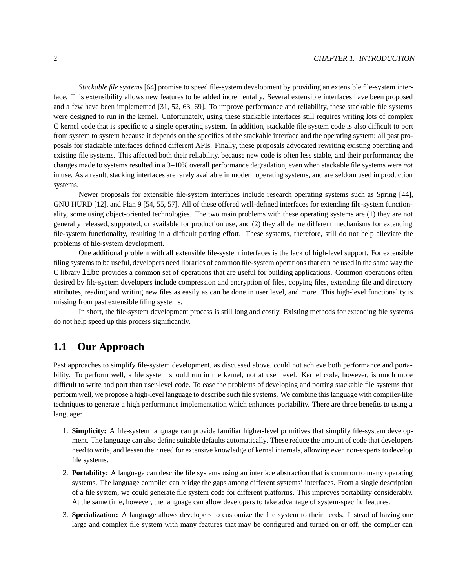*Stackable file systems* [64] promise to speed file-system development by providing an extensible file-system interface. This extensibility allows new features to be added incrementally. Several extensible interfaces have been proposed and a few have been implemented [31, 52, 63, 69]. To improve performance and reliability, these stackable file systems were designed to run in the kernel. Unfortunately, using these stackable interfaces still requires writing lots of complex C kernel code that is specific to a single operating system. In addition, stackable file system code is also difficult to port from system to system because it depends on the specifics of the stackable interface and the operating system: all past proposals for stackable interfaces defined different APIs. Finally, these proposals advocated rewriting existing operating and existing file systems. This affected both their reliability, because new code is often less stable, and their performance; the changes made to systems resulted in a 3–10% overall performance degradation, even when stackable file systems were *not* in use. As a result, stacking interfaces are rarely available in modern operating systems, and are seldom used in production systems.

Newer proposals for extensible file-system interfaces include research operating systems such as Spring [44], GNU HURD [12], and Plan 9 [54, 55, 57]. All of these offered well-defined interfaces for extending file-system functionality, some using object-oriented technologies. The two main problems with these operating systems are (1) they are not generally released, supported, or available for production use, and (2) they all define different mechanisms for extending file-system functionality, resulting in a difficult porting effort. These systems, therefore, still do not help alleviate the problems of file-system development.

One additional problem with all extensible file-system interfaces is the lack of high-level support. For extensible filing systems to be useful, developers need libraries of common file-system operations that can be used in the same way the C library libc provides a common set of operations that are useful for building applications. Common operations often desired by file-system developers include compression and encryption of files, copying files, extending file and directory attributes, reading and writing new files as easily as can be done in user level, and more. This high-level functionality is missing from past extensible filing systems.

In short, the file-system development process is still long and costly. Existing methods for extending file systems do not help speed up this process significantly.

## **1.1 Our Approach**

Past approaches to simplify file-system development, as discussed above, could not achieve both performance and portability. To perform well, a file system should run in the kernel, not at user level. Kernel code, however, is much more difficult to write and port than user-level code. To ease the problems of developing and porting stackable file systems that perform well, we propose a high-level language to describe such file systems. We combine this language with compiler-like techniques to generate a high performance implementation which enhances portability. There are three benefits to using a language:

- 1. **Simplicity:** A file-system language can provide familiar higher-level primitives that simplify file-system development. The language can also define suitable defaults automatically. These reduce the amount of code that developers need to write, and lessen their need for extensive knowledge of kernel internals, allowing even non-experts to develop file systems.
- 2. **Portability:** A language can describe file systems using an interface abstraction that is common to many operating systems. The language compiler can bridge the gaps among different systems' interfaces. From a single description of a file system, we could generate file system code for different platforms. This improves portability considerably. At the same time, however, the language can allow developers to take advantage of system-specific features.
- 3. **Specialization:** A language allows developers to customize the file system to their needs. Instead of having one large and complex file system with many features that may be configured and turned on or off, the compiler can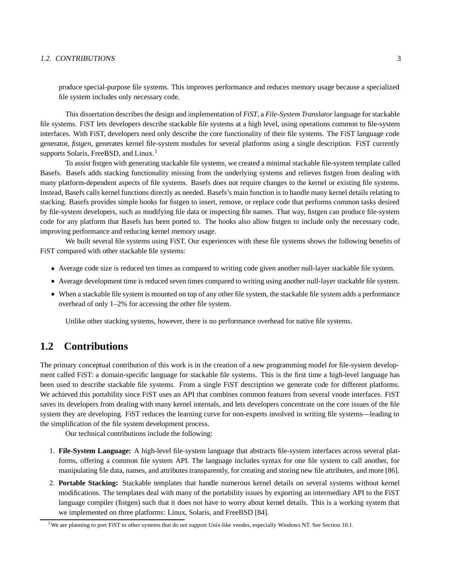#### 1.2. CONTRIBUTIONS 3

produce special-purpose file systems. This improves performance and reduces memory usage because a specialized file system includes only necessary code.

This dissertation describesthe design and implementation of *FiST*, a *File-System Translator*language forstackable file systems. FiST lets developers describe stackable file systems at a high level, using operations common to file-system interfaces. With FiST, developers need only describe the core functionality of their file systems. The FiST language code generator, *fistgen*, generates kernel file-system modules for several platforms using a single description. FiST currently supports Solaris, FreeBSD, and Linux.<sup>1</sup>

To assist fistgen with generating stackable file systems, we created a minimal stackable file-system template called Basefs. Basefs adds stacking functionality missing from the underlying systems and relieves fistgen from dealing with many platform-dependent aspects of file systems. Basefs does not require changes to the kernel or existing file systems. Instead, Basefs calls kernel functions directly as needed. Basefs's main function is to handle many kernel details relating to stacking. Basefs provides simple hooks for fistgen to insert, remove, or replace code that performs common tasks desired by file-system developers, such as modifying file data or inspecting file names. That way, fistgen can produce file-system code for any platform that Basefs has been ported to. The hooks also allow fistgen to include only the necessary code, improving performance and reducing kernel memory usage.

We built several file systems using FiST. Our experiences with these file systems shows the following benefits of FiST compared with other stackable file systems:

- Average code size is reduced ten times as compared to writing code given another null-layer stackable file system.
- Average development time is reduced seven times compared to writing using another null-layerstackable file system.
- When a stackable file system is mounted on top of any other file system, the stackable file system adds a performance overhead of only 1–2% for accessing the other file system.

Unlike other stacking systems, however, there is no performance overhead for native file systems.

### **1.2 Contributions**

The primary conceptual contribution of this work is in the creation of a new programming model for file-system development called FiST: a domain-specific language for stackable file systems. This is the first time a high-level language has been used to describe stackable file systems. From a single FiST description we generate code for different platforms. We achieved this portability since FiST uses an API that combines common features from several vnode interfaces. FiST saves its developers from dealing with many kernel internals, and lets developers concentrate on the core issues of the file system they are developing. FiST reduces the learning curve for non-experts involved in writing file systems—leading to the simplification of the file system development process.

Our technical contributions include the following:

- 1. **File-System Language:** A high-level file-system language that abstracts file-system interfaces across several platforms, offering a common file system API. The language includes syntax for one file system to call another, for manipulating file data, names, and attributes transparently, for creating and storing new file attributes, and more [86].
- 2. **Portable Stacking:** Stackable templates that handle numerous kernel details on several systems without kernel modifications. The templates deal with many of the portability issues by exporting an intermediary API to the FiST language compiler (fistgen) such that it does not have to worry about kernel details. This is a working system that we implemented on three platforms: Linux, Solaris, and FreeBSD [84].

<sup>&</sup>lt;sup>1</sup>We are planning to port FiST to other systems that do not support Unix-like vnodes, especially Windows NT. See Section 10.1.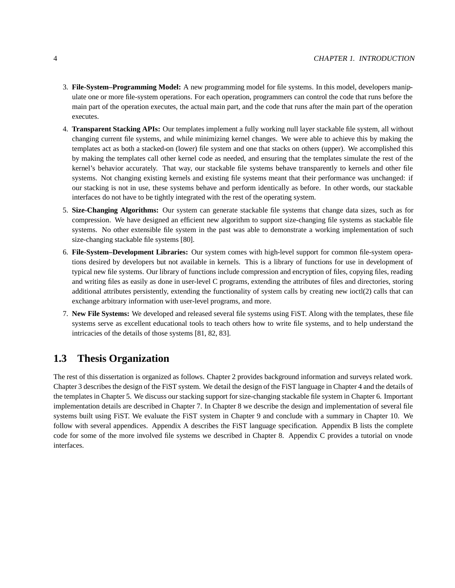- 3. **File-System–Programming Model:** A new programming model for file systems. In this model, developers manipulate one or more file-system operations. For each operation, programmers can control the code that runs before the main part of the operation executes, the actual main part, and the code that runs after the main part of the operation executes.
- 4. **Transparent Stacking APIs:** Our templates implement a fully working null layer stackable file system, all without changing current file systems, and while minimizing kernel changes. We were able to achieve this by making the templates act as both a stacked-on (lower) file system and one that stacks on others (upper). We accomplished this by making the templates call other kernel code as needed, and ensuring that the templates simulate the rest of the kernel's behavior accurately. That way, our stackable file systems behave transparently to kernels and other file systems. Not changing existing kernels and existing file systems meant that their performance was unchanged: if our stacking is not in use, these systems behave and perform identically as before. In other words, our stackable interfaces do not have to be tightly integrated with the rest of the operating system.
- 5. **Size-Changing Algorithms:** Our system can generate stackable file systems that change data sizes, such as for compression. We have designed an efficient new algorithm to support size-changing file systems as stackable file systems. No other extensible file system in the past was able to demonstrate a working implementation of such size-changing stackable file systems [80].
- 6. **File-System–Development Libraries:** Our system comes with high-level support for common file-system operations desired by developers but not available in kernels. This is a library of functions for use in development of typical new file systems. Our library of functions include compression and encryption of files, copying files, reading and writing files as easily as done in user-level C programs, extending the attributes of files and directories, storing additional attributes persistently, extending the functionality of system calls by creating new ioctl(2) calls that can exchange arbitrary information with user-level programs, and more.
- 7. **New File Systems:** We developed and released several file systems using FiST. Along with the templates, these file systems serve as excellent educational tools to teach others how to write file systems, and to help understand the intricacies of the details of those systems [81, 82, 83].

## **1.3 Thesis Organization**

The rest of this dissertation is organized as follows. Chapter 2 provides background information and surveys related work. Chapter 3 describes the design of the FiST system. We detail the design of the FiST language in Chapter 4 and the details of the templates in Chapter 5. We discuss ourstacking support forsize-changing stackable file system in Chapter 6. Important implementation details are described in Chapter 7. In Chapter 8 we describe the design and implementation of several file systems built using FiST. We evaluate the FiST system in Chapter 9 and conclude with a summary in Chapter 10. We follow with several appendices. Appendix A describes the FiST language specification. Appendix B lists the complete code for some of the more involved file systems we described in Chapter 8. Appendix C provides a tutorial on vnode interfaces.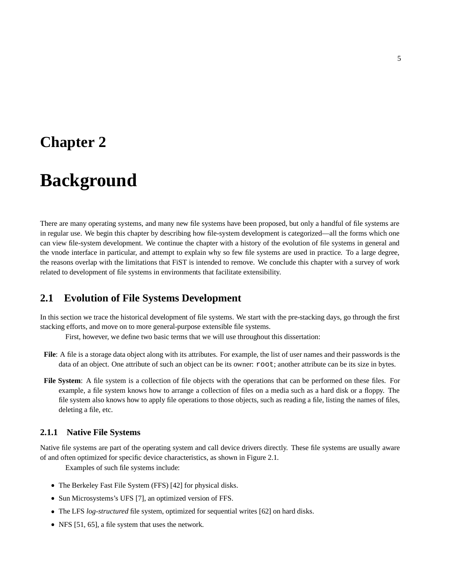## **Chapter 2**

# **Background**

There are many operating systems, and many new file systems have been proposed, but only a handful of file systems are in regular use. We begin this chapter by describing how file-system development is categorized—all the forms which one can view file-system development. We continue the chapter with a history of the evolution of file systems in general and the vnode interface in particular, and attempt to explain why so few file systems are used in practice. To a large degree, the reasons overlap with the limitations that FiST is intended to remove. We conclude this chapter with a survey of work related to development of file systems in environments that facilitate extensibility.

### **2.1 Evolution of File Systems Development**

In this section we trace the historical development of file systems. We start with the pre-stacking days, go through the first stacking efforts, and move on to more general-purpose extensible file systems.

First, however, we define two basic terms that we will use throughout this dissertation:

- **File**: A file is a storage data object along with its attributes. For example, the list of user names and their passwords is the data of an object. One attribute of such an object can be its owner: root; another attribute can be its size in bytes.
- **File System**: A file system is a collection of file objects with the operations that can be performed on these files. For example, a file system knows how to arrange a collection of files on a media such as a hard disk or a floppy. The file system also knows how to apply file operations to those objects, such as reading a file, listing the names of files, deleting a file, etc.

### **2.1.1 Native File Systems**

Native file systems are part of the operating system and call device drivers directly. These file systems are usually aware of and often optimized for specific device characteristics, as shown in Figure 2.1.

Examples of such file systems include:

- The Berkeley Fast File System (FFS) [42] for physical disks.
- Sun Microsystems's UFS [7], an optimized version of FFS.
- The LFS *log-structured* file system, optimized for sequential writes [62] on hard disks.
- NFS [51, 65], a file system that uses the network.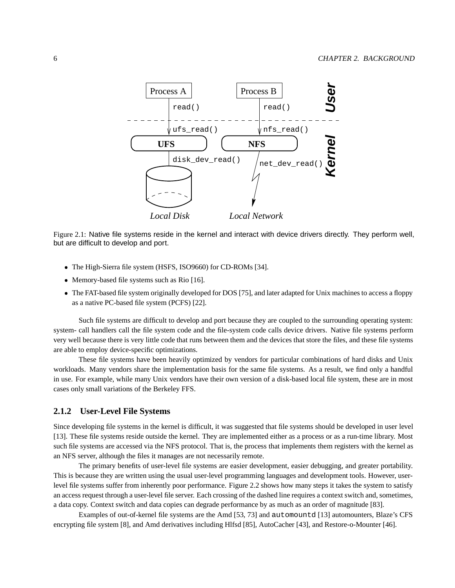

Figure 2.1: Native file systems reside in the kernel and interact with device drivers directly. They perform well, but are difficult to develop and port.

- The High-Sierra file system (HSFS, ISO9660) for CD-ROMs [34].
- Memory-based file systems such as Rio [16].
- The FAT-based file system originally developed for DOS [75], and later adapted for Unix machines to access a floppy as a native PC-based file system (PCFS) [22].

Such file systems are difficult to develop and port because they are coupled to the surrounding operating system: system- call handlers call the file system code and the file-system code calls device drivers. Native file systems perform very well because there is very little code that runs between them and the devices that store the files, and these file systems are able to employ device-specific optimizations.

These file systems have been heavily optimized by vendors for particular combinations of hard disks and Unix workloads. Many vendors share the implementation basis for the same file systems. As a result, we find only a handful in use. For example, while many Unix vendors have their own version of a disk-based local file system, these are in most cases only small variations of the Berkeley FFS.

#### **2.1.2 User-Level File Systems**

Since developing file systems in the kernel is difficult, it was suggested that file systems should be developed in user level [13]. These file systems reside outside the kernel. They are implemented either as a process or as a run-time library. Most such file systems are accessed via the NFS protocol. That is, the process that implements them registers with the kernel as an NFS server, although the files it manages are not necessarily remote.

The primary benefits of user-level file systems are easier development, easier debugging, and greater portability. This is because they are written using the usual user-level programming languages and development tools. However, userlevel file systems suffer from inherently poor performance. Figure 2.2 shows how many steps it takes the system to satisfy an access request through a user-level file server. Each crossing of the dashed line requires a context switch and,sometimes, a data copy. Context switch and data copies can degrade performance by as much as an order of magnitude [83].

Examples of out-of-kernel file systems are the Amd [53, 73] and automountd [13] automounters, Blaze's CFS encrypting file system [8], and Amd derivatives including Hlfsd [85], AutoCacher [43], and Restore-o-Mounter [46].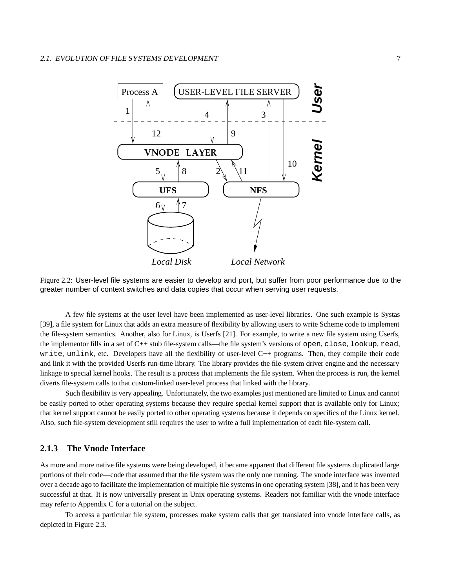

Figure 2.2: User-level file systems are easier to develop and port, but suffer from poor performance due to the greater number of context switches and data copies that occur when serving user requests.

A few file systems at the user level have been implemented as user-level libraries. One such example is Systas [39], a file system for Linux that adds an extra measure of flexibility by allowing users to write Scheme code to implement the file-system semantics. Another, also for Linux, is Userfs [21]. For example, to write a new file system using Userfs, the implementor fills in a set of C++ stub file-system calls—the file system's versions of open, close, lookup, read, write, unlink, etc. Developers have all the flexibility of user-level C++ programs. Then, they compile their code and link it with the provided Userfs run-time library. The library provides the file-system driver engine and the necessary linkage to special kernel hooks. The result is a process that implements the file system. When the process is run, the kernel diverts file-system calls to that custom-linked user-level process that linked with the library.

Such flexibility is very appealing. Unfortunately, the two examples just mentioned are limited to Linux and cannot be easily ported to other operating systems because they require special kernel support that is available only for Linux; that kernel support cannot be easily ported to other operating systems because it depends on specifics of the Linux kernel. Also, such file-system development still requires the user to write a full implementation of each file-system call.

#### **2.1.3 The Vnode Interface**

As more and more native file systems were being developed, it became apparent that different file systems duplicated large portions of their code—code that assumed that the file system was the only one running. The vnode interface was invented over a decade ago to facilitate the implementation of multiple file systemsin one operating system [38], and it has been very successful at that. It is now universally present in Unix operating systems. Readers not familiar with the vnode interface may refer to Appendix C for a tutorial on the subject.

To access a particular file system, processes make system calls that get translated into vnode interface calls, as depicted in Figure 2.3.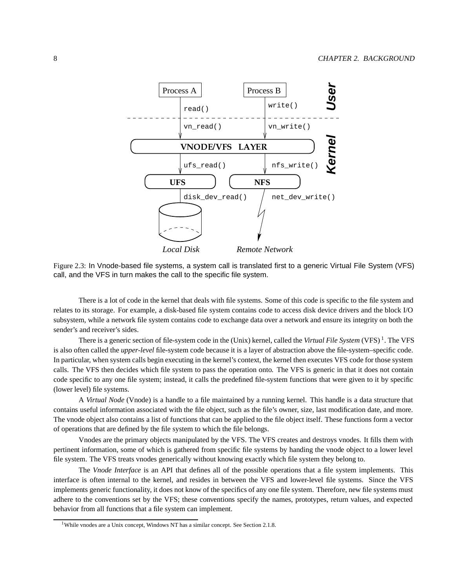

Figure 2.3: In Vnode-based file systems, a system call is translated first to a generic Virtual File System (VFS) call, and the VFS in turn makes the call to the specific file system.

There is a lot of code in the kernel that deals with file systems. Some of this code is specific to the file system and relates to its storage. For example, a disk-based file system contains code to access disk device drivers and the block I/O subsystem, while a network file system contains code to exchange data over a network and ensure its integrity on both the sender's and receiver's sides.

There is a generic section of file-system code in the (Unix) kernel, called the *Virtual File System* (VFS) <sup>1</sup> . The VFS is also often called the *upper-level* file-system code because it is a layer of abstraction above the file-system–specific code. In particular, when system calls begin executing in the kernel's context, the kernel then executes VFS code for those system calls. The VFS then decides which file system to pass the operation onto. The VFS is generic in that it does not contain code specific to any one file system; instead, it calls the predefined file-system functions that were given to it by specific (lower level) file systems.

A *Virtual Node* (Vnode) is a handle to a file maintained by a running kernel. This handle is a data structure that contains useful information associated with the file object, such as the file's owner, size, last modification date, and more. The vnode object also contains a list of functions that can be applied to the file object itself. These functions form a vector of operations that are defined by the file system to which the file belongs.

Vnodes are the primary objects manipulated by the VFS. The VFS creates and destroys vnodes. It fills them with pertinent information, some of which is gathered from specific file systems by handing the vnode object to a lower level file system. The VFS treats vnodes generically without knowing exactly which file system they belong to.

The *Vnode Interface* is an API that defines all of the possible operations that a file system implements. This interface is often internal to the kernel, and resides in between the VFS and lower-level file systems. Since the VFS implements generic functionality, it does not know of the specifics of any one file system. Therefore, new file systems must adhere to the conventions set by the VFS; these conventions specify the names, prototypes, return values, and expected behavior from all functions that a file system can implement.

<sup>&</sup>lt;sup>1</sup>While vnodes are a Unix concept, Windows NT has a similar concept. See Section 2.1.8.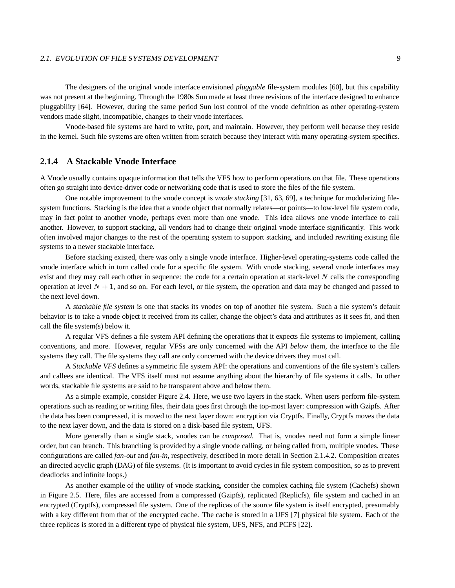#### 2.1. EVOLUTION OF FILE SYSTEMS DEVELOPMENT 9

The designers of the original vnode interface envisioned *pluggable* file-system modules [60], but this capability was not present at the beginning. Through the 1980s Sun made at least three revisions of the interface designed to enhance pluggability [64]. However, during the same period Sun lost control of the vnode definition as other operating-system vendors made slight, incompatible, changes to their vnode interfaces.

Vnode-based file systems are hard to write, port, and maintain. However, they perform well because they reside in the kernel. Such file systems are often written from scratch because they interact with many operating-system specifics.

#### **2.1.4 A Stackable Vnode Interface**

A Vnode usually contains opaque information that tells the VFS how to perform operations on that file. These operations often go straight into device-driver code or networking code that is used to store the files of the file system.

One notable improvement to the vnode concept is *vnode stacking* [31, 63, 69], a technique for modularizing filesystem functions. Stacking is the idea that a vnode object that normally relates—or points—to low-level file system code, may in fact point to another vnode, perhaps even more than one vnode. This idea allows one vnode interface to call another. However, to support stacking, all vendors had to change their original vnode interface significantly. This work often involved major changes to the rest of the operating system to support stacking, and included rewriting existing file systems to a newer stackable interface.

Before stacking existed, there was only a single vnode interface. Higher-level operating-systems code called the vnode interface which in turn called code for a specific file system. With vnode stacking, several vnode interfaces may exist and they may call each other in sequence: the code for a certain operation at stack-level  $N$  calls the corresponding operation at level  $N+1$ , and so on. For each level, or file system, the operation and data may be changed and passed to the next level down.

A *stackable file system* is one that stacks its vnodes on top of another file system. Such a file system's default behavior is to take a vnode object it received from its caller, change the object's data and attributes as it sees fit, and then call the file system(s) below it.

A regular VFS defines a file system API defining the operations that it expects file systems to implement, calling conventions, and more. However, regular VFSs are only concerned with the API *below* them, the interface to the file systems they call. The file systems they call are only concerned with the device drivers they must call.

A *Stackable VFS* defines a symmetric file system API: the operations and conventions of the file system's callers and callees are identical. The VFS itself must not assume anything about the hierarchy of file systems it calls. In other words, stackable file systems are said to be transparent above and below them.

As a simple example, consider Figure 2.4. Here, we use two layers in the stack. When users perform file-system operations such as reading or writing files, their data goes first through the top-most layer: compression with Gzipfs. After the data has been compressed, it is moved to the next layer down: encryption via Cryptfs. Finally, Cryptfs moves the data to the next layer down, and the data is stored on a disk-based file system, UFS.

More generally than a single stack, vnodes can be *composed*. That is, vnodes need not form a simple linear order, but can branch. This branching is provided by a single vnode calling, or being called from, multiple vnodes. These configurations are called *fan-out* and *fan-in*, respectively, described in more detail in Section 2.1.4.2. Composition creates an directed acyclic graph (DAG) of file systems. (It is important to avoid cycles in file system composition, so as to prevent deadlocks and infinite loops.)

As another example of the utility of vnode stacking, consider the complex caching file system (Cachefs) shown in Figure 2.5. Here, files are accessed from a compressed (Gzipfs), replicated (Replicfs), file system and cached in an encrypted (Cryptfs), compressed file system. One of the replicas of the source file system is itself encrypted, presumably with a key different from that of the encrypted cache. The cache is stored in a UFS [7] physical file system. Each of the three replicas is stored in a different type of physical file system, UFS, NFS, and PCFS [22].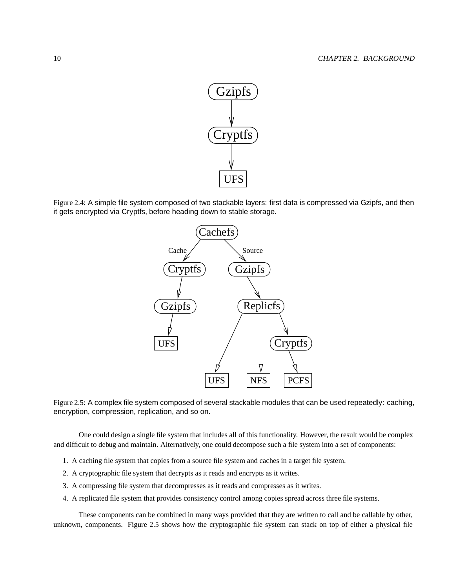

Figure 2.4: A simple file system composed of two stackable layers: first data is compressed via Gzipfs, and then it gets encrypted via Cryptfs, before heading down to stable storage.





One could design a single file system that includes all of this functionality. However, the result would be complex and difficult to debug and maintain. Alternatively, one could decompose such a file system into a set of components:

- 1. A caching file system that copies from a source file system and caches in a target file system.
- 2. A cryptographic file system that decrypts as it reads and encrypts as it writes.
- 3. A compressing file system that decompresses as it reads and compresses as it writes.
- 4. A replicated file system that provides consistency control among copies spread across three file systems.

These components can be combined in many ways provided that they are written to call and be callable by other, unknown, components. Figure 2.5 shows how the cryptographic file system can stack on top of either a physical file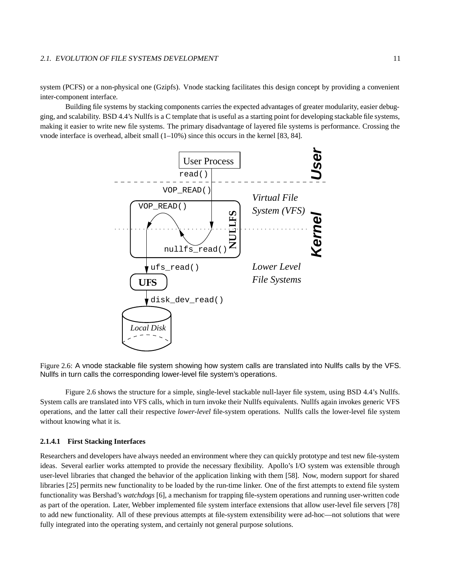#### 2.1. EVOLUTION OF FILE SYSTEMS DEVELOPMENT 11

system (PCFS) or a non-physical one (Gzipfs). Vnode stacking facilitates this design concept by providing a convenient inter-component interface.

Building file systems by stacking components carries the expected advantages of greater modularity, easier debugging, and scalability. BSD 4.4's Nullfsis a C template that is useful as a starting point for developing stackable file systems, making it easier to write new file systems. The primary disadvantage of layered file systems is performance. Crossing the vnode interface is overhead, albeit small  $(1-10\%)$  since this occurs in the kernel [83, 84].



Figure 2.6: A vnode stackable file system showing how system calls are translated into Nullfs calls by the VFS. Nullfs in turn calls the corresponding lower-level file system's operations.

Figure 2.6 shows the structure for a simple, single-level stackable null-layer file system, using BSD 4.4's Nullfs. System calls are translated into VFS calls, which in turn invoke their Nullfs equivalents. Nullfs again invokes generic VFS operations, and the latter call their respective *lower-level* file-system operations. Nullfs calls the lower-level file system without knowing what it is.

#### **2.1.4.1 First Stacking Interfaces**

Researchers and developers have always needed an environment where they can quickly prototype and test new file-system ideas. Several earlier works attempted to provide the necessary flexibility. Apollo's I/O system was extensible through user-level libraries that changed the behavior of the application linking with them [58]. Now, modern support for shared libraries [25] permits new functionality to be loaded by the run-time linker. One of the first attempts to extend file system functionality was Bershad's *watchdogs* [6], a mechanism for trapping file-system operations and running user-written code as part of the operation. Later, Webber implemented file system interface extensions that allow user-level file servers [78] to add new functionality. All of these previous attempts at file-system extensibility were ad-hoc—not solutions that were fully integrated into the operating system, and certainly not general purpose solutions.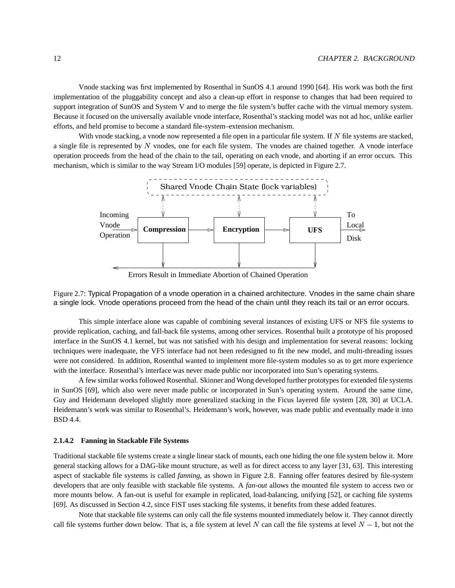Vnode stacking was first implemented by Rosenthal in SunOS 4.1 around 1990 [64]. His work was both the first implementation of the pluggability concept and also a clean-up effort in response to changes that had been required to support integration of SunOS and System V and to merge the file system's buffer cache with the virtual memory system. Because it focused on the universally available vnode interface, Rosenthal's stacking model was not ad hoc, unlike earlier efforts, and held promise to become a standard file-system–extension mechanism.

With vnode stacking, a vnode now represented a file open in a particular file system. If  $N$  file systems are stacked, a single file is represented by  $N$  vnodes, one for each file system. The vnodes are chained together. A vnode interface operation proceeds from the head of the chain to the tail, operating on each vnode, and aborting if an error occurs. This mechanism, which is similar to the way Stream I/O modules [59] operate, is depicted in Figure 2.7.



Errors Result in Immediate Abortion of Chained Operation

Figure 2.7: Typical Propagation of a vnode operation in a chained architecture. Vnodes in the same chain share a single lock. Vnode operations proceed from the head of the chain until they reach its tail or an error occurs.

This simple interface alone was capable of combining several instances of existing UFS or NFS file systems to provide replication, caching, and fall-back file systems, among other services. Rosenthal built a prototype of his proposed interface in the SunOS 4.1 kernel, but was not satisfied with his design and implementation for several reasons: locking techniques were inadequate, the VFS interface had not been redesigned to fit the new model, and multi-threading issues were not considered. In addition, Rosenthal wanted to implement more file-system modules so as to get more experience with the interface. Rosenthal's interface was never made public nor incorporated into Sun's operating systems.

A few similar works followed Rosenthal. Skinner and Wong developed further prototypes for extended file systems in SunOS [69], which also were never made public or incorporated in Sun's operating system. Around the same time, Guy and Heidemann developed slightly more generalized stacking in the Ficus layered file system [28, 30] at UCLA. Heidemann's work was similar to Rosenthal's. Heidemann's work, however, was made public and eventually made it into BSD 4.4.

#### **2.1.4.2 Fanning in Stackable File Systems**

Traditional stackable file systems create a single linear stack of mounts, each one hiding the one file system below it. More general stacking allows for a DAG-like mount structure, as well as for direct access to any layer [31, 63]. This interesting aspect of stackable file systems is called *fanning*, as shown in Figure 2.8. Fanning offer features desired by file-system developers that are only feasible with stackable file systems. A *fan-out* allows the mounted file system to access two or more mounts below. A fan-out is useful for example in replicated, load-balancing, unifying [52], or caching file systems [69]. As discussed in Section 4.2, since FiST uses stacking file systems, it benefits from these added features.

Note that stackable file systems can only call the file systems mounted immediately below it. They cannot directly call file systems further down below. That is, a file system at level N can call the file systems at level  $N-1$ , but not the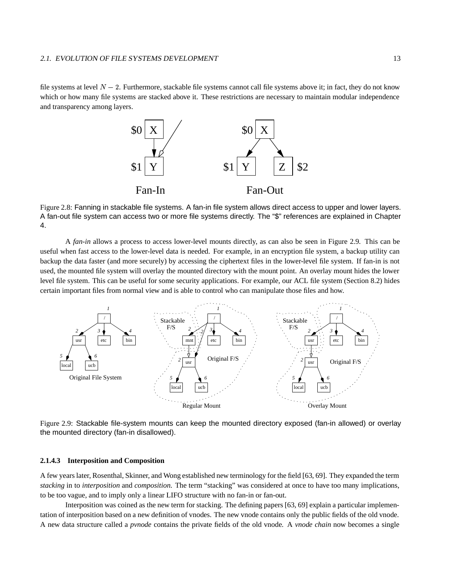#### 2.1. EVOLUTION OF FILE SYSTEMS DEVELOPMENT AND THE SAME IS A 13

file systems at level  $N-2$ . Furthermore, stackable file systems cannot call file systems above it; in fact, they do not know which or how many file systems are stacked above it. These restrictions are necessary to maintain modular independence and transparency among layers.



Figure 2.8: Fanning in stackable file systems. A fan-in file system allows direct access to upper and lower layers. A fan-out file system can access two or more file systems directly. The "\$" references are explained in Chapter 4.

A *fan-in* allows a process to access lower-level mounts directly, as can also be seen in Figure 2.9. This can be useful when fast access to the lower-level data is needed. For example, in an encryption file system, a backup utility can backup the data faster (and more securely) by accessing the ciphertext files in the lower-level file system. If fan-in is not used, the mounted file system will overlay the mounted directory with the mount point. An overlay mount hides the lower level file system. This can be useful for some security applications. For example, our ACL file system (Section 8.2) hides certain important files from normal view and is able to control who can manipulate those files and how.



Figure 2.9: Stackable file-system mounts can keep the mounted directory exposed (fan-in allowed) or overlay the mounted directory (fan-in disallowed).

#### **2.1.4.3 Interposition and Composition**

A few yearslater, Rosenthal, Skinner, and Wong established new terminology for the field [63, 69]. They expanded the term *stacking* in to *interposition* and *composition*. The term "stacking" was considered at once to have too many implications, to be too vague, and to imply only a linear LIFO structure with no fan-in or fan-out.

Interposition was coined as the new term for stacking. The defining papers [63, 69] explain a particular implementation of interposition based on a new definition of vnodes. The new vnode contains only the public fields of the old vnode. A new data structure called a *pvnode* contains the private fields of the old vnode. A *vnode chain* now becomes a single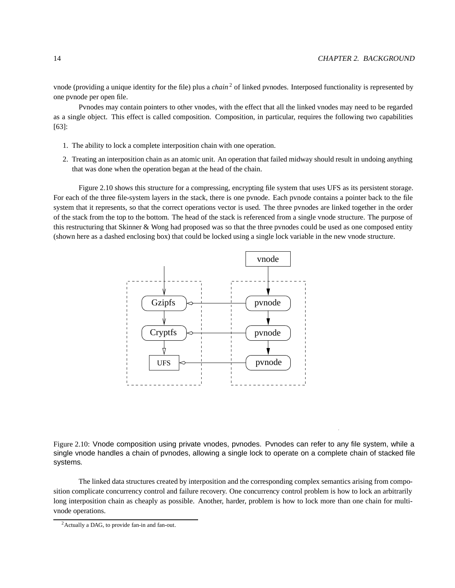vnode (providing a unique identity for the file) plus a *chain* <sup>2</sup> of linked pvnodes. Interposed functionality is represented by one pvnode per open file.

Pvnodes may contain pointers to other vnodes, with the effect that all the linked vnodes may need to be regarded as a single object. This effect is called composition. Composition, in particular, requires the following two capabilities [63]:

- 1. The ability to lock a complete interposition chain with one operation.
- 2. Treating an interposition chain as an atomic unit. An operation that failed midway should result in undoing anything that was done when the operation began at the head of the chain.

Figure 2.10 shows this structure for a compressing, encrypting file system that uses UFS as its persistent storage. For each of the three file-system layers in the stack, there is one pvnode. Each pvnode contains a pointer back to the file system that it represents, so that the correct operations vector is used. The three pvnodes are linked together in the order of the stack from the top to the bottom. The head of the stack is referenced from a single vnode structure. The purpose of this restructuring that Skinner & Wong had proposed was so that the three pvnodes could be used as one composed entity (shown here as a dashed enclosing box) that could be locked using a single lock variable in the new vnode structure.



Figure 2.10: Vnode composition using private vnodes, pvnodes. Pvnodes can refer to any file system, while a single vnode handles a chain of pvnodes, allowing a single lock to operate on a complete chain of stacked file systems.

The linked data structures created by interposition and the corresponding complex semantics arising from composition complicate concurrency control and failure recovery. One concurrency control problem is how to lock an arbitrarily long interposition chain as cheaply as possible. Another, harder, problem is how to lock more than one chain for multivnode operations.

<sup>2</sup>Actually a DAG, to provide fan-in and fan-out.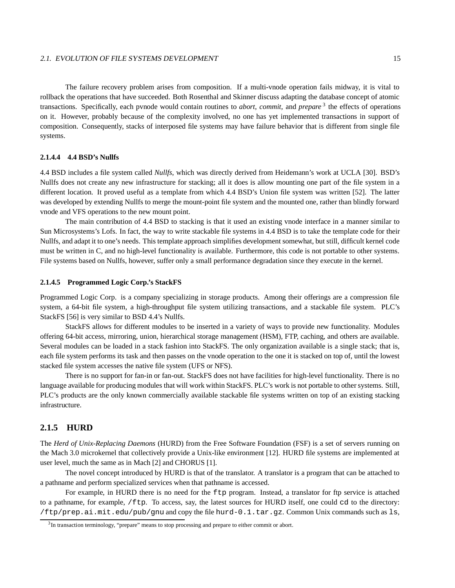#### 2.1. EVOLUTION OF FILE SYSTEMS DEVELOPMENT 15

The failure recovery problem arises from composition. If a multi-vnode operation fails midway, it is vital to rollback the operations that have succeeded. Both Rosenthal and Skinner discuss adapting the database concept of atomic transactions. Specifically, each pvnode would contain routines to *abort*, *commit*, and *prepare* 3 the effects of operations on it. However, probably because of the complexity involved, no one has yet implemented transactions in support of composition. Consequently, stacks of interposed file systems may have failure behavior that is different from single file systems.

#### **2.1.4.4 4.4 BSD's Nullfs**

4.4 BSD includes a file system called *Nullfs*, which was directly derived from Heidemann's work at UCLA [30]. BSD's Nullfs does not create any new infrastructure for stacking; all it does is allow mounting one part of the file system in a different location. It proved useful as a template from which 4.4 BSD's Union file system was written [52]. The latter was developed by extending Nullfs to merge the mount-point file system and the mounted one, rather than blindly forward vnode and VFS operations to the new mount point.

The main contribution of 4.4 BSD to stacking is that it used an existing vnode interface in a manner similar to Sun Microsystems's Lofs. In fact, the way to write stackable file systems in 4.4 BSD is to take the template code for their Nullfs, and adapt it to one's needs. This template approach simplifies development somewhat, but still, difficult kernel code must be written in C, and no high-level functionality is available. Furthermore, this code is not portable to other systems. File systems based on Nullfs, however, suffer only a small performance degradation since they execute in the kernel.

#### **2.1.4.5 Programmed Logic Corp.'s StackFS**

Programmed Logic Corp. is a company specializing in storage products. Among their offerings are a compression file system, a 64-bit file system, a high-throughput file system utilizing transactions, and a stackable file system. PLC's StackFS [56] is very similar to BSD 4.4's Nullfs.

StackFS allows for different modules to be inserted in a variety of ways to provide new functionality. Modules offering 64-bit access, mirroring, union, hierarchical storage management (HSM), FTP, caching, and others are available. Several modules can be loaded in a stack fashion into StackFS. The only organization available is a single stack; that is, each file system performs its task and then passes on the vnode operation to the one it is stacked on top of, until the lowest stacked file system accesses the native file system (UFS or NFS).

There is no support for fan-in or fan-out. StackFS does not have facilities for high-level functionality. There is no language available for producing modules that will work within StackFS. PLC's work is not portable to other systems. Still, PLC's products are the only known commercially available stackable file systems written on top of an existing stacking infrastructure.

#### **2.1.5 HURD**

The *Herd of Unix-Replacing Daemons* (HURD) from the Free Software Foundation (FSF) is a set of servers running on the Mach 3.0 microkernel that collectively provide a Unix-like environment [12]. HURD file systems are implemented at user level, much the same as in Mach [2] and CHORUS [1].

The novel concept introduced by HURD is that of the translator. A translator is a program that can be attached to a pathname and perform specialized services when that pathname is accessed.

For example, in HURD there is no need for the ftp program. Instead, a translator for ftp service is attached to a pathname, for example, /ftp. To access, say, the latest sources for HURD itself, one could cd to the directory: /ftp/prep.ai.mit.edu/pub/gnu and copy the file hurd-0.1.tar.gz. Common Unix commands such as ls,

<sup>&</sup>lt;sup>3</sup>In transaction terminology, "prepare" means to stop processing and prepare to either commit or abort.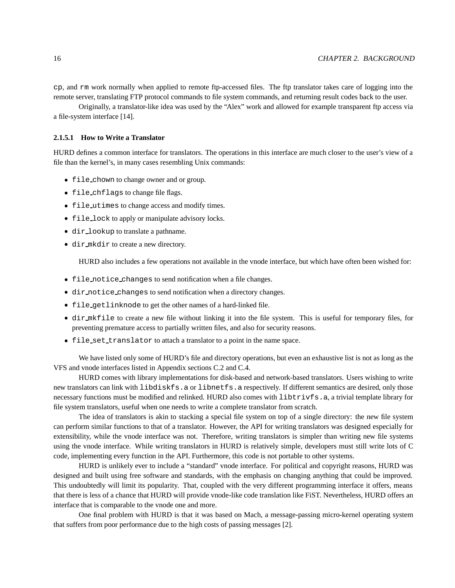cp, and rm work normally when applied to remote ftp-accessed files. The ftp translator takes care of logging into the remote server, translating FTP protocol commands to file system commands, and returning result codes back to the user.

Originally, a translator-like idea was used by the "Alex" work and allowed for example transparent ftp access via a file-system interface [14].

#### **2.1.5.1 How to Write a Translator**

HURD defines a common interface for translators. The operations in this interface are much closer to the user's view of a file than the kernel's, in many cases resembling Unix commands:

- $\bullet$  file\_chown to change owner and or group.
- $\bullet$  file\_chflags to change file flags.
- \ file utimes to change access and modify times.
- \ file lock to apply or manipulate advisory locks.
- $\bullet$  dir\_lookup to translate a pathname.
- $\bullet$  dir mkdir to create a new directory.

HURD also includes a few operations not available in the vnode interface, but which have often been wished for:

- $\bullet$  file notice changes to send notification when a file changes.
- $\bullet$  dir notice changes to send notification when a directory changes.
- \ file getlinknode to get the other names of a hard-linked file.
- dir mkfile to create a new file without linking it into the file system. This is useful for temporary files, for preventing premature access to partially written files, and also for security reasons.
- \ file set translator to attach a translator to a point in the name space.

We have listed only some of HURD's file and directory operations, but even an exhaustive list is not as long as the VFS and vnode interfaces listed in Appendix sections C.2 and C.4.

HURD comes with library implementations for disk-based and network-based translators. Users wishing to write new translators can link with libdiskfs.a or libnetfs.a respectively. If different semantics are desired, only those necessary functions must be modified and relinked. HURD also comes with libtrivfs.a, a trivial template library for file system translators, useful when one needs to write a complete translator from scratch.

The idea of translators is akin to stacking a special file system on top of a single directory: the new file system can perform similar functions to that of a translator. However, the API for writing translators was designed especially for extensibility, while the vnode interface was not. Therefore, writing translators is simpler than writing new file systems using the vnode interface. While writing translators in HURD is relatively simple, developers must still write lots of C code, implementing every function in the API. Furthermore, this code is not portable to other systems.

HURD is unlikely ever to include a "standard" vnode interface. For political and copyright reasons, HURD was designed and built using free software and standards, with the emphasis on changing anything that could be improved. This undoubtedly will limit its popularity. That, coupled with the very different programming interface it offers, means that there is less of a chance that HURD will provide vnode-like code translation like FiST. Nevertheless, HURD offers an interface that is comparable to the vnode one and more.

One final problem with HURD is that it was based on Mach, a message-passing micro-kernel operating system that suffers from poor performance due to the high costs of passing messages [2].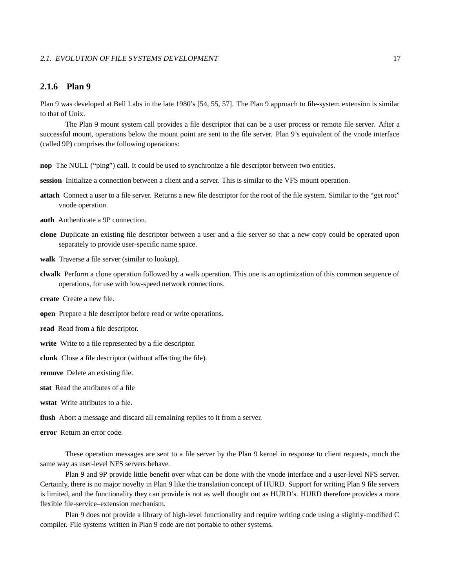#### 2.1. EVOLUTION OF FILE SYSTEMS DEVELOPMENT 17

#### **2.1.6 Plan 9**

Plan 9 was developed at Bell Labs in the late 1980's [54, 55, 57]. The Plan 9 approach to file-system extension is similar to that of Unix.

The Plan 9 mount system call provides a file descriptor that can be a user process or remote file server. After a successful mount, operations below the mount point are sent to the file server. Plan 9's equivalent of the vnode interface (called 9P) comprises the following operations:

**nop** The NULL ("ping") call. It could be used to synchronize a file descriptor between two entities.

**session** Initialize a connection between a client and a server. This is similar to the VFS mount operation.

- **attach** Connect a user to a file server. Returns a new file descriptor for the root of the file system. Similar to the "get root" vnode operation.
- **auth** Authenticate a 9P connection.
- **clone** Duplicate an existing file descriptor between a user and a file server so that a new copy could be operated upon separately to provide user-specific name space.
- **walk** Traverse a file server (similar to lookup).
- **clwalk** Perform a clone operation followed by a walk operation. This one is an optimization of this common sequence of operations, for use with low-speed network connections.
- **create** Create a new file.
- **open** Prepare a file descriptor before read or write operations.
- **read** Read from a file descriptor.
- **write** Write to a file represented by a file descriptor.
- **clunk** Close a file descriptor (without affecting the file).
- **remove** Delete an existing file.
- **stat** Read the attributes of a file
- **wstat** Write attributes to a file.
- **flush** Abort a message and discard all remaining replies to it from a server.
- **error** Return an error code.

These operation messages are sent to a file server by the Plan 9 kernel in response to client requests, much the same way as user-level NFS servers behave.

Plan 9 and 9P provide little benefit over what can be done with the vnode interface and a user-level NFS server. Certainly, there is no major novelty in Plan 9 like the translation concept of HURD. Support for writing Plan 9 file servers is limited, and the functionality they can provide is not as well thought out as HURD's. HURD therefore provides a more flexible file-service–extension mechanism.

Plan 9 does not provide a library of high-level functionality and require writing code using a slightly-modified C compiler. File systems written in Plan 9 code are not portable to other systems.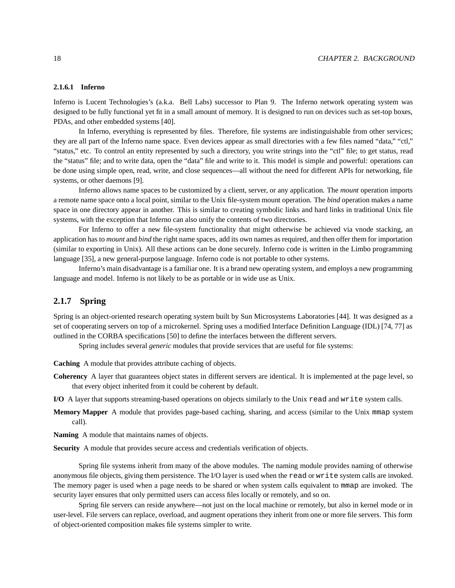#### **2.1.6.1 Inferno**

Inferno is Lucent Technologies's (a.k.a. Bell Labs) successor to Plan 9. The Inferno network operating system was designed to be fully functional yet fit in a small amount of memory. It is designed to run on devices such as set-top boxes, PDAs, and other embedded systems [40].

In Inferno, everything is represented by files. Therefore, file systems are indistinguishable from other services; they are all part of the Inferno name space. Even devices appear as small directories with a few files named "data," "ctl," "status," etc. To control an entity represented by such a directory, you write strings into the "ctl" file; to get status, read the "status" file; and to write data, open the "data" file and write to it. This model is simple and powerful: operations can be done using simple open, read, write, and close sequences—all without the need for different APIs for networking, file systems, or other daemons [9].

Inferno allows name spaces to be customized by a client, server, or any application. The *mount* operation imports a remote name space onto a local point, similar to the Unix file-system mount operation. The *bind* operation makes a name space in one directory appear in another. This is similar to creating symbolic links and hard links in traditional Unix file systems, with the exception that Inferno can also unify the contents of two directories.

For Inferno to offer a new file-system functionality that might otherwise be achieved via vnode stacking, an application has to *mount* and *bind* the right name spaces, add its own names as required, and then offer them for importation (similar to exporting in Unix). All these actions can be done securely. Inferno code is written in the Limbo programming language [35], a new general-purpose language. Inferno code is not portable to other systems.

Inferno's main disadvantage is a familiar one. It is a brand new operating system, and employs a new programming language and model. Inferno is not likely to be as portable or in wide use as Unix.

#### **2.1.7 Spring**

Spring is an object-oriented research operating system built by Sun Microsystems Laboratories [44]. It was designed as a set of cooperating servers on top of a microkernel. Spring uses a modified Interface Definition Language (IDL) [74, 77] as outlined in the CORBA specifications [50] to define the interfaces between the different servers.

Spring includes several *generic* modules that provide services that are useful for file systems:

**Caching** A module that provides attribute caching of objects.

- **Coherency** A layer that guarantees object states in different servers are identical. It is implemented at the page level, so that every object inherited from it could be coherent by default.
- **I/O** A layer that supports streaming-based operations on objects similarly to the Unix read and write system calls.
- **Memory Mapper** A module that provides page-based caching, sharing, and access (similar to the Unix mmap system call).
- **Naming** A module that maintains names of objects.

**Security** A module that provides secure access and credentials verification of objects.

Spring file systems inherit from many of the above modules. The naming module provides naming of otherwise anonymous file objects, giving them persistence. The I/O layer is used when the read or write system calls are invoked. The memory pager is used when a page needs to be shared or when system calls equivalent to mmap are invoked. The security layer ensures that only permitted users can access files locally or remotely, and so on.

Spring file servers can reside anywhere—not just on the local machine or remotely, but also in kernel mode or in user-level. File servers can replace, overload, and augment operations they inherit from one or more file servers. This form of object-oriented composition makes file systems simpler to write.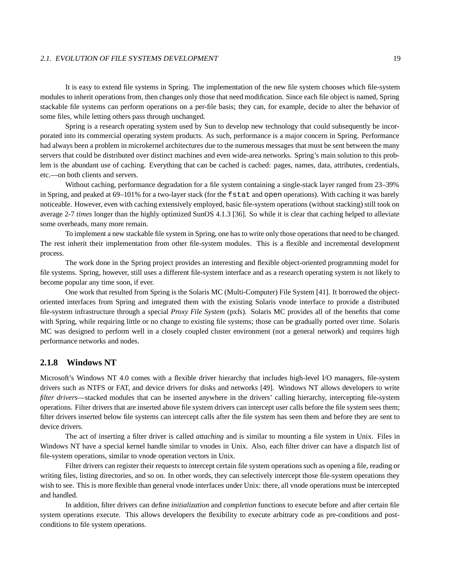#### 2.1. EVOLUTION OF FILE SYSTEMS DEVELOPMENT 19

It is easy to extend file systems in Spring. The implementation of the new file system chooses which file-system modules to inherit operations from, then changes only those that need modification. Since each file object is named, Spring stackable file systems can perform operations on a per-file basis; they can, for example, decide to alter the behavior of some files, while letting others pass through unchanged.

Spring is a research operating system used by Sun to develop new technology that could subsequently be incorporated into its commercial operating system products. As such, performance is a major concern in Spring. Performance had always been a problem in microkernel architectures due to the numerous messages that must be sent between the many servers that could be distributed over distinct machines and even wide-area networks. Spring's main solution to this problem is the abundant use of caching. Everything that can be cached is cached: pages, names, data, attributes, credentials, etc.—on both clients and servers.

Without caching, performance degradation for a file system containing a single-stack layer ranged from 23–39% in Spring, and peaked at 69–101% for a two-layer stack (for the fstat and open operations). With caching it was barely noticeable. However, even with caching extensively employed, basic file-system operations (without stacking) still took on average 2-7 *times* longer than the highly optimized SunOS 4.1.3 [36]. So while it is clear that caching helped to alleviate some overheads, many more remain.

To implement a new stackable file system in Spring, one has to write only those operations that need to be changed. The rest inherit their implementation from other file-system modules. This is a flexible and incremental development process.

The work done in the Spring project provides an interesting and flexible object-oriented programming model for file systems. Spring, however, still uses a different file-system interface and as a research operating system is not likely to become popular any time soon, if ever.

One work that resulted from Spring is the Solaris MC (Multi-Computer) File System [41]. It borrowed the objectoriented interfaces from Spring and integrated them with the existing Solaris vnode interface to provide a distributed file-system infrastructure through a special *Proxy File System* (pxfs). Solaris MC provides all of the benefits that come with Spring, while requiring little or no change to existing file systems; those can be gradually ported over time. Solaris MC was designed to perform well in a closely coupled cluster environment (not a general network) and requires high performance networks and nodes.

#### **2.1.8 Windows NT**

Microsoft's Windows NT 4.0 comes with a flexible driver hierarchy that includes high-level I/O managers, file-system drivers such as NTFS or FAT, and device drivers for disks and networks [49]. Windows NT allows developers to write *filter drivers*—stacked modules that can be inserted anywhere in the drivers' calling hierarchy, intercepting file-system operations. Filter drivers that are inserted above file system drivers can intercept user calls before the file system sees them; filter drivers inserted below file systems can intercept calls after the file system has seen them and before they are sent to device drivers.

The act of inserting a filter driver is called *attaching* and is similar to mounting a file system in Unix. Files in Windows NT have a special kernel handle similar to vnodes in Unix. Also, each filter driver can have a dispatch list of file-system operations, similar to vnode operation vectors in Unix.

Filter drivers can register their requests to intercept certain file system operations such as opening a file, reading or writing files, listing directories, and so on. In other words, they can selectively intercept those file-system operations they wish to see. This is more flexible than general vnode interfaces under Unix: there, all vnode operations must be intercepted and handled.

In addition, filter drivers can define *initialization* and *completion* functions to execute before and after certain file system operations execute. This allows developers the flexibility to execute arbitrary code as pre-conditions and postconditions to file system operations.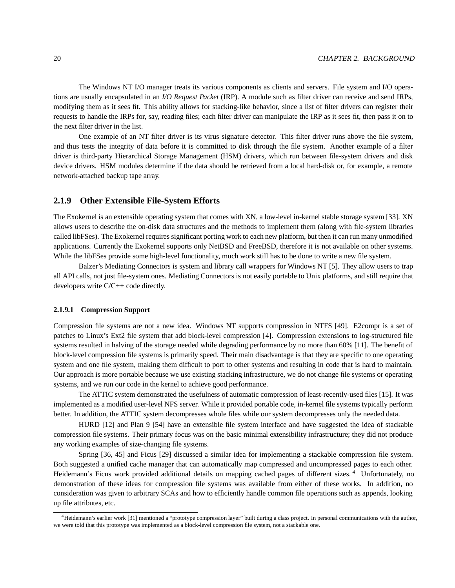The Windows NT I/O manager treats its various components as clients and servers. File system and I/O operations are usually encapsulated in an *I/O Request Packet* (IRP). A module such as filter driver can receive and send IRPs, modifying them as it sees fit. This ability allows for stacking-like behavior, since a list of filter drivers can register their requests to handle the IRPs for, say, reading files; each filter driver can manipulate the IRP as it sees fit, then pass it on to the next filter driver in the list.

One example of an NT filter driver is its virus signature detector. This filter driver runs above the file system, and thus tests the integrity of data before it is committed to disk through the file system. Another example of a filter driver is third-party Hierarchical Storage Management (HSM) drivers, which run between file-system drivers and disk device drivers. HSM modules determine if the data should be retrieved from a local hard-disk or, for example, a remote network-attached backup tape array.

#### **2.1.9 Other Extensible File-System Efforts**

The Exokernel is an extensible operating system that comes with XN, a low-level in-kernel stable storage system [33]. XN allows users to describe the on-disk data structures and the methods to implement them (along with file-system libraries called libFSes). The Exokernel requires significant porting work to each new platform, but then it can run many unmodified applications. Currently the Exokernel supports only NetBSD and FreeBSD, therefore it is not available on other systems. While the libFSes provide some high-level functionality, much work still has to be done to write a new file system.

Balzer's Mediating Connectors is system and library call wrappers for Windows NT [5]. They allow users to trap all API calls, not just file-system ones. Mediating Connectors is not easily portable to Unix platforms, and still require that developers write C/C++ code directly.

#### **2.1.9.1 Compression Support**

Compression file systems are not a new idea. Windows NT supports compression in NTFS [49]. E2compr is a set of patches to Linux's Ext2 file system that add block-level compression [4]. Compression extensions to log-structured file systems resulted in halving of the storage needed while degrading performance by no more than 60% [11]. The benefit of block-level compression file systems is primarily speed. Their main disadvantage is that they are specific to one operating system and one file system, making them difficult to port to other systems and resulting in code that is hard to maintain. Our approach is more portable because we use existing stacking infrastructure, we do not change file systems or operating systems, and we run our code in the kernel to achieve good performance.

The ATTIC system demonstrated the usefulness of automatic compression of least-recently-used files [15]. It was implemented as a modified user-level NFS server. While it provided portable code, in-kernel file systems typically perform better. In addition, the ATTIC system decompresses whole files while our system decompresses only the needed data.

HURD [12] and Plan 9 [54] have an extensible file system interface and have suggested the idea of stackable compression file systems. Their primary focus was on the basic minimal extensibility infrastructure; they did not produce any working examples of size-changing file systems.

Spring [36, 45] and Ficus [29] discussed a similar idea for implementing a stackable compression file system. Both suggested a unified cache manager that can automatically map compressed and uncompressed pages to each other. Heidemann's Ficus work provided additional details on mapping cached pages of different sizes. <sup>4</sup> Unfortunately, no demonstration of these ideas for compression file systems was available from either of these works. In addition, no consideration was given to arbitrary SCAs and how to efficiently handle common file operations such as appends, looking up file attributes, etc.

<sup>4</sup>Heidemann's earlier work [31] mentioned a "prototype compression layer" built during a class project. In personal communications with the author, we were told that this prototype was implemented as a block-level compression file system, not a stackable one.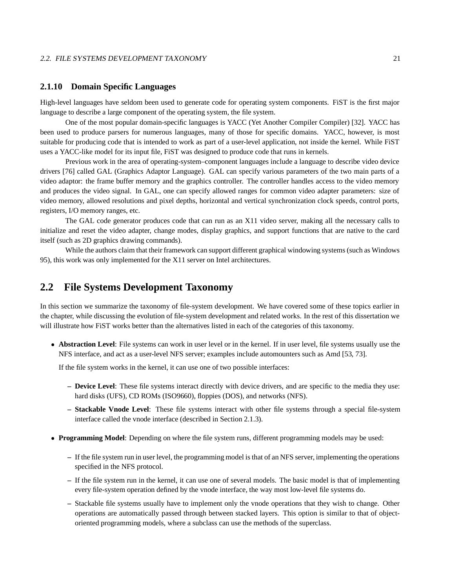#### 2.2. FILE SYSTEMS DEVELOPMENT TAXONOMY 21

#### **2.1.10 Domain Specific Languages**

High-level languages have seldom been used to generate code for operating system components. FiST is the first major language to describe a large component of the operating system, the file system.

One of the most popular domain-specific languages is YACC (Yet Another Compiler Compiler) [32]. YACC has been used to produce parsers for numerous languages, many of those for specific domains. YACC, however, is most suitable for producing code that is intended to work as part of a user-level application, not inside the kernel. While FiST uses a YACC-like model for its input file, FiST was designed to produce code that runs in kernels.

Previous work in the area of operating-system–component languages include a language to describe video device drivers [76] called GAL (Graphics Adaptor Language). GAL can specify various parameters of the two main parts of a video adaptor: the frame buffer memory and the graphics controller. The controller handles access to the video memory and produces the video signal. In GAL, one can specify allowed ranges for common video adapter parameters: size of video memory, allowed resolutions and pixel depths, horizontal and vertical synchronization clock speeds, control ports, registers, I/O memory ranges, etc.

The GAL code generator produces code that can run as an X11 video server, making all the necessary calls to initialize and reset the video adapter, change modes, display graphics, and support functions that are native to the card itself (such as 2D graphics drawing commands).

While the authors claim that their framework can support different graphical windowing systems(such as Windows 95), this work was only implemented for the X11 server on Intel architectures.

## **2.2 File Systems Development Taxonomy**

In this section we summarize the taxonomy of file-system development. We have covered some of these topics earlier in the chapter, while discussing the evolution of file-system development and related works. In the rest of this dissertation we will illustrate how FiST works better than the alternatives listed in each of the categories of this taxonomy.

**Abstraction Level**: File systems can work in user level or in the kernel. If in user level, file systems usually use the NFS interface, and act as a user-level NFS server; examples include automounters such as Amd [53, 73].

If the file system works in the kernel, it can use one of two possible interfaces:

- **– Device Level**: These file systems interact directly with device drivers, and are specific to the media they use: hard disks (UFS), CD ROMs (ISO9660), floppies (DOS), and networks (NFS).
- **– Stackable Vnode Level**: These file systems interact with other file systems through a special file-system interface called the vnode interface (described in Section 2.1.3).
- **Programming Model**: Depending on where the file system runs, different programming models may be used:
	- **–** If the file system run in user level, the programming model isthat of an NFS server, implementing the operations specified in the NFS protocol.
	- **–** If the file system run in the kernel, it can use one of several models. The basic model is that of implementing every file-system operation defined by the vnode interface, the way most low-level file systems do.
	- **–** Stackable file systems usually have to implement only the vnode operations that they wish to change. Other operations are automatically passed through between stacked layers. This option is similar to that of objectoriented programming models, where a subclass can use the methods of the superclass.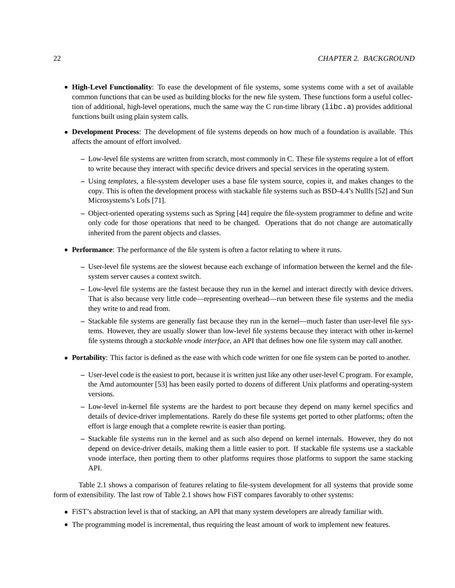#### 22 CHAPTER 2. BACKGROUND

- **High-Level Functionality**: To ease the development of file systems, some systems come with a set of available common functions that can be used as building blocks for the new file system. These functions form a useful collection of additional, high-level operations, much the same way the C run-time library (libc.a) provides additional functions built using plain system calls.
- **Development Process**: The development of file systems depends on how much of a foundation is available. This affects the amount of effort involved.
	- **–** Low-level file systems are written from scratch, most commonly in C. These file systems require a lot of effort to write because they interact with specific device drivers and special services in the operating system.
	- **–** Using *templates*, a file-system developer uses a base file system source, copies it, and makes changes to the copy. This is often the development process with stackable file systems such as BSD-4.4's Nullfs [52] and Sun Microsystems's Lofs [71].
	- **–** Object-oriented operating systems such as Spring [44] require the file-system programmer to define and write only code for those operations that need to be changed. Operations that do not change are automatically inherited from the parent objects and classes.
- **Performance**: The performance of the file system is often a factor relating to where it runs.
	- **–** User-level file systems are the slowest because each exchange of information between the kernel and the filesystem server causes a context switch.
	- **–** Low-level file systems are the fastest because they run in the kernel and interact directly with device drivers. That is also because very little code—representing overhead—run between these file systems and the media they write to and read from.
	- **–** Stackable file systems are generally fast because they run in the kernel—much faster than user-level file systems. However, they are usually slower than low-level file systems because they interact with other in-kernel file systems through a *stackable vnode interface*, an API that defines how one file system may call another.
- **Portability**: This factor is defined as the ease with which code written for one file system can be ported to another.
	- **–** User-level code is the easiest to port, because it is written just like any other user-level C program. For example, the Amd automounter [53] has been easily ported to dozens of different Unix platforms and operating-system versions.
	- **–** Low-level in-kernel file systems are the hardest to port because they depend on many kernel specifics and details of device-driver implementations. Rarely do these file systems get ported to other platforms; often the effort is large enough that a complete rewrite is easier than porting.
	- **–** Stackable file systems run in the kernel and as such also depend on kernel internals. However, they do not depend on device-driver details, making them a little easier to port. If stackable file systems use a stackable vnode interface, then porting them to other platforms requires those platforms to support the same stacking API.

Table 2.1 shows a comparison of features relating to file-system development for all systems that provide some form of extensibility. The last row of Table 2.1 shows how FiST compares favorably to other systems:

- \ FiST's abstraction level is that of stacking, an API that many system developers are already familiar with.
- The programming model is incremental, thus requiring the least amount of work to implement new features.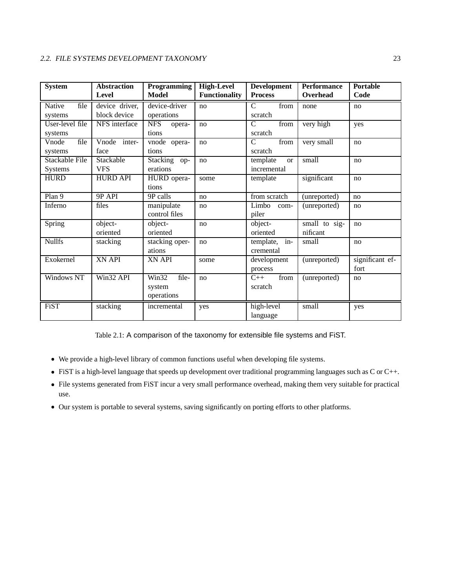| <b>System</b>     | <b>Abstraction</b> | <b>Programming</b>                 | <b>High-Level</b>    | <b>Development</b>                        | <b>Performance</b> | <b>Portable</b> |
|-------------------|--------------------|------------------------------------|----------------------|-------------------------------------------|--------------------|-----------------|
|                   | Level              | Model                              | <b>Functionality</b> | <b>Process</b>                            | Overhead           | Code            |
| Native<br>file    | device driver,     | device-driver                      | no                   | C<br>from                                 | none               | no              |
| systems           | block device       | operations                         |                      | scratch                                   |                    |                 |
| User-level file   | NFS interface      | <b>NFS</b><br>opera-               | no                   | from<br>C                                 | very high          | yes             |
| systems           |                    | tions                              |                      | scratch                                   |                    |                 |
| file<br>Vnode     | inter-<br>Vnode    | vnode opera-                       | no                   | $\overline{\text{from}}$<br>$\mathcal{C}$ | very small         | no              |
| systems           | face               | tions                              |                      | scratch                                   |                    |                 |
| Stackable File    | Stackable          | Stacking op-                       | no                   | template<br><sub>or</sub>                 | small              | no              |
| <b>Systems</b>    | <b>VFS</b>         | erations                           |                      | incremental                               |                    |                 |
| <b>HURD</b>       | <b>HURD API</b>    | HURD opera-                        | some                 | template                                  | significant        | no              |
|                   |                    | tions                              |                      |                                           |                    |                 |
| Plan 9            | 9P API             | 9P calls                           | no                   | from scratch                              | (unreported)       | no              |
| Inferno           | files              | manipulate                         | no                   | Limbo<br>com-                             | (unreported)       | no              |
|                   |                    | control files                      |                      | piler                                     |                    |                 |
| Spring            | object-            | object-                            | no                   | object-                                   | small to sig-      | no              |
|                   | oriented           | oriented                           |                      | oriented                                  | nificant           |                 |
| <b>Nullfs</b>     | stacking           | stacking oper-                     | no                   | template,<br>$in-$                        | small              | no              |
|                   |                    | ations                             |                      | cremental                                 |                    |                 |
| Exokernel         | <b>XN API</b>      | <b>XN API</b>                      | some                 | development                               | (unreported)       | significant ef- |
|                   |                    |                                    |                      | process                                   |                    | fort            |
| <b>Windows NT</b> | Win32 API          | $\overline{\text{Win32}}$<br>file- | no                   | from<br>$C++$                             | (unreported)       | no              |
|                   |                    | system                             |                      | scratch                                   |                    |                 |
|                   |                    | operations                         |                      |                                           |                    |                 |
| FiST              | stacking           | incremental                        | yes                  | high-level                                | small              | yes             |
|                   |                    |                                    |                      | language                                  |                    |                 |

Table 2.1: A comparison of the taxonomy for extensible file systems and FiST.

- \ We provide a high-level library of common functions useful when developing file systems.
- $\bullet$  FiST is a high-level language that speeds up development over traditional programming languages such as C or C++.
- File systems generated from FiST incur a very small performance overhead, making them very suitable for practical use.
- Our system is portable to several systems, saving significantly on porting efforts to other platforms.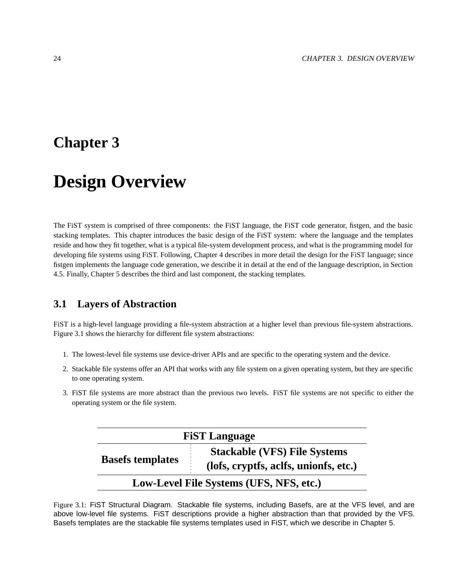## **Chapter 3**

# **Design Overview**

The FiST system is comprised of three components: the FiST language, the FiST code generator, fistgen, and the basic stacking templates. This chapter introduces the basic design of the FiST system: where the language and the templates reside and how they fit together, what is a typical file-system development process, and what is the programming model for developing file systems using FiST. Following, Chapter 4 describes in more detail the design for the FiST language; since fistgen implements the language code generation, we describe it in detail at the end of the language description, in Section 4.5. Finally, Chapter 5 describes the third and last component, the stacking templates.

## **3.1 Layers of Abstraction**

FiST is a high-level language providing a file-system abstraction at a higher level than previous file-system abstractions. Figure 3.1 shows the hierarchy for different file system abstractions:

- 1. The lowest-level file systems use device-driver APIs and are specific to the operating system and the device.
- 2. Stackable file systems offer an API that works with any file system on a given operating system, but they are specific to one operating system.
- 3. FiST file systems are more abstract than the previous two levels. FiST file systems are not specific to either the operating system or the file system.

| <b>FiST Language</b>    |                                                                              |  |  |
|-------------------------|------------------------------------------------------------------------------|--|--|
| <b>Basefs templates</b> | <b>Stackable (VFS) File Systems</b><br>(lofs, cryptfs, aclfs, unionfs, etc.) |  |  |
|                         | Low-Level File Systems (UFS, NFS, etc.)                                      |  |  |

Figure 3.1: FiST Structural Diagram. Stackable file systems, including Basefs, are at the VFS level, and are above low-level file systems. FiST descriptions provide a higher abstraction than that provided by the VFS. Basefs templates are the stackable file systems templates used in FiST, which we describe in Chapter 5.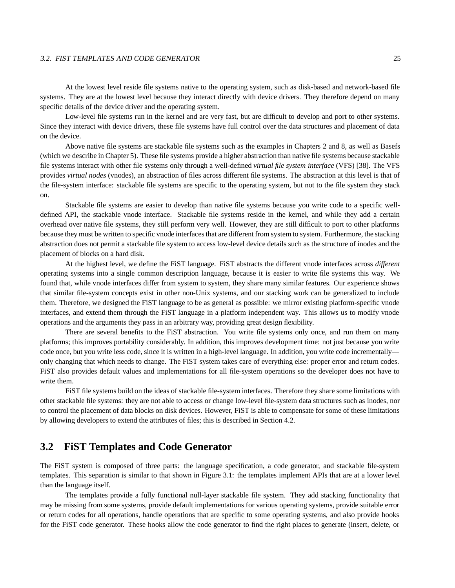#### 3.2. FIST TEMPLATES AND CODE GENERATOR 25

At the lowest level reside file systems native to the operating system, such as disk-based and network-based file systems. They are at the lowest level because they interact directly with device drivers. They therefore depend on many specific details of the device driver and the operating system.

Low-level file systems run in the kernel and are very fast, but are difficult to develop and port to other systems. Since they interact with device drivers, these file systems have full control over the data structures and placement of data on the device.

Above native file systems are stackable file systems such as the examples in Chapters 2 and 8, as well as Basefs (which we describe in Chapter 5). These file systems provide a higher abstraction than native file systems because stackable file systems interact with other file systems only through a well-defined *virtual file system interface* (VFS) [38]. The VFS provides *virtual nodes* (vnodes), an abstraction of files across different file systems. The abstraction at this level is that of the file-system interface: stackable file systems are specific to the operating system, but not to the file system they stack on.

Stackable file systems are easier to develop than native file systems because you write code to a specific welldefined API, the stackable vnode interface. Stackable file systems reside in the kernel, and while they add a certain overhead over native file systems, they still perform very well. However, they are still difficult to port to other platforms because they must be written to specific vnode interfacesthat are different from system to system. Furthermore, the stacking abstraction does not permit a stackable file system to access low-level device details such as the structure of inodes and the placement of blocks on a hard disk.

At the highest level, we define the FiST language. FiST abstracts the different vnode interfaces across *different* operating systems into a single common description language, because it is easier to write file systems this way. We found that, while vnode interfaces differ from system to system, they share many similar features. Our experience shows that similar file-system concepts exist in other non-Unix systems, and our stacking work can be generalized to include them. Therefore, we designed the FiST language to be as general as possible: we mirror existing platform-specific vnode interfaces, and extend them through the FiST language in a platform independent way. This allows us to modify vnode operations and the arguments they pass in an arbitrary way, providing great design flexibility.

There are several benefits to the FiST abstraction. You write file systems only once, and run them on many platforms; this improves portability considerably. In addition, this improves development time: not just because you write code once, but you write less code, since it is written in a high-level language. In addition, you write code incrementally only changing that which needs to change. The FiST system takes care of everything else: proper error and return codes. FiST also provides default values and implementations for all file-system operations so the developer does not have to write them.

FiST file systems build on the ideas of stackable file-system interfaces. Therefore they share some limitations with other stackable file systems: they are not able to access or change low-level file-system data structures such as inodes, nor to control the placement of data blocks on disk devices. However, FiST is able to compensate for some of these limitations by allowing developers to extend the attributes of files; this is described in Section 4.2.

### **3.2 FiST Templates and Code Generator**

The FiST system is composed of three parts: the language specification, a code generator, and stackable file-system templates. This separation is similar to that shown in Figure 3.1: the templates implement APIs that are at a lower level than the language itself.

The templates provide a fully functional null-layer stackable file system. They add stacking functionality that may be missing from some systems, provide default implementations for various operating systems, provide suitable error or return codes for all operations, handle operations that are specific to some operating systems, and also provide hooks for the FiST code generator. These hooks allow the code generator to find the right places to generate (insert, delete, or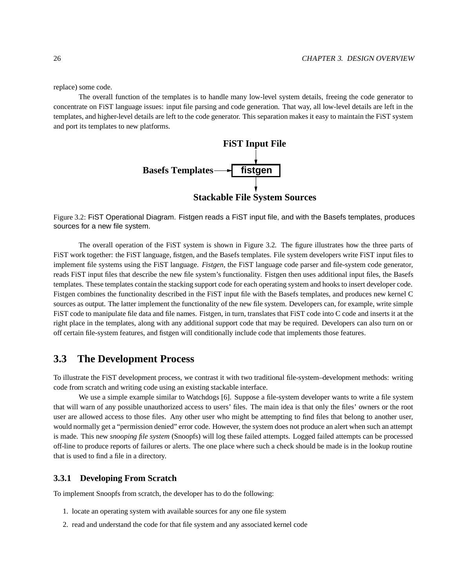replace) some code.

The overall function of the templates is to handle many low-level system details, freeing the code generator to concentrate on FiST language issues: input file parsing and code generation. That way, all low-level details are left in the templates, and higher-level details are left to the code generator. This separation makes it easy to maintain the FiST system and port its templates to new platforms.



Figure 3.2: FiST Operational Diagram. Fistgen reads a FiST input file, and with the Basefs templates, produces sources for a new file system.

The overall operation of the FiST system is shown in Figure 3.2. The figure illustrates how the three parts of FiST work together: the FiST language, fistgen, and the Basefs templates. File system developers write FiST input files to implement file systems using the FiST language. *Fistgen*, the FiST language code parser and file-system code generator, reads FiST input files that describe the new file system's functionality. Fistgen then uses additional input files, the Basefs templates. These templates contain the stacking support code for each operating system and hooks to insert developer code. Fistgen combines the functionality described in the FiST input file with the Basefs templates, and produces new kernel C sources as output. The latter implement the functionality of the new file system. Developers can, for example, write simple FiST code to manipulate file data and file names. Fistgen, in turn, translates that FiST code into C code and inserts it at the right place in the templates, along with any additional support code that may be required. Developers can also turn on or off certain file-system features, and fistgen will conditionally include code that implements those features.

## **3.3 The Development Process**

To illustrate the FiST development process, we contrast it with two traditional file-system–development methods: writing code from scratch and writing code using an existing stackable interface.

We use a simple example similar to Watchdogs [6]. Suppose a file-system developer wants to write a file system that will warn of any possible unauthorized access to users' files. The main idea is that only the files' owners or the root user are allowed access to those files. Any other user who might be attempting to find files that belong to another user, would normally get a "permission denied" error code. However, the system does not produce an alert when such an attempt is made. This new *snooping file system* (Snoopfs) will log these failed attempts. Logged failed attempts can be processed off-line to produce reports of failures or alerts. The one place where such a check should be made is in the lookup routine that is used to find a file in a directory.

### **3.3.1 Developing From Scratch**

To implement Snoopfs from scratch, the developer has to do the following:

- 1. locate an operating system with available sources for any one file system
- 2. read and understand the code for that file system and any associated kernel code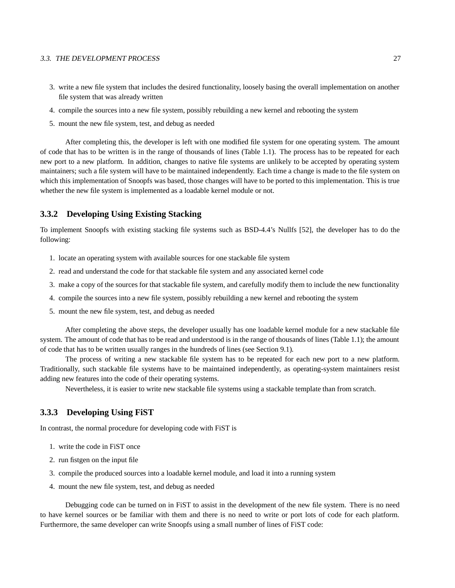### 3.3. THE DEVELOPMENT PROCESS 27

- 3. write a new file system that includes the desired functionality, loosely basing the overall implementation on another file system that was already written
- 4. compile the sources into a new file system, possibly rebuilding a new kernel and rebooting the system
- 5. mount the new file system, test, and debug as needed

After completing this, the developer is left with one modified file system for one operating system. The amount of code that has to be written is in the range of thousands of lines (Table 1.1). The process has to be repeated for each new port to a new platform. In addition, changes to native file systems are unlikely to be accepted by operating system maintainers; such a file system will have to be maintained independently. Each time a change is made to the file system on which this implementation of Snoopfs was based, those changes will have to be ported to this implementation. This is true whether the new file system is implemented as a loadable kernel module or not.

### **3.3.2 Developing Using Existing Stacking**

To implement Snoopfs with existing stacking file systems such as BSD-4.4's Nullfs [52], the developer has to do the following:

- 1. locate an operating system with available sources for one stackable file system
- 2. read and understand the code for that stackable file system and any associated kernel code
- 3. make a copy of the sources for that stackable file system, and carefully modify them to include the new functionality
- 4. compile the sources into a new file system, possibly rebuilding a new kernel and rebooting the system
- 5. mount the new file system, test, and debug as needed

After completing the above steps, the developer usually has one loadable kernel module for a new stackable file system. The amount of code that has to be read and understood is in the range of thousands of lines (Table 1.1); the amount of code that has to be written usually ranges in the hundreds of lines (see Section 9.1).

The process of writing a new stackable file system has to be repeated for each new port to a new platform. Traditionally, such stackable file systems have to be maintained independently, as operating-system maintainers resist adding new features into the code of their operating systems.

Nevertheless, it is easier to write new stackable file systems using a stackable template than from scratch.

### **3.3.3 Developing Using FiST**

In contrast, the normal procedure for developing code with FiST is

- 1. write the code in FiST once
- 2. run fistgen on the input file
- 3. compile the produced sources into a loadable kernel module, and load it into a running system
- 4. mount the new file system, test, and debug as needed

Debugging code can be turned on in FiST to assist in the development of the new file system. There is no need to have kernel sources or be familiar with them and there is no need to write or port lots of code for each platform. Furthermore, the same developer can write Snoopfs using a small number of lines of FiST code: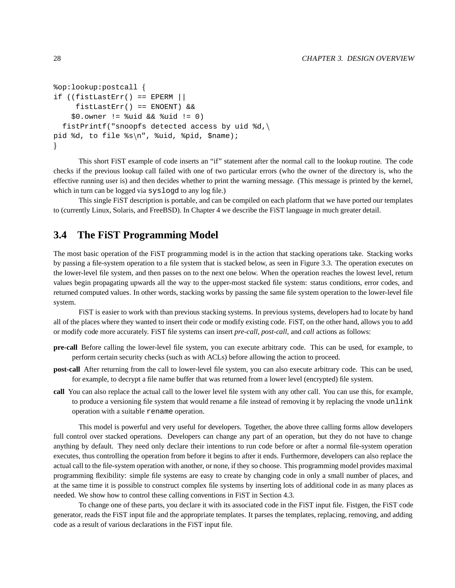```
%op:lookup:postcall ]
if ((fistLastErr() == EPERM | |fistLastErr() == ENOENT) &&
    $0.owner != %uid && %uid != 0)
  fistPrintf("snoopfs detected access by uid d,
pid %d, to file %s\n", %uid, %pid, $name);
\mathcal{L}
```
This short FiST example of code inserts an "if" statement after the normal call to the lookup routine. The code checks if the previous lookup call failed with one of two particular errors (who the owner of the directory is, who the effective running user is) and then decides whether to print the warning message. (This message is printed by the kernel, which in turn can be logged via syslogd to any log file.)

This single FiST description is portable, and can be compiled on each platform that we have ported our templates to (currently Linux, Solaris, and FreeBSD). In Chapter 4 we describe the FiST language in much greater detail.

## **3.4 The FiST Programming Model**

The most basic operation of the FiST programming model is in the action that stacking operations take. Stacking works by passing a file-system operation to a file system that is stacked below, as seen in Figure 3.3. The operation executes on the lower-level file system, and then passes on to the next one below. When the operation reaches the lowest level, return values begin propagating upwards all the way to the upper-most stacked file system: status conditions, error codes, and returned computed values. In other words, stacking works by passing the same file system operation to the lower-level file system.

FiST is easier to work with than previous stacking systems. In previous systems, developers had to locate by hand all of the places where they wanted to insert their code or modify existing code. FiST, on the other hand, allows you to add or modify code more accurately. FiST file systems can insert *pre-call*, *post-call*, and *call* actions as follows:

- **pre-call** Before calling the lower-level file system, you can execute arbitrary code. This can be used, for example, to perform certain security checks (such as with ACLs) before allowing the action to proceed.
- **post-call** After returning from the call to lower-level file system, you can also execute arbitrary code. This can be used, for example, to decrypt a file name buffer that was returned from a lower level (encrypted) file system.
- **call** You can also replace the actual call to the lower level file system with any other call. You can use this, for example, to produce a versioning file system that would rename a file instead of removing it by replacing the vnode unlink operation with a suitable rename operation.

This model is powerful and very useful for developers. Together, the above three calling forms allow developers full control over stacked operations. Developers can change any part of an operation, but they do not have to change anything by default. They need only declare their intentions to run code before or after a normal file-system operation executes, thus controlling the operation from before it begins to after it ends. Furthermore, developers can also replace the actual call to the file-system operation with another, or none, if they so choose. This programming model provides maximal programming flexibility: simple file systems are easy to create by changing code in only a small number of places, and at the same time it is possible to construct complex file systems by inserting lots of additional code in as many places as needed. We show how to control these calling conventions in FiST in Section 4.3.

To change one of these parts, you declare it with its associated code in the FiST input file. Fistgen, the FiST code generator, reads the FiST input file and the appropriate templates. It parses the templates, replacing, removing, and adding code as a result of various declarations in the FiST input file.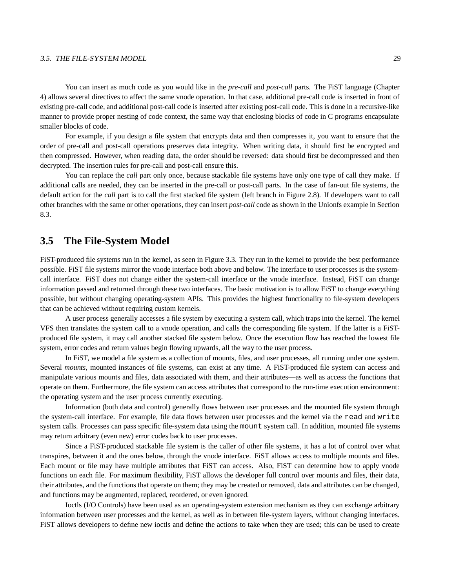### 3.5. THE FILE-SYSTEM MODEL 29

You can insert as much code as you would like in the *pre-call* and *post-call* parts. The FiST language (Chapter 4) allows several directives to affect the same vnode operation. In that case, additional pre-call code is inserted in front of existing pre-call code, and additional post-call code is inserted after existing post-call code. This is done in a recursive-like manner to provide proper nesting of code context, the same way that enclosing blocks of code in C programs encapsulate smaller blocks of code.

For example, if you design a file system that encrypts data and then compresses it, you want to ensure that the order of pre-call and post-call operations preserves data integrity. When writing data, it should first be encrypted and then compressed. However, when reading data, the order should be reversed: data should first be decompressed and then decrypted. The insertion rules for pre-call and post-call ensure this.

You can replace the *call* part only once, because stackable file systems have only one type of call they make. If additional calls are needed, they can be inserted in the pre-call or post-call parts. In the case of fan-out file systems, the default action for the *call* part is to call the first stacked file system (left branch in Figure 2.8). If developers want to call other branches with the same or other operations, they can insert *post-call* code as shown in the Unionfs example in Section 8.3.

### **3.5 The File-System Model**

FiST-produced file systems run in the kernel, as seen in Figure 3.3. They run in the kernel to provide the best performance possible. FiST file systems mirror the vnode interface both above and below. The interface to user processes is the systemcall interface. FiST does not change either the system-call interface or the vnode interface. Instead, FiST can change information passed and returned through these two interfaces. The basic motivation is to allow FiST to change everything possible, but without changing operating-system APIs. This provides the highest functionality to file-system developers that can be achieved without requiring custom kernels.

A user process generally accesses a file system by executing a system call, which traps into the kernel. The kernel VFS then translates the system call to a vnode operation, and calls the corresponding file system. If the latter is a FiSTproduced file system, it may call another stacked file system below. Once the execution flow has reached the lowest file system, error codes and return values begin flowing upwards, all the way to the user process.

In FiST, we model a file system as a collection of mounts, files, and user processes, all running under one system. Several *mounts*, mounted instances of file systems, can exist at any time. A FiST-produced file system can access and manipulate various mounts and files, data associated with them, and their attributes—as well as access the functions that operate on them. Furthermore, the file system can access attributes that correspond to the run-time execution environment: the operating system and the user process currently executing.

Information (both data and control) generally flows between user processes and the mounted file system through the system-call interface. For example, file data flows between user processes and the kernel via the read and write system calls. Processes can pass specific file-system data using the mount system call. In addition, mounted file systems may return arbitrary (even new) error codes back to user processes.

Since a FiST-produced stackable file system is the caller of other file systems, it has a lot of control over what transpires, between it and the ones below, through the vnode interface. FiST allows access to multiple mounts and files. Each mount or file may have multiple attributes that FiST can access. Also, FiST can determine how to apply vnode functions on each file. For maximum flexibility, FiST allows the developer full control over mounts and files, their data, their attributes, and the functions that operate on them; they may be created or removed, data and attributes can be changed, and functions may be augmented, replaced, reordered, or even ignored.

Ioctls (I/O Controls) have been used as an operating-system extension mechanism as they can exchange arbitrary information between user processes and the kernel, as well as in between file-system layers, without changing interfaces. FiST allows developers to define new ioctls and define the actions to take when they are used; this can be used to create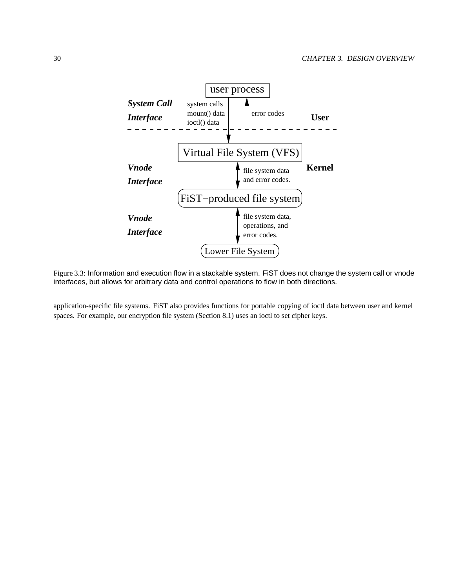

Figure 3.3: Information and execution flow in a stackable system. FiST does not change the system call or vnode interfaces, but allows for arbitrary data and control operations to flow in both directions.

application-specific file systems. FiST also provides functions for portable copying of ioctl data between user and kernel spaces. For example, our encryption file system (Section 8.1) uses an ioctl to set cipher keys.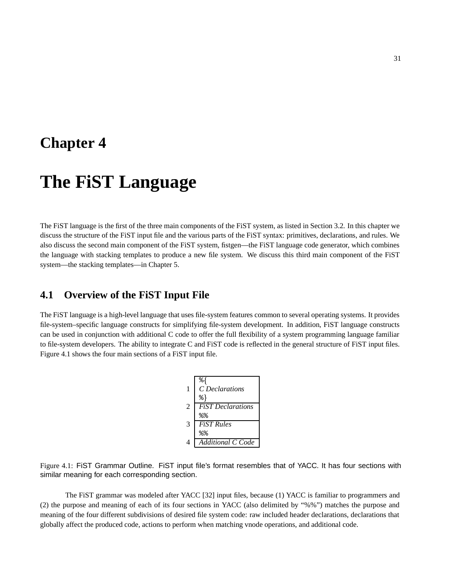## **Chapter 4**

# **The FiST Language**

The FiST language is the first of the three main components of the FiST system, as listed in Section 3.2. In this chapter we discuss the structure of the FiST input file and the various parts of the FiST syntax: primitives, declarations, and rules. We also discuss the second main component of the FiST system, fistgen—the FiST language code generator, which combines the language with stacking templates to produce a new file system. We discuss this third main component of the FiST system—the stacking templates—in Chapter 5.

## **4.1 Overview of the FiST Input File**

The FiST language is a high-level language that uses file-system features common to several operating systems. It provides file-system–specific language constructs for simplifying file-system development. In addition, FiST language constructs can be used in conjunction with additional C code to offer the full flexibility of a system programming language familiar to file-system developers. The ability to integrate C and FiST code is reflected in the general structure of FiST input files. Figure 4.1 shows the four main sections of a FiST input file.

|                | ిశ                       |
|----------------|--------------------------|
| 1              | C Declarations           |
|                | 응 }                      |
| $\overline{c}$ | <b>FiST</b> Declarations |
|                | % %                      |
| 3              | <b>FiST</b> Rules        |
|                | % %                      |
| 4              | Additional C Code        |

Figure 4.1: FiST Grammar Outline. FiST input file's format resembles that of YACC. It has four sections with similar meaning for each corresponding section.

The FiST grammar was modeled after YACC [32] input files, because (1) YACC is familiar to programmers and (2) the purpose and meaning of each of its four sections in YACC (also delimited by "%%") matches the purpose and meaning of the four different subdivisions of desired file system code: raw included header declarations, declarations that globally affect the produced code, actions to perform when matching vnode operations, and additional code.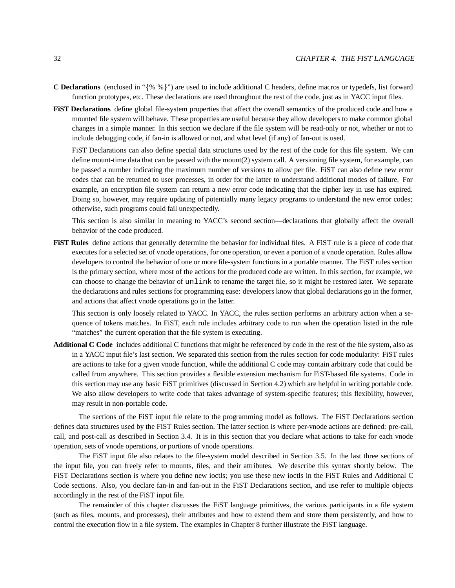- **C** Declarations (enclosed in " $\{$ % % $\}$ ") are used to include additional C headers, define macros or typedefs, list forward function prototypes, etc. These declarations are used throughout the rest of the code, just as in YACC input files.
- **FiST Declarations** define global file-system properties that affect the overall semantics of the produced code and how a mounted file system will behave. These properties are useful because they allow developers to make common global changes in a simple manner. In this section we declare if the file system will be read-only or not, whether or not to include debugging code, if fan-in is allowed or not, and what level (if any) of fan-out is used.

FiST Declarations can also define special data structures used by the rest of the code for this file system. We can define mount-time data that can be passed with the mount(2) system call. A versioning file system, for example, can be passed a number indicating the maximum number of versions to allow per file. FiST can also define new error codes that can be returned to user processes, in order for the latter to understand additional modes of failure. For example, an encryption file system can return a new error code indicating that the cipher key in use has expired. Doing so, however, may require updating of potentially many legacy programs to understand the new error codes; otherwise, such programs could fail unexpectedly.

This section is also similar in meaning to YACC's second section—declarations that globally affect the overall behavior of the code produced.

**FiST Rules** define actions that generally determine the behavior for individual files. A FiST rule is a piece of code that executes for a selected set of vnode operations, for one operation, or even a portion of a vnode operation. Rules allow developers to control the behavior of one or more file-system functions in a portable manner. The FiST rules section is the primary section, where most of the actions for the produced code are written. In this section, for example, we can choose to change the behavior of unlink to rename the target file, so it might be restored later. We separate the declarations and rules sections for programming ease: developers know that global declarations go in the former, and actions that affect vnode operations go in the latter.

This section is only loosely related to YACC. In YACC, the rules section performs an arbitrary action when a sequence of tokens matches. In FiST, each rule includes arbitrary code to run when the operation listed in the rule "matches" the current operation that the file system is executing.

**Additional C Code** includes additional C functions that might be referenced by code in the rest of the file system, also as in a YACC input file's last section. We separated this section from the rules section for code modularity: FiST rules are actions to take for a given vnode function, while the additional C code may contain arbitrary code that could be called from anywhere. This section provides a flexible extension mechanism for FiST-based file systems. Code in this section may use any basic FiST primitives (discussed in Section 4.2) which are helpful in writing portable code. We also allow developers to write code that takes advantage of system-specific features; this flexibility, however, may result in non-portable code.

The sections of the FiST input file relate to the programming model as follows. The FiST Declarations section defines data structures used by the FiST Rules section. The latter section is where per-vnode actions are defined: pre-call, call, and post-call as described in Section 3.4. It is in this section that you declare what actions to take for each vnode operation, sets of vnode operations, or portions of vnode operations.

The FiST input file also relates to the file-system model described in Section 3.5. In the last three sections of the input file, you can freely refer to mounts, files, and their attributes. We describe this syntax shortly below. The FiST Declarations section is where you define new ioctls; you use these new ioctls in the FiST Rules and Additional C Code sections. Also, you declare fan-in and fan-out in the FiST Declarations section, and use refer to multiple objects accordingly in the rest of the FiST input file.

The remainder of this chapter discusses the FiST language primitives, the various participants in a file system (such as files, mounts, and processes), their attributes and how to extend them and store them persistently, and how to control the execution flow in a file system. The examples in Chapter 8 further illustrate the FiST language.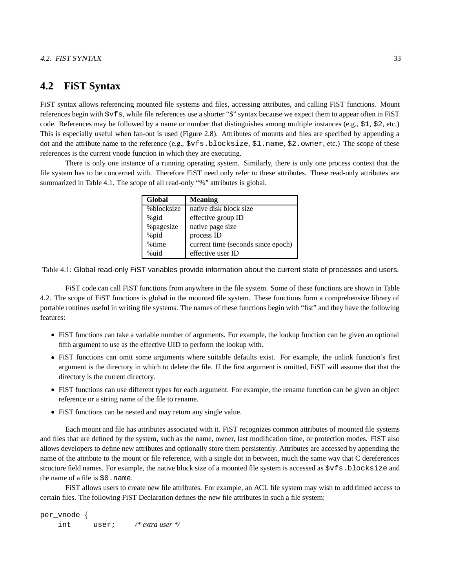## **4.2 FiST Syntax**

FiST syntax allows referencing mounted file systems and files, accessing attributes, and calling FiST functions. Mount references begin with \$vfs, while file references use a shorter "\$" syntax because we expect them to appear often in FiST code. References may be followed by a name or number that distinguishes among multiple instances (e.g.,  $\overline{51}$ ,  $\overline{52}$ , etc.) This is especially useful when fan-out is used (Figure 2.8). Attributes of mounts and files are specified by appending a dot and the attribute name to the reference (e.g.,  $\forall$ vfs.blocksize,  $\exists$ 1.name,  $\exists$ 2.owner, etc.) The scope of these references is the current vnode function in which they are executing.

There is only one instance of a running operating system. Similarly, there is only one process context that the file system has to be concerned with. Therefore FiST need only refer to these attributes. These read-only attributes are summarized in Table 4.1. The scope of all read-only "%" attributes is global.

| Global     | <b>Meaning</b>                     |  |  |
|------------|------------------------------------|--|--|
| %blocksize | native disk block size             |  |  |
| %gid       | effective group ID                 |  |  |
| %pagesize  | native page size                   |  |  |
| %pid       | process ID                         |  |  |
| %time      | current time (seconds since epoch) |  |  |
| $%$ uid    | effective user ID                  |  |  |

Table 4.1: Global read-only FiST variables provide information about the current state of processes and users.

FiST code can call FiST functions from anywhere in the file system. Some of these functions are shown in Table 4.2. The scope of FiST functions is global in the mounted file system. These functions form a comprehensive library of portable routines useful in writing file systems. The names of these functions begin with "fist" and they have the following features:

- \ FiST functions can take a variable number of arguments. For example, the lookup function can be given an optional fifth argument to use as the effective UID to perform the lookup with.
- FiST functions can omit some arguments where suitable defaults exist. For example, the unlink function's first argument is the directory in which to delete the file. If the first argument is omitted, FiST will assume that that the directory is the current directory.
- FiST functions can use different types for each argument. For example, the rename function can be given an object reference or a string name of the file to rename.
- \ FiST functions can be nested and may return any single value.

Each mount and file has attributes associated with it. FiST recognizes common attributes of mounted file systems and files that are defined by the system, such as the name, owner, last modification time, or protection modes. FiST also allows developers to define new attributes and optionally store them persistently. Attributes are accessed by appending the name of the attribute to the mount or file reference, with a single dot in between, much the same way that C dereferences structure field names. For example, the native block size of a mounted file system is accessed as  $\forall$ x $\exists$ s.blocksize and the name of a file is \$0.name.

FiST allows users to create new file attributes. For example, an ACL file system may wish to add timed access to certain files. The following FiST Declaration defines the new file attributes in such a file system:

```
per_vnode {
   int user; /* extra user */
```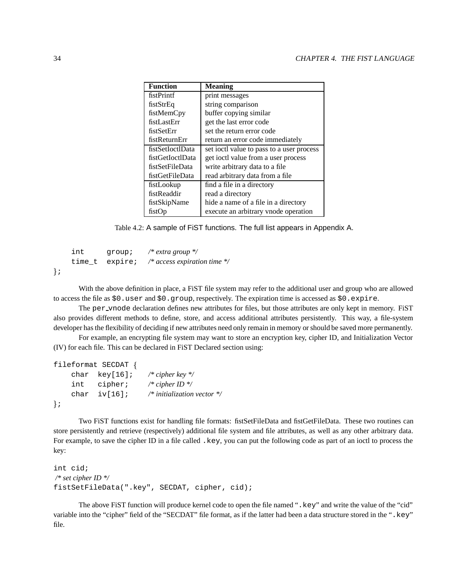| <b>Function</b>  | <b>Meaning</b>                            |  |  |
|------------------|-------------------------------------------|--|--|
| fistPrintf       | print messages                            |  |  |
| fistStrEq        | string comparison                         |  |  |
| fistMemCpy       | buffer copying similar                    |  |  |
| fistLastErr      | get the last error code                   |  |  |
| fistSetErr       | set the return error code                 |  |  |
| fistReturnErr    | return an error code immediately          |  |  |
| fistSetIoctIData | set joctl value to pass to a user process |  |  |
| fistGetIoctlData | get ioctl value from a user process       |  |  |
| fistSetFileData  | write arbitrary data to a file            |  |  |
| fistGetFileData  | read arbitrary data from a file           |  |  |
| fistLookup       | find a file in a directory                |  |  |
| fistReaddir      | read a directory                          |  |  |
| fistSkipName     | hide a name of a file in a directory      |  |  |
| fistOp           | execute an arbitrary vnode operation      |  |  |

Table 4.2: A sample of FiST functions. The full list appears in Appendix A.

```
int group; /* extra group */
    time_t expire; /* access expiration time */
\} ;
```
With the above definition in place, a FiST file system may refer to the additional user and group who are allowed to access the file as  $$0$ .user and  $$0$ .group, respectively. The expiration time is accessed as  $$0$ .expire.

The per vnode declaration defines new attributes for files, but those attributes are only kept in memory. FiST also provides different methods to define, store, and access additional attributes persistently. This way, a file-system developer has the flexibility of deciding if new attributes need only remain in memory or should be saved more permanently.

For example, an encrypting file system may want to store an encryption key, cipher ID, and Initialization Vector (IV) for each file. This can be declared in FiST Declared section using:

```
fileformat SECDAT {
    char key[16]; /* cipher key */
    int cipher; /* cipher ID */
    char iv[16]; /* initialization vector */
\} ;
```
Two FiST functions exist for handling file formats: fistSetFileData and fistGetFileData. These two routines can store persistently and retrieve (respectively) additional file system and file attributes, as well as any other arbitrary data. For example, to save the cipher ID in a file called . key, you can put the following code as part of an ioctl to process the key:

```
int cid;
/* set cipher ID */
fistSetFileData(".key", SECDAT, cipher, cid);
```
The above FiST function will produce kernel code to open the file named ".key" and write the value of the "cid" variable into the "cipher" field of the "SECDAT" file format, as if the latter had been a data structure stored in the ".key" file.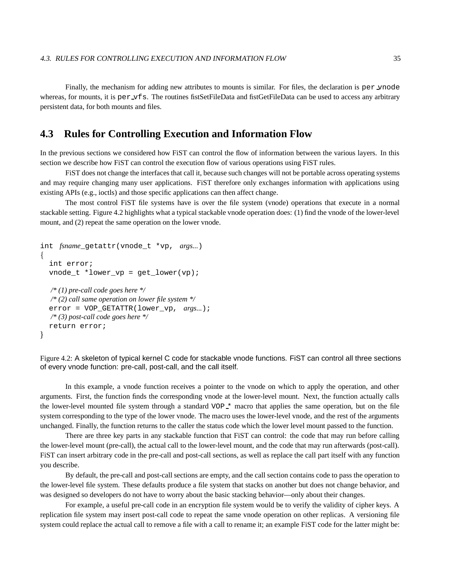Finally, the mechanism for adding new attributes to mounts is similar. For files, the declaration is per vnode whereas, for mounts, it is per vfs. The routines fistSetFileData and fistGetFileData can be used to access any arbitrary persistent data, for both mounts and files.

## **4.3 Rules for Controlling Execution and Information Flow**

In the previous sections we considered how FiST can control the flow of information between the various layers. In this section we describe how FiST can control the execution flow of various operations using FiST rules.

FiST does not change the interfaces that call it, because such changes will not be portable across operating systems and may require changing many user applications. FiST therefore only exchanges information with applications using existing APIs (e.g., ioctls) and those specific applications can then affect change.

The most control FiST file systems have is over the file system (vnode) operations that execute in a normal stackable setting. Figure 4.2 highlights what a typical stackable vnode operation does: (1) find the vnode of the lower-level mount, and (2) repeat the same operation on the lower vnode.

```
int fsname_getattr(vnode_t *vp, args...)
\{int error;
  vnode_t *lower_vp = get_lower(vp);
  /* (1) pre-call code goes here */
  /* (2) call same operation on lower file system */
  error = VOP_GETATTR(lower_vp, args...);
  /* (3) post-call code goes here */
  return error;
_
```
Figure 4.2: A skeleton of typical kernel C code for stackable vnode functions. FiST can control all three sections of every vnode function: pre-call, post-call, and the call itself.

In this example, a vnode function receives a pointer to the vnode on which to apply the operation, and other arguments. First, the function finds the corresponding vnode at the lower-level mount. Next, the function actually calls the lower-level mounted file system through a standard VOP \* macro that applies the same operation, but on the file system corresponding to the type of the lower vnode. The macro uses the lower-level vnode, and the rest of the arguments unchanged. Finally, the function returns to the caller the status code which the lower level mount passed to the function.

There are three key parts in any stackable function that FiST can control: the code that may run before calling the lower-level mount (pre-call), the actual call to the lower-level mount, and the code that may run afterwards (post-call). FiST can insert arbitrary code in the pre-call and post-call sections, as well as replace the call part itself with any function you describe.

By default, the pre-call and post-call sections are empty, and the call section contains code to pass the operation to the lower-level file system. These defaults produce a file system that stacks on another but does not change behavior, and was designed so developers do not have to worry about the basic stacking behavior—only about their changes.

For example, a useful pre-call code in an encryption file system would be to verify the validity of cipher keys. A replication file system may insert post-call code to repeat the same vnode operation on other replicas. A versioning file system could replace the actual call to remove a file with a call to rename it; an example FiST code for the latter might be: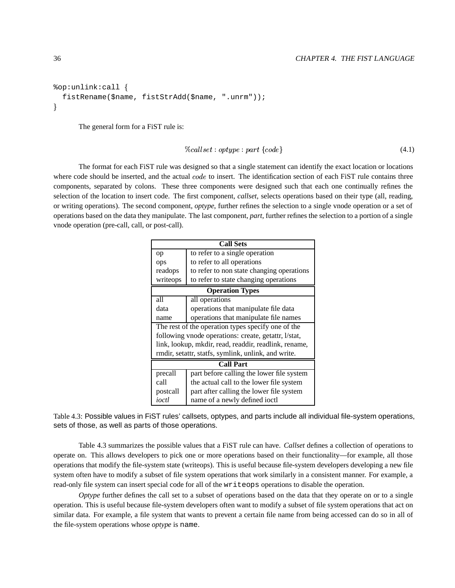```
%op:unlink:call ]
  fistRename($name, fistStrAdd($name, ".unrm"));
\mathcal{L}
```
The general form for a FiST rule is:

$$
\%called: optype: part \{code\} \tag{4.1}
$$

The format for each FiST rule was designed so that a single statement can identify the exact location or locations where code should be inserted, and the actual  $code$  to insert. The identification section of each FiST rule contains three components, separated by colons. These three components were designed such that each one continually refines the selection of the location to insert code. The first component, *callset*, selects operations based on their type (all, reading, or writing operations). The second component, *optype*, further refines the selection to a single vnode operation or a set of operations based on the data they manipulate. The last component, *part*, further refines the selection to a portion of a single vnode operation (pre-call, call, or post-call).

| <b>Call Sets</b>                                      |                                           |  |  |  |  |
|-------------------------------------------------------|-------------------------------------------|--|--|--|--|
| op                                                    | to refer to a single operation            |  |  |  |  |
| ops                                                   | to refer to all operations                |  |  |  |  |
| readops                                               | to refer to non state changing operations |  |  |  |  |
| writeops                                              | to refer to state changing operations     |  |  |  |  |
| <b>Operation Types</b>                                |                                           |  |  |  |  |
| all                                                   | all operations                            |  |  |  |  |
| data                                                  | operations that manipulate file data      |  |  |  |  |
| name                                                  | operations that manipulate file names     |  |  |  |  |
| The rest of the operation types specify one of the    |                                           |  |  |  |  |
| following vnode operations: create, getattr, l/stat,  |                                           |  |  |  |  |
| link, lookup, mkdir, read, readdir, readlink, rename, |                                           |  |  |  |  |
| rmdir, setattr, statfs, symlink, unlink, and write.   |                                           |  |  |  |  |
| <b>Call Part</b>                                      |                                           |  |  |  |  |
| precall                                               | part before calling the lower file system |  |  |  |  |
| call                                                  | the actual call to the lower file system  |  |  |  |  |
| postcall                                              | part after calling the lower file system  |  |  |  |  |
| ioctl                                                 | name of a newly defined ioctl             |  |  |  |  |

Table 4.3: Possible values in FiST rules' callsets, optypes, and parts include all individual file-system operations, sets of those, as well as parts of those operations.

Table 4.3 summarizes the possible values that a FiST rule can have. *Callset* defines a collection of operations to operate on. This allows developers to pick one or more operations based on their functionality—for example, all those operations that modify the file-system state (writeops). This is useful because file-system developers developing a new file system often have to modify a subset of file system operations that work similarly in a consistent manner. For example, a read-only file system can insert special code for all of the writeops operations to disable the operation.

*Optype* further defines the call set to a subset of operations based on the data that they operate on or to a single operation. This is useful because file-system developers often want to modify a subset of file system operations that act on similar data. For example, a file system that wants to prevent a certain file name from being accessed can do so in all of the file-system operations whose *optype* is name.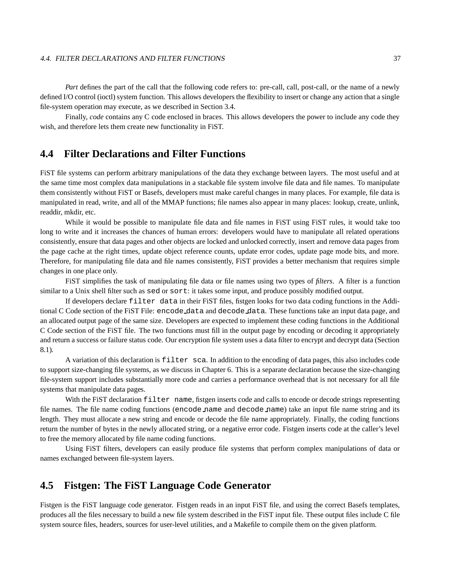### 4.4. FILTER DECLARATIONS AND FILTER FUNCTIONS 37

*Part* defines the part of the call that the following code refers to: pre-call, call, post-call, or the name of a newly defined I/O control (ioctl) system function. This allows developers the flexibility to insert or change any action that a single file-system operation may execute, as we described in Section 3.4.

Finally, *code* contains any C code enclosed in braces. This allows developers the power to include any code they wish, and therefore lets them create new functionality in FiST.

## **4.4 Filter Declarations and Filter Functions**

FiST file systems can perform arbitrary manipulations of the data they exchange between layers. The most useful and at the same time most complex data manipulations in a stackable file system involve file data and file names. To manipulate them consistently without FiST or Basefs, developers must make careful changes in many places. For example, file data is manipulated in read, write, and all of the MMAP functions; file names also appear in many places: lookup, create, unlink, readdir, mkdir, etc.

While it would be possible to manipulate file data and file names in FiST using FiST rules, it would take too long to write and it increases the chances of human errors: developers would have to manipulate all related operations consistently, ensure that data pages and other objects are locked and unlocked correctly, insert and remove data pages from the page cache at the right times, update object reference counts, update error codes, update page mode bits, and more. Therefore, for manipulating file data and file names consistently, FiST provides a better mechanism that requires simple changes in one place only.

FiST simplifies the task of manipulating file data or file names using two types of *filters*. A filter is a function similar to a Unix shell filter such as sed or sort: it takes some input, and produce possibly modified output.

If developers declare filter data in their FiST files, fistgen looks for two data coding functions in the Additional C Code section of the FiST File: encode data and decode data. These functions take an input data page, and an allocated output page of the same size. Developers are expected to implement these coding functions in the Additional C Code section of the FiST file. The two functions must fill in the output page by encoding or decoding it appropriately and return a success or failure status code. Our encryption file system uses a data filter to encrypt and decrypt data (Section 8.1).

A variation of this declaration is filter sca. In addition to the encoding of data pages, this also includes code to support size-changing file systems, as we discuss in Chapter 6. This is a separate declaration because the size-changing file-system support includes substantially more code and carries a performance overhead that is not necessary for all file systems that manipulate data pages.

With the FiST declaration filter name, fistgen inserts code and calls to encode or decode strings representing file names. The file name coding functions (encode name and decode name) take an input file name string and its length. They must allocate a new string and encode or decode the file name appropriately. Finally, the coding functions return the number of bytes in the newly allocated string, or a negative error code. Fistgen inserts code at the caller's level to free the memory allocated by file name coding functions.

Using FiST filters, developers can easily produce file systems that perform complex manipulations of data or names exchanged between file-system layers.

## **4.5 Fistgen: The FiST Language Code Generator**

Fistgen is the FiST language code generator. Fistgen reads in an input FiST file, and using the correct Basefs templates, produces all the files necessary to build a new file system described in the FiST input file. These output files include C file system source files, headers, sources for user-level utilities, and a Makefile to compile them on the given platform.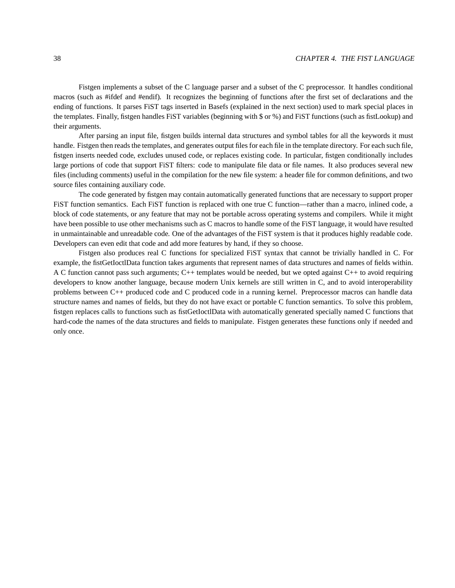Fistgen implements a subset of the C language parser and a subset of the C preprocessor. It handles conditional macros (such as #ifdef and #endif). It recognizes the beginning of functions after the first set of declarations and the ending of functions. It parses FiST tags inserted in Basefs (explained in the next section) used to mark special places in the templates. Finally, fistgen handles FiST variables (beginning with \$ or %) and FiST functions (such as fistLookup) and their arguments.

After parsing an input file, fistgen builds internal data structures and symbol tables for all the keywords it must handle. Fistgen then reads the templates, and generates output files for each file in the template directory. For each such file, fistgen inserts needed code, excludes unused code, or replaces existing code. In particular, fistgen conditionally includes large portions of code that support FiST filters: code to manipulate file data or file names. It also produces several new files (including comments) useful in the compilation for the new file system: a header file for common definitions, and two source files containing auxiliary code.

The code generated by fistgen may contain automatically generated functions that are necessary to support proper FiST function semantics. Each FiST function is replaced with one true C function—rather than a macro, inlined code, a block of code statements, or any feature that may not be portable across operating systems and compilers. While it might have been possible to use other mechanisms such as C macros to handle some of the FiST language, it would have resulted in unmaintainable and unreadable code. One of the advantages of the FiST system is that it produces highly readable code. Developers can even edit that code and add more features by hand, if they so choose.

Fistgen also produces real C functions for specialized FiST syntax that cannot be trivially handled in C. For example, the fistGetIoctlData function takes arguments that represent names of data structures and names of fields within. A C function cannot pass such arguments; C++ templates would be needed, but we opted against C++ to avoid requiring developers to know another language, because modern Unix kernels are still written in C, and to avoid interoperability problems between C++ produced code and C produced code in a running kernel. Preprocessor macros can handle data structure names and names of fields, but they do not have exact or portable C function semantics. To solve this problem, fistgen replaces calls to functions such as fistGetIoctlData with automatically generated specially named C functions that hard-code the names of the data structures and fields to manipulate. Fistgen generates these functions only if needed and only once.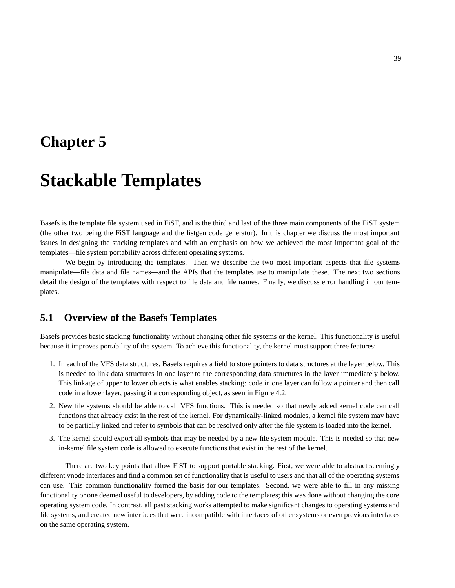## **Chapter 5**

# **Stackable Templates**

Basefs is the template file system used in FiST, and is the third and last of the three main components of the FiST system (the other two being the FiST language and the fistgen code generator). In this chapter we discuss the most important issues in designing the stacking templates and with an emphasis on how we achieved the most important goal of the templates—file system portability across different operating systems.

We begin by introducing the templates. Then we describe the two most important aspects that file systems manipulate—file data and file names—and the APIs that the templates use to manipulate these. The next two sections detail the design of the templates with respect to file data and file names. Finally, we discuss error handling in our templates.

## **5.1 Overview of the Basefs Templates**

Basefs provides basic stacking functionality without changing other file systems or the kernel. This functionality is useful because it improves portability of the system. To achieve this functionality, the kernel must support three features:

- 1. In each of the VFS data structures, Basefs requires a field to store pointers to data structures at the layer below. This is needed to link data structures in one layer to the corresponding data structures in the layer immediately below. This linkage of upper to lower objects is what enables stacking: code in one layer can follow a pointer and then call code in a lower layer, passing it a corresponding object, as seen in Figure 4.2.
- 2. New file systems should be able to call VFS functions. This is needed so that newly added kernel code can call functions that already exist in the rest of the kernel. For dynamically-linked modules, a kernel file system may have to be partially linked and refer to symbols that can be resolved only after the file system is loaded into the kernel.
- 3. The kernel should export all symbols that may be needed by a new file system module. This is needed so that new in-kernel file system code is allowed to execute functions that exist in the rest of the kernel.

There are two key points that allow FiST to support portable stacking. First, we were able to abstract seemingly different vnode interfaces and find a common set of functionality that is useful to users and that all of the operating systems can use. This common functionality formed the basis for our templates. Second, we were able to fill in any missing functionality or one deemed useful to developers, by adding code to the templates; this was done without changing the core operating system code. In contrast, all past stacking works attempted to make significant changes to operating systems and file systems, and created new interfaces that were incompatible with interfaces of other systems or even previous interfaces on the same operating system.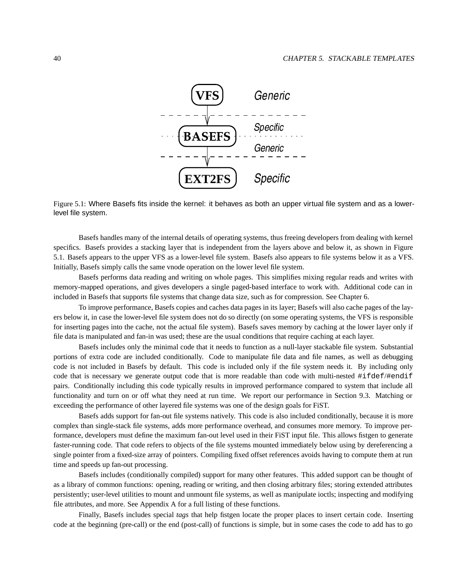

Figure 5.1: Where Basefs fits inside the kernel: it behaves as both an upper virtual file system and as a lowerlevel file system.

Basefs handles many of the internal details of operating systems, thus freeing developers from dealing with kernel specifics. Basefs provides a stacking layer that is independent from the layers above and below it, as shown in Figure 5.1. Basefs appears to the upper VFS as a lower-level file system. Basefs also appears to file systems below it as a VFS. Initially, Basefs simply calls the same vnode operation on the lower level file system.

Basefs performs data reading and writing on whole pages. This simplifies mixing regular reads and writes with memory-mapped operations, and gives developers a single paged-based interface to work with. Additional code can in included in Basefs that supports file systems that change data size, such as for compression. See Chapter 6.

To improve performance, Basefs copies and caches data pages in its layer; Basefs will also cache pages of the layers below it, in case the lower-level file system does not do so directly (on some operating systems, the VFS is responsible for inserting pages into the cache, not the actual file system). Basefs saves memory by caching at the lower layer only if file data is manipulated and fan-in was used; these are the usual conditions that require caching at each layer.

Basefs includes only the minimal code that it needs to function as a null-layer stackable file system. Substantial portions of extra code are included conditionally. Code to manipulate file data and file names, as well as debugging code is not included in Basefs by default. This code is included only if the file system needs it. By including only code that is necessary we generate output code that is more readable than code with multi-nested #ifdef/#endif pairs. Conditionally including this code typically results in improved performance compared to system that include all functionality and turn on or off what they need at run time. We report our performance in Section 9.3. Matching or exceeding the performance of other layered file systems was one of the design goals for FiST.

Basefs adds support for fan-out file systems natively. This code is also included conditionally, because it is more complex than single-stack file systems, adds more performance overhead, and consumes more memory. To improve performance, developers must define the maximum fan-out level used in their FiST input file. This allows fistgen to generate faster-running code. That code refers to objects of the file systems mounted immediately below using by dereferencing a single pointer from a fixed-size array of pointers. Compiling fixed offset references avoids having to compute them at run time and speeds up fan-out processing.

Basefs includes (conditionally compiled) support for many other features. This added support can be thought of as a library of common functions: opening, reading or writing, and then closing arbitrary files; storing extended attributes persistently; user-level utilities to mount and unmount file systems, as well as manipulate ioctls; inspecting and modifying file attributes, and more. See Appendix A for a full listing of these functions.

Finally, Basefs includes special *tags* that help fistgen locate the proper places to insert certain code. Inserting code at the beginning (pre-call) or the end (post-call) of functions is simple, but in some cases the code to add has to go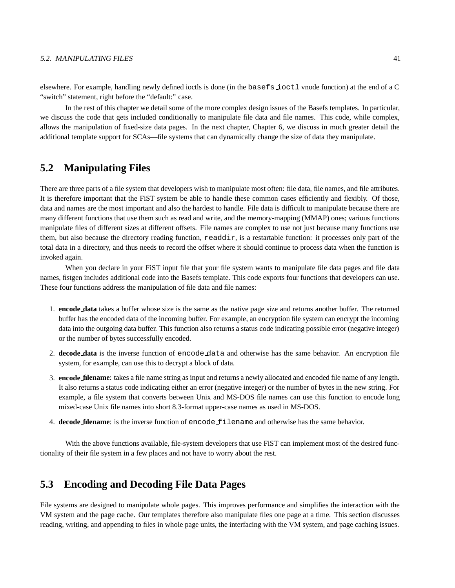### 5.2. MANIPULATING FILES 41

elsewhere. For example, handling newly defined ioctls is done (in the basefs ioctl vnode function) at the end of a C "switch" statement, right before the "default:" case.

In the rest of this chapter we detail some of the more complex design issues of the Basefs templates. In particular, we discuss the code that gets included conditionally to manipulate file data and file names. This code, while complex, allows the manipulation of fixed-size data pages. In the next chapter, Chapter 6, we discuss in much greater detail the additional template support for SCAs—file systems that can dynamically change the size of data they manipulate.

## **5.2 Manipulating Files**

There are three parts of a file system that developers wish to manipulate most often: file data, file names, and file attributes. It is therefore important that the FiST system be able to handle these common cases efficiently and flexibly. Of those, data and names are the most important and also the hardest to handle. File data is difficult to manipulate because there are many different functions that use them such as read and write, and the memory-mapping (MMAP) ones; various functions manipulate files of different sizes at different offsets. File names are complex to use not just because many functions use them, but also because the directory reading function, readdir, is a restartable function: it processes only part of the total data in a directory, and thus needs to record the offset where it should continue to process data when the function is invoked again.

When you declare in your FiST input file that your file system wants to manipulate file data pages and file data names, fistgen includes additional code into the Basefs template. This code exports four functions that developers can use. These four functions address the manipulation of file data and file names:

- 1. **encode data** takes a buffer whose size is the same as the native page size and returns another buffer. The returned buffer has the encoded data of the incoming buffer. For example, an encryption file system can encrypt the incoming data into the outgoing data buffer. This function also returns a status code indicating possible error (negative integer) or the number of bytes successfully encoded.
- 2. **decode data** is the inverse function of encode data and otherwise has the same behavior. An encryption file system, for example, can use this to decrypt a block of data.
- 3. **encode filename**: takes a file name string as input and returns a newly allocated and encoded file name of any length. It also returns a status code indicating either an error (negative integer) or the number of bytes in the new string. For example, a file system that converts between Unix and MS-DOS file names can use this function to encode long mixed-case Unix file names into short 8.3-format upper-case names as used in MS-DOS.
- 4. **decode filename**: is the inverse function of encode filename and otherwise has the same behavior.

With the above functions available, file-system developers that use FiST can implement most of the desired functionality of their file system in a few places and not have to worry about the rest.

## **5.3 Encoding and Decoding File Data Pages**

File systems are designed to manipulate whole pages. This improves performance and simplifies the interaction with the VM system and the page cache. Our templates therefore also manipulate files one page at a time. This section discusses reading, writing, and appending to files in whole page units, the interfacing with the VM system, and page caching issues.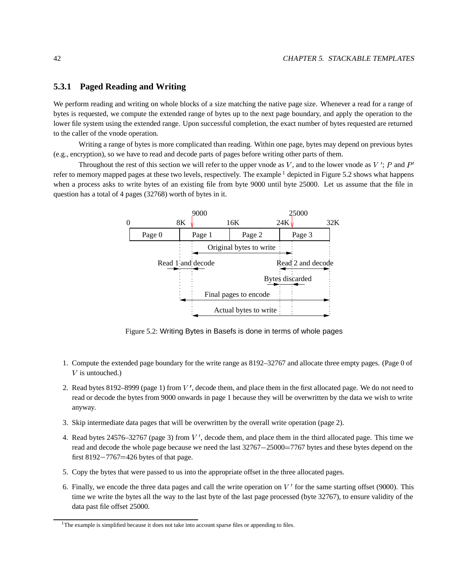### **5.3.1 Paged Reading and Writing**

We perform reading and writing on whole blocks of a size matching the native page size. Whenever a read for a range of bytes is requested, we compute the extended range of bytes up to the next page boundary, and apply the operation to the lower file system using the extended range. Upon successful completion, the exact number of bytes requested are returned to the caller of the vnode operation.

Writing a range of bytes is more complicated than reading. Within one page, bytes may depend on previous bytes (e.g., encryption), so we have to read and decode parts of pages before writing other parts of them.

Throughout the rest of this section we will refer to the upper vnode as V, and to the lower vnode as V': P and  $P'$ refer to memory mapped pages at these two levels, respectively. The example  $\frac{1}{2}$  depicted in Figure 5.2 shows what happens when a process asks to write bytes of an existing file from byte 9000 until byte 25000. Let us assume that the file in question has a total of 4 pages (32768) worth of bytes in it.



Figure 5.2: Writing Bytes in Basefs is done in terms of whole pages

- 1. Compute the extended page boundary for the write range as 8192–32767 and allocate three empty pages. (Page 0 of  $V$  is untouched.)
- 2. Read bytes 8192–8999 (page 1) from  $V'$ , decode them, and place them in the first allocated page. We do not need to read or decode the bytes from 9000 onwards in page 1 because they will be overwritten by the data we wish to write anyway.
- 3. Skip intermediate data pages that will be overwritten by the overall write operation (page 2).
- 4. Read bytes 24576–32767 (page 3) from  $V'$ , decode them, and place them in the third allocated page. This time we read and decode the whole page because we need the last  $32767-25000=7767$  bytes and these bytes depend on the first  $8192 - 7767 = 426$  bytes of that page.
- 5. Copy the bytes that were passed to us into the appropriate offset in the three allocated pages.
- 6. Finally, we encode the three data pages and call the write operation on  $V'$  for the same starting offset (9000). This time we write the bytes all the way to the last byte of the last page processed (byte 32767), to ensure validity of the data past file offset 25000.

<sup>&</sup>lt;sup>1</sup>The example is simplified because it does not take into account sparse files or appending to files.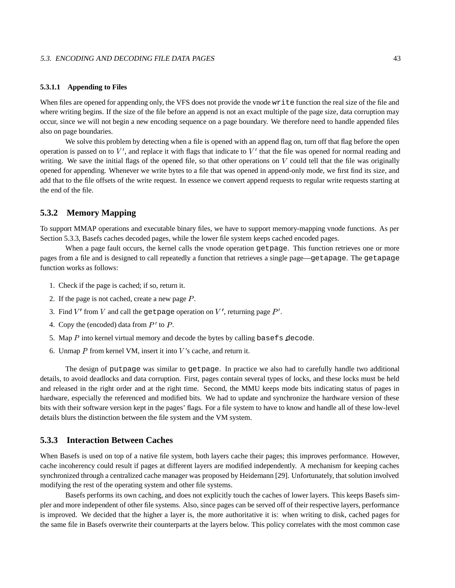### 5.3. ENCODING AND DECODING FILE DATA PAGES 43

### **5.3.1.1 Appending to Files**

When files are opened for appending only, the VFS does not provide the vnode write function the real size of the file and where writing begins. If the size of the file before an append is not an exact multiple of the page size, data corruption may occur, since we will not begin a new encoding sequence on a page boundary. We therefore need to handle appended files also on page boundaries.

We solve this problem by detecting when a file is opened with an append flag on, turn off that flag before the open operation is passed on to  $V'$ , and replace it with flags that indicate to  $V'$  that the file was opened for normal reading and writing. We save the initial flags of the opened file, so that other operations on  $V$  could tell that the file was originally opened for appending. Whenever we write bytes to a file that was opened in append-only mode, we first find its size, and add that to the file offsets of the write request. In essence we convert append requests to regular write requests starting at the end of the file.

### **5.3.2 Memory Mapping**

To support MMAP operations and executable binary files, we have to support memory-mapping vnode functions. As per Section 5.3.3, Basefs caches decoded pages, while the lower file system keeps cached encoded pages.

When a page fault occurs, the kernel calls the vnode operation getpage. This function retrieves one or more pages from a file and is designed to call repeatedly a function that retrieves a single page—getapage. The getapage function works as follows:

- 1. Check if the page is cached; if so, return it.
- 2. If the page is not cached, create a new page  $P$ .
- 3. Find  $V'$  from V and call the getpage operation on V', returning page  $P'$ .
- 4. Copy the (encoded) data from  $P'$  to  $P$ .
- 5. Map  $P$  into kernel virtual memory and decode the bytes by calling basefs decode.
- 6. Unmap  $P$  from kernel VM, insert it into  $V$ 's cache, and return it.

The design of putpage was similar to getpage. In practice we also had to carefully handle two additional details, to avoid deadlocks and data corruption. First, pages contain several types of locks, and these locks must be held and released in the right order and at the right time. Second, the MMU keeps mode bits indicating status of pages in hardware, especially the referenced and modified bits. We had to update and synchronize the hardware version of these bits with their software version kept in the pages' flags. For a file system to have to know and handle all of these low-level details blurs the distinction between the file system and the VM system.

### **5.3.3 Interaction Between Caches**

When Basefs is used on top of a native file system, both layers cache their pages; this improves performance. However, cache incoherency could result if pages at different layers are modified independently. A mechanism for keeping caches synchronized through a centralized cache manager was proposed by Heidemann [29]. Unfortunately, that solution involved modifying the rest of the operating system and other file systems.

Basefs performs its own caching, and does not explicitly touch the caches of lower layers. This keeps Basefs simpler and more independent of other file systems. Also, since pages can be served off of their respective layers, performance is improved. We decided that the higher a layer is, the more authoritative it is: when writing to disk, cached pages for the same file in Basefs overwrite their counterparts at the layers below. This policy correlates with the most common case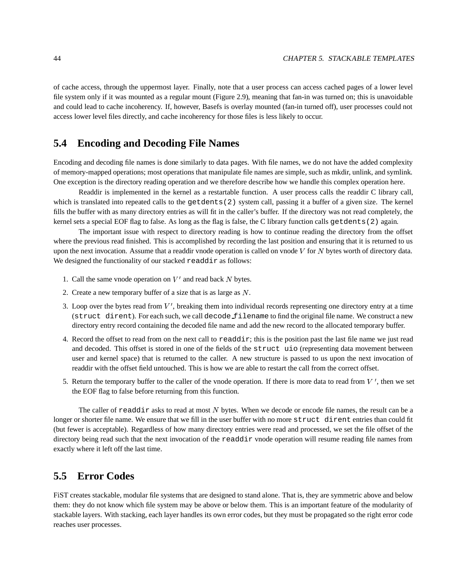of cache access, through the uppermost layer. Finally, note that a user process can access cached pages of a lower level file system only if it was mounted as a regular mount (Figure 2.9), meaning that fan-in was turned on; this is unavoidable and could lead to cache incoherency. If, however, Basefs is overlay mounted (fan-in turned off), user processes could not access lower level files directly, and cache incoherency for those files is less likely to occur.

## **5.4 Encoding and Decoding File Names**

Encoding and decoding file names is done similarly to data pages. With file names, we do not have the added complexity of memory-mapped operations; most operations that manipulate file names are simple, such as mkdir, unlink, and symlink. One exception is the directory reading operation and we therefore describe how we handle this complex operation here.

Readdir is implemented in the kernel as a restartable function. A user process calls the readdir C library call, which is translated into repeated calls to the  $qetdents(2)$  system call, passing it a buffer of a given size. The kernel fills the buffer with as many directory entries as will fit in the caller's buffer. If the directory was not read completely, the kernel sets a special EOF flag to false. As long as the flag is false, the C library function calls getdents(2) again.

The important issue with respect to directory reading is how to continue reading the directory from the offset where the previous read finished. This is accomplished by recording the last position and ensuring that it is returned to us upon the next invocation. Assume that a readdir vnode operation is called on vnode  $V$  for  $N$  bytes worth of directory data. We designed the functionality of our stacked readdir as follows:

- 1. Call the same vnode operation on  $V'$  and read back N bytes.
- 2. Create a new temporary buffer of a size that is as large as  $N$ .
- 3. Loop over the bytes read from  $V'$ , breaking them into individual records representing one directory entry at a time (struct dirent). For each such, we call decode filename to find the original file name. We construct a new directory entry record containing the decoded file name and add the new record to the allocated temporary buffer.
- 4. Record the offset to read from on the next call to readdir; this is the position past the last file name we just read and decoded. This offset is stored in one of the fields of the struct uio (representing data movement between user and kernel space) that is returned to the caller. A new structure is passed to us upon the next invocation of readdir with the offset field untouched. This is how we are able to restart the call from the correct offset.
- 5. Return the temporary buffer to the caller of the vnode operation. If there is more data to read from  $V'$ , then we set the EOF flag to false before returning from this function.

The caller of readdir asks to read at most  $N$  bytes. When we decode or encode file names, the result can be a longer or shorter file name. We ensure that we fill in the user buffer with no more struct dirent entries than could fit (but fewer is acceptable). Regardless of how many directory entries were read and processed, we set the file offset of the directory being read such that the next invocation of the readdir vnode operation will resume reading file names from exactly where it left off the last time.

## **5.5 Error Codes**

FiST creates stackable, modular file systems that are designed to stand alone. That is, they are symmetric above and below them: they do not know which file system may be above or below them. This is an important feature of the modularity of stackable layers. With stacking, each layer handles its own error codes, but they must be propagated so the right error code reaches user processes.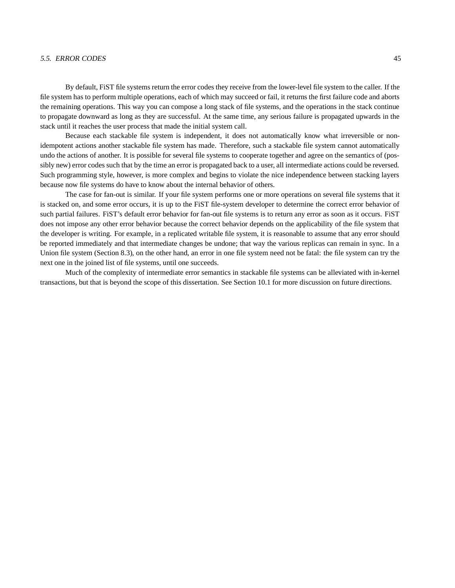### 5.5. ERROR CODES 45

By default, FiST file systems return the error codes they receive from the lower-level file system to the caller. If the file system has to perform multiple operations, each of which may succeed or fail, it returns the first failure code and aborts the remaining operations. This way you can compose a long stack of file systems, and the operations in the stack continue to propagate downward as long as they are successful. At the same time, any serious failure is propagated upwards in the stack until it reaches the user process that made the initial system call.

Because each stackable file system is independent, it does not automatically know what irreversible or nonidempotent actions another stackable file system has made. Therefore, such a stackable file system cannot automatically undo the actions of another. It is possible for several file systems to cooperate together and agree on the semantics of (possibly new) error codes such that by the time an error is propagated back to a user, all intermediate actions could be reversed. Such programming style, however, is more complex and begins to violate the nice independence between stacking layers because now file systems do have to know about the internal behavior of others.

The case for fan-out is similar. If your file system performs one or more operations on several file systems that it is stacked on, and some error occurs, it is up to the FiST file-system developer to determine the correct error behavior of such partial failures. FiST's default error behavior for fan-out file systems is to return any error as soon as it occurs. FiST does not impose any other error behavior because the correct behavior depends on the applicability of the file system that the developer is writing. For example, in a replicated writable file system, it is reasonable to assume that any error should be reported immediately and that intermediate changes be undone; that way the various replicas can remain in sync. In a Union file system (Section 8.3), on the other hand, an error in one file system need not be fatal: the file system can try the next one in the joined list of file systems, until one succeeds.

Much of the complexity of intermediate error semantics in stackable file systems can be alleviated with in-kernel transactions, but that is beyond the scope of this dissertation. See Section 10.1 for more discussion on future directions.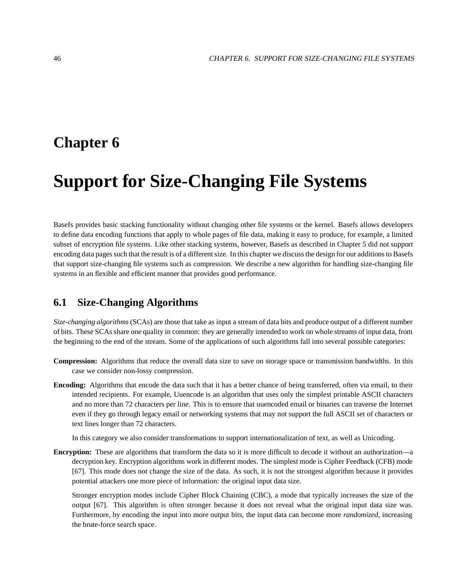## **Chapter 6**

# **Support for Size-Changing File Systems**

Basefs provides basic stacking functionality without changing other file systems or the kernel. Basefs allows developers to define data encoding functions that apply to whole pages of file data, making it easy to produce, for example, a limited subset of encryption file systems. Like other stacking systems, however, Basefs as described in Chapter 5 did not support encoding data pages such that the result is of a different size. In this chapter we discuss the design for our additions to Basefs that support size-changing file systems such as compression. We describe a new algorithm for handling size-changing file systems in an flexible and efficient manner that provides good performance.

## **6.1 Size-Changing Algorithms**

*Size-changing algorithms* (SCAs) are those that take as input a stream of data bits and produce output of a different number of bits. These SCAs share one quality in common: they are generally intended to work on whole streams of input data, from the beginning to the end of the stream. Some of the applications of such algorithms fall into several possible categories:

- **Compression:** Algorithms that reduce the overall data size to save on storage space or transmission bandwidths. In this case we consider non-lossy compression.
- **Encoding:** Algorithms that encode the data such that it has a better chance of being transferred, often via email, to their intended recipients. For example, Uuencode is an algorithm that uses only the simplest printable ASCII characters and no more than 72 characters per line. This is to ensure that uuencoded email or binaries can traverse the Internet even if they go through legacy email or networking systems that may not support the full ASCII set of characters or text lines longer than 72 characters.

In this category we also consider transformations to support internationalization of text, as well as Unicoding.

**Encryption:** These are algorithms that transform the data so it is more difficult to decode it without an authorization—a decryption key. Encryption algorithms work in different modes. The simplest mode is Cipher Feedback (CFB) mode [67]. This mode does not change the size of the data. As such, it is not the strongest algorithm because it provides potential attackers one more piece of information: the original input data size.

Stronger encryption modes include Cipher Block Chaining (CBC), a mode that typically increases the size of the output [67]. This algorithm is often stronger because it does not reveal what the original input data size was. Furthermore, by encoding the input into more output bits, the input data can become more *randomized*, increasing the brute-force search space.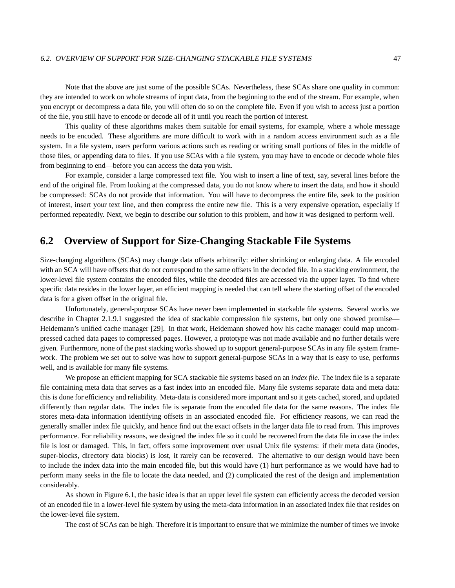Note that the above are just some of the possible SCAs. Nevertheless, these SCAs share one quality in common: they are intended to work on whole streams of input data, from the beginning to the end of the stream. For example, when you encrypt or decompress a data file, you will often do so on the complete file. Even if you wish to access just a portion of the file, you still have to encode or decode all of it until you reach the portion of interest.

This quality of these algorithms makes them suitable for email systems, for example, where a whole message needs to be encoded. These algorithms are more difficult to work with in a random access environment such as a file system. In a file system, users perform various actions such as reading or writing small portions of files in the middle of those files, or appending data to files. If you use SCAs with a file system, you may have to encode or decode whole files from beginning to end—before you can access the data you wish.

For example, consider a large compressed text file. You wish to insert a line of text, say, several lines before the end of the original file. From looking at the compressed data, you do not know where to insert the data, and how it should be compressed: SCAs do not provide that information. You will have to decompress the entire file, seek to the position of interest, insert your text line, and then compress the entire new file. This is a very expensive operation, especially if performed repeatedly. Next, we begin to describe our solution to this problem, and how it was designed to perform well.

## **6.2 Overview of Support for Size-Changing Stackable File Systems**

Size-changing algorithms (SCAs) may change data offsets arbitrarily: either shrinking or enlarging data. A file encoded with an SCA will have offsets that do not correspond to the same offsets in the decoded file. In a stacking environment, the lower-level file system contains the encoded files, while the decoded files are accessed via the upper layer. To find where specific data resides in the lower layer, an efficient mapping is needed that can tell where the starting offset of the encoded data is for a given offset in the original file.

Unfortunately, general-purpose SCAs have never been implemented in stackable file systems. Several works we describe in Chapter 2.1.9.1 suggested the idea of stackable compression file systems, but only one showed promise— Heidemann's unified cache manager [29]. In that work, Heidemann showed how his cache manager could map uncompressed cached data pages to compressed pages. However, a prototype was not made available and no further details were given. Furthermore, none of the past stacking works showed up to support general-purpose SCAs in any file system framework. The problem we set out to solve was how to support general-purpose SCAs in a way that is easy to use, performs well, and is available for many file systems.

We propose an efficient mapping for SCA stackable file systems based on an *index file*. The index file is a separate file containing meta data that serves as a fast index into an encoded file. Many file systems separate data and meta data: this is done for efficiency and reliability. Meta-data is considered more important and so it gets cached, stored, and updated differently than regular data. The index file is separate from the encoded file data for the same reasons. The index file stores meta-data information identifying offsets in an associated encoded file. For efficiency reasons, we can read the generally smaller index file quickly, and hence find out the exact offsets in the larger data file to read from. This improves performance. For reliability reasons, we designed the index file so it could be recovered from the data file in case the index file is lost or damaged. This, in fact, offers some improvement over usual Unix file systems: if their meta data (inodes, super-blocks, directory data blocks) is lost, it rarely can be recovered. The alternative to our design would have been to include the index data into the main encoded file, but this would have (1) hurt performance as we would have had to perform many seeks in the file to locate the data needed, and (2) complicated the rest of the design and implementation considerably.

As shown in Figure 6.1, the basic idea is that an upper level file system can efficiently access the decoded version of an encoded file in a lower-level file system by using the meta-data information in an associated index file that resides on the lower-level file system.

The cost of SCAs can be high. Therefore it is important to ensure that we minimize the number of times we invoke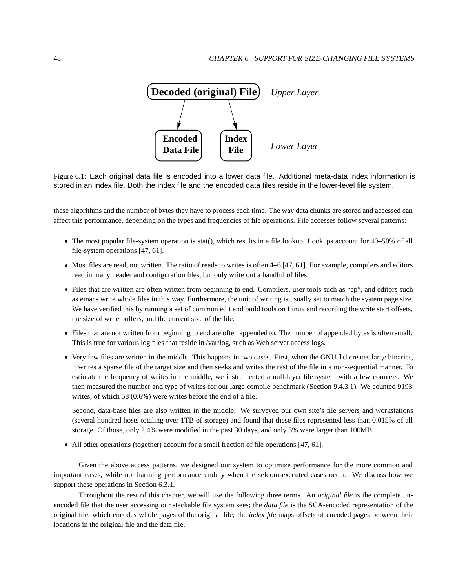

Figure 6.1: Each original data file is encoded into a lower data file. Additional meta-data index information is stored in an index file. Both the index file and the encoded data files reside in the lower-level file system.

these algorithms and the number of bytes they have to process each time. The way data chunks are stored and accessed can affect this performance, depending on the types and frequencies of file operations. File accesses follow several patterns:

- The most popular file-system operation is stat(), which results in a file lookup. Lookups account for 40–50% of all file-system operations [47, 61].
- Most files are read, not written. The ratio of reads to writes is often 4–6 [47, 61]. For example, compilers and editors read in many header and configuration files, but only write out a handful of files.
- Files that are written are often written from beginning to end. Compilers, user tools such as "cp", and editors such as emacs write whole files in this way. Furthermore, the unit of writing is usually set to match the system page size. We have verified this by running a set of common edit and build tools on Linux and recording the write start offsets, the size of write buffers, and the current size of the file.
- Files that are not written from beginning to end are often appended to. The number of appended bytes is often small. This is true for various log files that reside in /var/log, such as Web server access logs.
- Very few files are written in the middle. This happens in two cases. First, when the GNU ld creates large binaries, it writes a sparse file of the target size and then seeks and writes the rest of the file in a non-sequential manner. To estimate the frequency of writes in the middle, we instrumented a null-layer file system with a few counters. We then measured the number and type of writes for our large compile benchmark (Section 9.4.3.1). We counted 9193 writes, of which 58 (0.6%) were writes before the end of a file.

Second, data-base files are also written in the middle. We surveyed our own site's file servers and workstations (several hundred hosts totaling over 1TB of storage) and found that these files represented less than 0.015% of all storage. Of those, only 2.4% were modified in the past 30 days, and only 3% were larger than 100MB.

All other operations (together) account for a small fraction of file operations [47, 61].

Given the above access patterns, we designed our system to optimize performance for the more common and important cases, while not harming performance unduly when the seldom-executed cases occur. We discuss how we support these operations in Section 6.3.1.

Throughout the rest of this chapter, we will use the following three terms. An *original file* is the complete unencoded file that the user accessing our stackable file system sees; the *data file* is the SCA-encoded representation of the original file, which encodes whole pages of the original file; the *index file* maps offsets of encoded pages between their locations in the original file and the data file.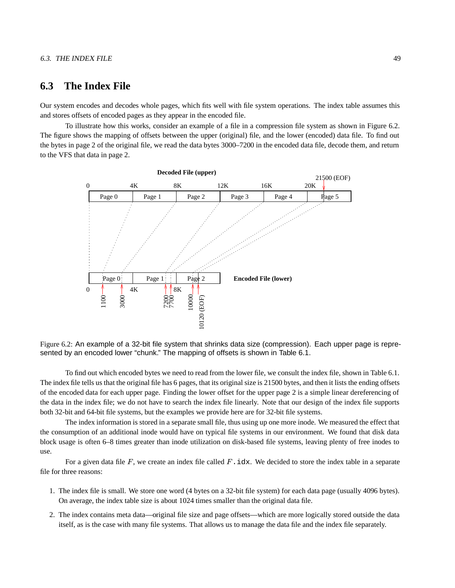## **6.3 The Index File**

Our system encodes and decodes whole pages, which fits well with file system operations. The index table assumes this and stores offsets of encoded pages as they appear in the encoded file.

To illustrate how this works, consider an example of a file in a compression file system as shown in Figure 6.2. The figure shows the mapping of offsets between the upper (original) file, and the lower (encoded) data file. To find out the bytes in page 2 of the original file, we read the data bytes 3000–7200 in the encoded data file, decode them, and return to the VFS that data in page 2.



Figure 6.2: An example of a 32-bit file system that shrinks data size (compression). Each upper page is represented by an encoded lower "chunk." The mapping of offsets is shown in Table 6.1.

To find out which encoded bytes we need to read from the lower file, we consult the index file, shown in Table 6.1. The index file tells us that the original file has 6 pages, that its original size is 21500 bytes, and then it lists the ending offsets of the encoded data for each upper page. Finding the lower offset for the upper page 2 is a simple linear dereferencing of the data in the index file; we do not have to search the index file linearly. Note that our design of the index file supports both 32-bit and 64-bit file systems, but the examples we provide here are for 32-bit file systems.

The index information is stored in a separate small file, thus using up one more inode. We measured the effect that the consumption of an additional inode would have on typical file systems in our environment. We found that disk data block usage is often 6–8 times greater than inode utilization on disk-based file systems, leaving plenty of free inodes to use.

For a given data file  $F$ , we create an index file called  $F$ . idx. We decided to store the index table in a separate file for three reasons:

- 1. The index file is small. We store one word (4 bytes on a 32-bit file system) for each data page (usually 4096 bytes). On average, the index table size is about 1024 times smaller than the original data file.
- 2. The index contains meta data—original file size and page offsets—which are more logically stored outside the data itself, as is the case with many file systems. That allows us to manage the data file and the index file separately.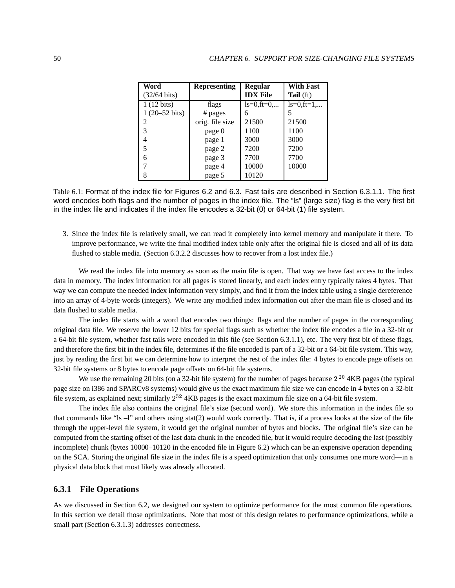| Word                     | <b>Representing</b> | <b>Regular</b>   | <b>With Fast</b> |
|--------------------------|---------------------|------------------|------------------|
| $(32/64 \text{ bits})$   |                     | <b>IDX</b> File  | <b>Tail</b> (ft) |
| $\overline{1}$ (12 bits) | flags               | $ls = 0$ , ft=0, | $ls=0$ , ft=1,   |
| $1(20-52 \text{ bits})$  | # pages             | 6                | 5                |
| 2                        | orig. file size     | 21500            | 21500            |
| 3                        | page 0              | 1100             | 1100             |
| 4                        | page 1              | 3000             | 3000             |
| 5                        | page 2              | 7200             | 7200             |
| 6                        | page 3              | 7700             | 7700             |
|                          | page 4              | 10000            | 10000            |
| 8                        | page 5              | 10120            |                  |

Table 6.1: Format of the index file for Figures 6.2 and 6.3. Fast tails are described in Section 6.3.1.1. The first word encodes both flags and the number of pages in the index file. The "ls" (large size) flag is the very first bit in the index file and indicates if the index file encodes a 32-bit (0) or 64-bit (1) file system.

3. Since the index file is relatively small, we can read it completely into kernel memory and manipulate it there. To improve performance, we write the final modified index table only after the original file is closed and all of its data flushed to stable media. (Section 6.3.2.2 discusses how to recover from a lost index file.)

We read the index file into memory as soon as the main file is open. That way we have fast access to the index data in memory. The index information for all pages is stored linearly, and each index entry typically takes 4 bytes. That way we can compute the needed index information very simply, and find it from the index table using a single dereference into an array of 4-byte words (integers). We write any modified index information out after the main file is closed and its data flushed to stable media.

The index file starts with a word that encodes two things: flags and the number of pages in the corresponding original data file. We reserve the lower 12 bits for special flags such as whether the index file encodes a file in a 32-bit or a 64-bit file system, whether fast tails were encoded in this file (see Section 6.3.1.1), etc. The very first bit of these flags, and therefore the first bit in the index file, determines if the file encoded is part of a 32-bit or a 64-bit file system. This way, just by reading the first bit we can determine how to interpret the rest of the index file: 4 bytes to encode page offsets on 32-bit file systems or 8 bytes to encode page offsets on 64-bit file systems.

We use the remaining 20 bits (on a 32-bit file system) for the number of pages because  $2^{20}$  4KB pages (the typical page size on i386 and SPARCv8 systems) would give us the exact maximum file size we can encode in 4 bytes on a 32-bit file system, as explained next; similarly  $2^{52}$  4KB pages is the exact maximum file size on a 64-bit file system.

The index file also contains the original file's size (second word). We store this information in the index file so that commands like "ls  $-1$ " and others using stat(2) would work correctly. That is, if a process looks at the size of the file through the upper-level file system, it would get the original number of bytes and blocks. The original file's size can be computed from the starting offset of the last data chunk in the encoded file, but it would require decoding the last (possibly incomplete) chunk (bytes 10000–10120 in the encoded file in Figure 6.2) which can be an expensive operation depending on the SCA. Storing the original file size in the index file is a speed optimization that only consumes one more word—in a physical data block that most likely was already allocated.

### **6.3.1 File Operations**

As we discussed in Section 6.2, we designed our system to optimize performance for the most common file operations. In this section we detail those optimizations. Note that most of this design relates to performance optimizations, while a small part (Section 6.3.1.3) addresses correctness.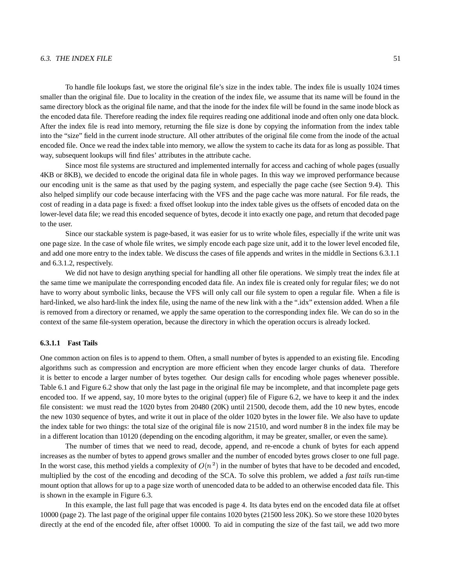### $6.3.$  THE INDEX FILE  $51$

To handle file lookups fast, we store the original file's size in the index table. The index file is usually 1024 times smaller than the original file. Due to locality in the creation of the index file, we assume that its name will be found in the same directory block as the original file name, and that the inode for the index file will be found in the same inode block as the encoded data file. Therefore reading the index file requires reading one additional inode and often only one data block. After the index file is read into memory, returning the file size is done by copying the information from the index table into the "size" field in the current inode structure. All other attributes of the original file come from the inode of the actual encoded file. Once we read the index table into memory, we allow the system to cache its data for as long as possible. That way, subsequent lookups will find files' attributes in the attribute cache.

Since most file systems are structured and implemented internally for access and caching of whole pages (usually 4KB or 8KB), we decided to encode the original data file in whole pages. In this way we improved performance because our encoding unit is the same as that used by the paging system, and especially the page cache (see Section 9.4). This also helped simplify our code because interfacing with the VFS and the page cache was more natural. For file reads, the cost of reading in a data page is fixed: a fixed offset lookup into the index table gives us the offsets of encoded data on the lower-level data file; we read this encoded sequence of bytes, decode it into exactly one page, and return that decoded page to the user.

Since our stackable system is page-based, it was easier for us to write whole files, especially if the write unit was one page size. In the case of whole file writes, we simply encode each page size unit, add it to the lower level encoded file, and add one more entry to the index table. We discuss the cases of file appends and writes in the middle in Sections 6.3.1.1 and 6.3.1.2, respectively.

We did not have to design anything special for handling all other file operations. We simply treat the index file at the same time we manipulate the corresponding encoded data file. An index file is created only for regular files; we do not have to worry about symbolic links, because the VFS will only call our file system to open a regular file. When a file is hard-linked, we also hard-link the index file, using the name of the new link with a the ".idx" extension added. When a file is removed from a directory or renamed, we apply the same operation to the corresponding index file. We can do so in the context of the same file-system operation, because the directory in which the operation occurs is already locked.

### **6.3.1.1 Fast Tails**

One common action on files is to append to them. Often, a small number of bytes is appended to an existing file. Encoding algorithms such as compression and encryption are more efficient when they encode larger chunks of data. Therefore it is better to encode a larger number of bytes together. Our design calls for encoding whole pages whenever possible. Table 6.1 and Figure 6.2 show that only the last page in the original file may be incomplete, and that incomplete page gets encoded too. If we append, say, 10 more bytes to the original (upper) file of Figure 6.2, we have to keep it and the index file consistent: we must read the 1020 bytes from 20480 (20K) until 21500, decode them, add the 10 new bytes, encode the new 1030 sequence of bytes, and write it out in place of the older 1020 bytes in the lower file. We also have to update the index table for two things: the total size of the original file is now 21510, and word number 8 in the index file may be in a different location than 10120 (depending on the encoding algorithm, it may be greater, smaller, or even the same).

The number of times that we need to read, decode, append, and re-encode a chunk of bytes for each append increases as the number of bytes to append grows smaller and the number of encoded bytes grows closer to one full page. In the worst case, this method yields a complexity of  $O(n^2)$  in the number of bytes that have to be decoded and encoded, multiplied by the cost of the encoding and decoding of the SCA. To solve this problem, we added a *fast tails* run-time mount option that allows for up to a page size worth of unencoded data to be added to an otherwise encoded data file. This is shown in the example in Figure 6.3.

In this example, the last full page that was encoded is page 4. Its data bytes end on the encoded data file at offset 10000 (page 2). The last page of the original upper file contains 1020 bytes (21500 less 20K). So we store these 1020 bytes directly at the end of the encoded file, after offset 10000. To aid in computing the size of the fast tail, we add two more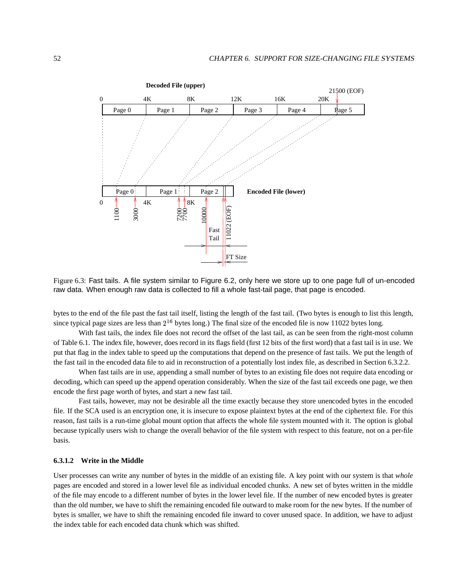

Figure 6.3: Fast tails. A file system similar to Figure 6.2, only here we store up to one page full of un-encoded raw data. When enough raw data is collected to fill a whole fast-tail page, that page is encoded.

bytes to the end of the file past the fast tail itself, listing the length of the fast tail. (Two bytes is enough to list this length, since typical page sizes are less than  $2^{16}$  bytes long.) The final size of the encoded file is now 11022 bytes long.

With fast tails, the index file does not record the offset of the last tail, as can be seen from the right-most column of Table 6.1. The index file, however, does record in its flags field (first 12 bits of the first word) that a fast tail is in use. We put that flag in the index table to speed up the computations that depend on the presence of fast tails. We put the length of the fast tail in the encoded data file to aid in reconstruction of a potentially lost index file, as described in Section 6.3.2.2.

When fast tails are in use, appending a small number of bytes to an existing file does not require data encoding or decoding, which can speed up the append operation considerably. When the size of the fast tail exceeds one page, we then encode the first page worth of bytes, and start a new fast tail.

Fast tails, however, may not be desirable all the time exactly because they store unencoded bytes in the encoded file. If the SCA used is an encryption one, it is insecure to expose plaintext bytes at the end of the ciphertext file. For this reason, fast tails is a run-time global mount option that affects the whole file system mounted with it. The option is global because typically users wish to change the overall behavior of the file system with respect to this feature, not on a per-file basis.

### **6.3.1.2 Write in the Middle**

User processes can write any number of bytes in the middle of an existing file. A key point with our system is that *whole* pages are encoded and stored in a lower level file as individual encoded chunks. A new set of bytes written in the middle of the file may encode to a different number of bytes in the lower level file. If the number of new encoded bytes is greater than the old number, we have to shift the remaining encoded file outward to make room for the new bytes. If the number of bytes is smaller, we have to shift the remaining encoded file inward to cover unused space. In addition, we have to adjust the index table for each encoded data chunk which was shifted.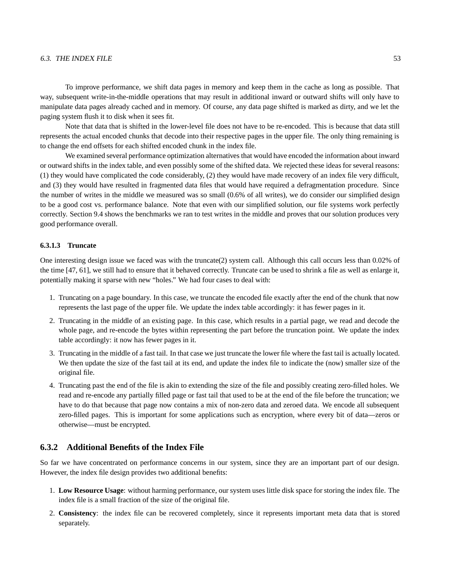### $6.3.$  THE INDEX FILE  $53$

To improve performance, we shift data pages in memory and keep them in the cache as long as possible. That way, subsequent write-in-the-middle operations that may result in additional inward or outward shifts will only have to manipulate data pages already cached and in memory. Of course, any data page shifted is marked as dirty, and we let the paging system flush it to disk when it sees fit.

Note that data that is shifted in the lower-level file does not have to be re-encoded. This is because that data still represents the actual encoded chunks that decode into their respective pages in the upper file. The only thing remaining is to change the end offsets for each shifted encoded chunk in the index file.

We examined several performance optimization alternatives that would have encoded the information about inward or outward shifts in the index table, and even possibly some of the shifted data. We rejected these ideas for several reasons: (1) they would have complicated the code considerably, (2) they would have made recovery of an index file very difficult, and (3) they would have resulted in fragmented data files that would have required a defragmentation procedure. Since the number of writes in the middle we measured was so small (0.6% of all writes), we do consider our simplified design to be a good cost vs. performance balance. Note that even with our simplified solution, our file systems work perfectly correctly. Section 9.4 shows the benchmarks we ran to test writes in the middle and proves that our solution produces very good performance overall.

### **6.3.1.3 Truncate**

One interesting design issue we faced was with the truncate $(2)$  system call. Although this call occurs less than 0.02% of the time [47, 61], we still had to ensure that it behaved correctly. Truncate can be used to shrink a file as well as enlarge it, potentially making it sparse with new "holes." We had four cases to deal with:

- 1. Truncating on a page boundary. In this case, we truncate the encoded file exactly after the end of the chunk that now represents the last page of the upper file. We update the index table accordingly: it has fewer pages in it.
- 2. Truncating in the middle of an existing page. In this case, which results in a partial page, we read and decode the whole page, and re-encode the bytes within representing the part before the truncation point. We update the index table accordingly: it now has fewer pages in it.
- 3. Truncating in the middle of a fast tail. In that case we just truncate the lower file where the fast tail is actually located. We then update the size of the fast tail at its end, and update the index file to indicate the (now) smaller size of the original file.
- 4. Truncating past the end of the file is akin to extending the size of the file and possibly creating zero-filled holes. We read and re-encode any partially filled page or fast tail that used to be at the end of the file before the truncation; we have to do that because that page now contains a mix of non-zero data and zeroed data. We encode all subsequent zero-filled pages. This is important for some applications such as encryption, where every bit of data—zeros or otherwise—must be encrypted.

### **6.3.2 Additional Benefits of the Index File**

So far we have concentrated on performance concerns in our system, since they are an important part of our design. However, the index file design provides two additional benefits:

- 1. **Low Resource Usage**: without harming performance, our system uses little disk space for storing the index file. The index file is a small fraction of the size of the original file.
- 2. **Consistency**: the index file can be recovered completely, since it represents important meta data that is stored separately.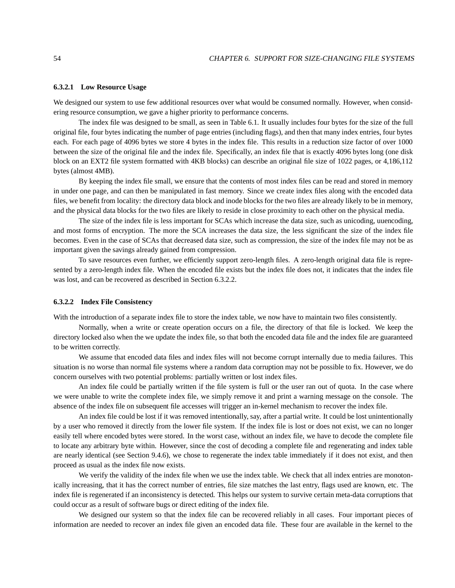### **6.3.2.1 Low Resource Usage**

We designed our system to use few additional resources over what would be consumed normally. However, when considering resource consumption, we gave a higher priority to performance concerns.

The index file was designed to be small, as seen in Table 6.1. It usually includes four bytes for the size of the full original file, four bytes indicating the number of page entries (including flags), and then that many index entries, four bytes each. For each page of 4096 bytes we store 4 bytes in the index file. This results in a reduction size factor of over 1000 between the size of the original file and the index file. Specifically, an index file that is exactly 4096 bytes long (one disk block on an EXT2 file system formatted with 4KB blocks) can describe an original file size of 1022 pages, or 4,186,112 bytes (almost 4MB).

By keeping the index file small, we ensure that the contents of most index files can be read and stored in memory in under one page, and can then be manipulated in fast memory. Since we create index files along with the encoded data files, we benefit from locality: the directory data block and inode blocks for the two files are already likely to be in memory, and the physical data blocks for the two files are likely to reside in close proximity to each other on the physical media.

The size of the index file is less important for SCAs which increase the data size, such as unicoding, uuencoding, and most forms of encryption. The more the SCA increases the data size, the less significant the size of the index file becomes. Even in the case of SCAs that decreased data size, such as compression, the size of the index file may not be as important given the savings already gained from compression.

To save resources even further, we efficiently support zero-length files. A zero-length original data file is represented by a zero-length index file. When the encoded file exists but the index file does not, it indicates that the index file was lost, and can be recovered as described in Section 6.3.2.2.

### **6.3.2.2 Index File Consistency**

With the introduction of a separate index file to store the index table, we now have to maintain two files consistently.

Normally, when a write or create operation occurs on a file, the directory of that file is locked. We keep the directory locked also when the we update the index file, so that both the encoded data file and the index file are guaranteed to be written correctly.

We assume that encoded data files and index files will not become corrupt internally due to media failures. This situation is no worse than normal file systems where a random data corruption may not be possible to fix. However, we do concern ourselves with two potential problems: partially written or lost index files.

An index file could be partially written if the file system is full or the user ran out of quota. In the case where we were unable to write the complete index file, we simply remove it and print a warning message on the console. The absence of the index file on subsequent file accesses will trigger an in-kernel mechanism to recover the index file.

An index file could be lost if it was removed intentionally, say, after a partial write. It could be lost unintentionally by a user who removed it directly from the lower file system. If the index file is lost or does not exist, we can no longer easily tell where encoded bytes were stored. In the worst case, without an index file, we have to decode the complete file to locate any arbitrary byte within. However, since the cost of decoding a complete file and regenerating and index table are nearly identical (see Section 9.4.6), we chose to regenerate the index table immediately if it does not exist, and then proceed as usual as the index file now exists.

We verify the validity of the index file when we use the index table. We check that all index entries are monotonically increasing, that it has the correct number of entries, file size matches the last entry, flags used are known, etc. The index file is regenerated if an inconsistency is detected. This helps our system to survive certain meta-data corruptions that could occur as a result of software bugs or direct editing of the index file.

We designed our system so that the index file can be recovered reliably in all cases. Four important pieces of information are needed to recover an index file given an encoded data file. These four are available in the kernel to the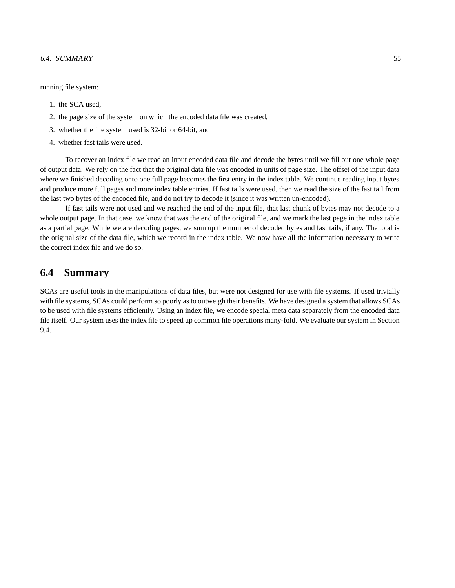### 6.4. SUMMARY 55

running file system:

- 1. the SCA used,
- 2. the page size of the system on which the encoded data file was created,
- 3. whether the file system used is 32-bit or 64-bit, and
- 4. whether fast tails were used.

To recover an index file we read an input encoded data file and decode the bytes until we fill out one whole page of output data. We rely on the fact that the original data file was encoded in units of page size. The offset of the input data where we finished decoding onto one full page becomes the first entry in the index table. We continue reading input bytes and produce more full pages and more index table entries. If fast tails were used, then we read the size of the fast tail from the last two bytes of the encoded file, and do not try to decode it (since it was written un-encoded).

If fast tails were not used and we reached the end of the input file, that last chunk of bytes may not decode to a whole output page. In that case, we know that was the end of the original file, and we mark the last page in the index table as a partial page. While we are decoding pages, we sum up the number of decoded bytes and fast tails, if any. The total is the original size of the data file, which we record in the index table. We now have all the information necessary to write the correct index file and we do so.

## **6.4 Summary**

SCAs are useful tools in the manipulations of data files, but were not designed for use with file systems. If used trivially with file systems, SCAs could perform so poorly as to outweigh their benefits. We have designed a system that allows SCAs to be used with file systems efficiently. Using an index file, we encode special meta data separately from the encoded data file itself. Our system uses the index file to speed up common file operations many-fold. We evaluate our system in Section 9.4.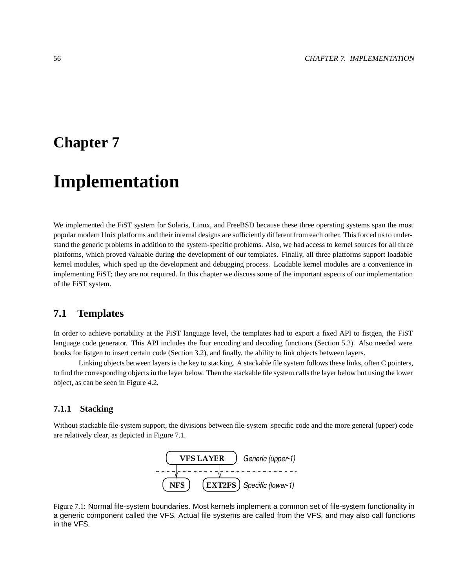## **Chapter 7**

# **Implementation**

We implemented the FiST system for Solaris, Linux, and FreeBSD because these three operating systems span the most popular modern Unix platforms and their internal designs are sufficiently different from each other. This forced usto understand the generic problems in addition to the system-specific problems. Also, we had access to kernel sources for all three platforms, which proved valuable during the development of our templates. Finally, all three platforms support loadable kernel modules, which sped up the development and debugging process. Loadable kernel modules are a convenience in implementing FiST; they are not required. In this chapter we discuss some of the important aspects of our implementation of the FiST system.

## **7.1 Templates**

In order to achieve portability at the FiST language level, the templates had to export a fixed API to fistgen, the FiST language code generator. This API includes the four encoding and decoding functions (Section 5.2). Also needed were hooks for fistgen to insert certain code (Section 3.2), and finally, the ability to link objects between layers.

Linking objects between layers is the key to stacking. A stackable file system follows these links, often C pointers, to find the corresponding objects in the layer below. Then the stackable file system calls the layer below but using the lower object, as can be seen in Figure 4.2.

### **7.1.1 Stacking**

Without stackable file-system support, the divisions between file-system–specific code and the more general (upper) code are relatively clear, as depicted in Figure 7.1.



Figure 7.1: Normal file-system boundaries. Most kernels implement a common set of file-system functionality in a generic component called the VFS. Actual file systems are called from the VFS, and may also call functions in the VFS.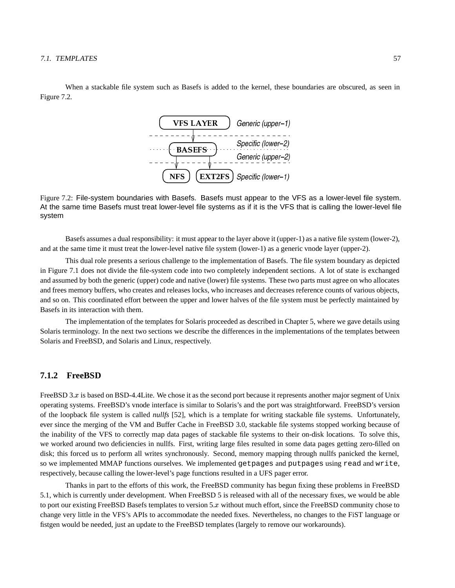When a stackable file system such as Basefs is added to the kernel, these boundaries are obscured, as seen in Figure 7.2.



Figure 7.2: File-system boundaries with Basefs. Basefs must appear to the VFS as a lower-level file system. At the same time Basefs must treat lower-level file systems as if it is the VFS that is calling the lower-level file system

Basefs assumes a dual responsibility: it must appear to the layer above it (upper-1) as a native file system (lower-2), and at the same time it must treat the lower-level native file system (lower-1) as a generic vnode layer (upper-2).

This dual role presents a serious challenge to the implementation of Basefs. The file system boundary as depicted in Figure 7.1 does not divide the file-system code into two completely independent sections. A lot of state is exchanged and assumed by both the generic (upper) code and native (lower) file systems. These two parts must agree on who allocates and frees memory buffers, who creates and releases locks, who increases and decreases reference counts of various objects, and so on. This coordinated effort between the upper and lower halves of the file system must be perfectly maintained by Basefs in its interaction with them.

The implementation of the templates for Solaris proceeded as described in Chapter 5, where we gave details using Solaris terminology. In the next two sections we describe the differences in the implementations of the templates between Solaris and FreeBSD, and Solaris and Linux, respectively.

### **7.1.2 FreeBSD**

FreeBSD 3.x is based on BSD-4.4Lite. We chose it as the second port because it represents another major segment of Unix operating systems. FreeBSD's vnode interface is similar to Solaris's and the port was straightforward. FreeBSD's version of the loopback file system is called *nullfs* [52], which is a template for writing stackable file systems. Unfortunately, ever since the merging of the VM and Buffer Cache in FreeBSD 3.0, stackable file systems stopped working because of the inability of the VFS to correctly map data pages of stackable file systems to their on-disk locations. To solve this, we worked around two deficiencies in nullfs. First, writing large files resulted in some data pages getting zero-filled on disk; this forced us to perform all writes synchronously. Second, memory mapping through nullfs panicked the kernel, so we implemented MMAP functions ourselves. We implemented getpages and putpages using read and write, respectively, because calling the lower-level's page functions resulted in a UFS pager error.

Thanks in part to the efforts of this work, the FreeBSD community has begun fixing these problems in FreeBSD 5.1, which is currently under development. When FreeBSD 5 is released with all of the necessary fixes, we would be able to port our existing FreeBSD Basefs templates to version  $5.x$  without much effort, since the FreeBSD community chose to change very little in the VFS's APIs to accommodate the needed fixes. Nevertheless, no changes to the FiST language or fistgen would be needed, just an update to the FreeBSD templates (largely to remove our workarounds).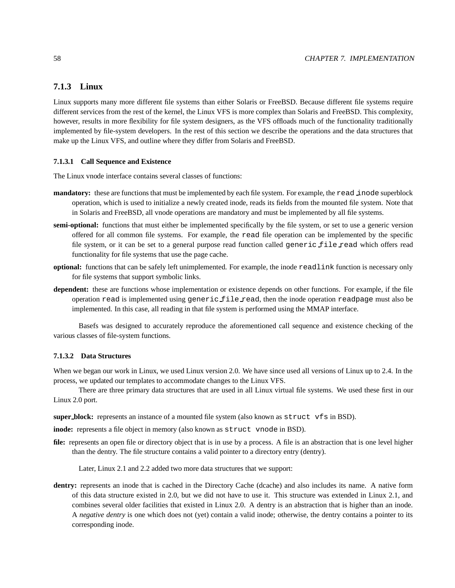### **7.1.3 Linux**

Linux supports many more different file systems than either Solaris or FreeBSD. Because different file systems require different services from the rest of the kernel, the Linux VFS is more complex than Solaris and FreeBSD. This complexity, however, results in more flexibility for file system designers, as the VFS offloads much of the functionality traditionally implemented by file-system developers. In the rest of this section we describe the operations and the data structures that make up the Linux VFS, and outline where they differ from Solaris and FreeBSD.

### **7.1.3.1 Call Sequence and Existence**

The Linux vnode interface contains several classes of functions:

- **mandatory:** these are functions that must be implemented by each file system. For example, the read inode superblock operation, which is used to initialize a newly created inode, reads its fields from the mounted file system. Note that in Solaris and FreeBSD, all vnode operations are mandatory and must be implemented by all file systems.
- **semi-optional:** functions that must either be implemented specifically by the file system, or set to use a generic version offered for all common file systems. For example, the read file operation can be implemented by the specific file system, or it can be set to a general purpose read function called generic file read which offers read functionality for file systems that use the page cache.
- **optional:** functions that can be safely left unimplemented. For example, the inode readlink function is necessary only for file systems that support symbolic links.
- **dependent:** these are functions whose implementation or existence depends on other functions. For example, if the file operation read is implemented using generic file read, then the inode operation readpage must also be implemented. In this case, all reading in that file system is performed using the MMAP interface.

Basefs was designed to accurately reproduce the aforementioned call sequence and existence checking of the various classes of file-system functions.

### **7.1.3.2 Data Structures**

When we began our work in Linux, we used Linux version 2.0. We have since used all versions of Linux up to 2.4. In the process, we updated our templates to accommodate changes to the Linux VFS.

There are three primary data structures that are used in all Linux virtual file systems. We used these first in our Linux 2.0 port.

**super block:** represents an instance of a mounted file system (also known as struct vfs in BSD).

**inode:** represents a file object in memory (also known as struct vnode in BSD).

**file:** represents an open file or directory object that is in use by a process. A file is an abstraction that is one level higher than the dentry. The file structure contains a valid pointer to a directory entry (dentry).

Later, Linux 2.1 and 2.2 added two more data structures that we support:

dentry: represents an inode that is cached in the Directory Cache (dcache) and also includes its name. A native form of this data structure existed in 2.0, but we did not have to use it. This structure was extended in Linux 2.1, and combines several older facilities that existed in Linux 2.0. A dentry is an abstraction that is higher than an inode. A *negative dentry* is one which does not (yet) contain a valid inode; otherwise, the dentry contains a pointer to its corresponding inode.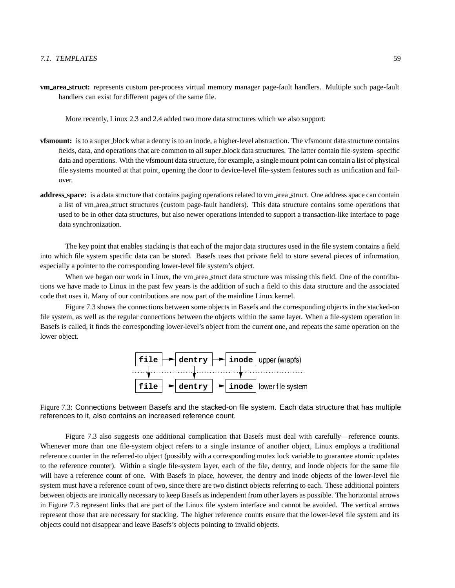More recently, Linux 2.3 and 2.4 added two more data structures which we also support:

- **vfsmount:** is to a super block what a dentry is to an inode, a higher-level abstraction. The vfsmount data structure contains fields, data, and operations that are common to all super block data structures. The latter contain file-system–specific data and operations. With the vfsmount data structure, for example, a single mount point can contain a list of physical file systems mounted at that point, opening the door to device-level file-system features such as unification and failover.
- **address\_space:** is a data structure that contains paging operations related to vm area struct. One address space can contain a list of vm area struct structures (custom page-fault handlers). This data structure contains some operations that used to be in other data structures, but also newer operations intended to support a transaction-like interface to page data synchronization.

The key point that enables stacking is that each of the major data structures used in the file system contains a field into which file system specific data can be stored. Basefs uses that private field to store several pieces of information, especially a pointer to the corresponding lower-level file system's object.

When we began our work in Linux, the vm area struct data structure was missing this field. One of the contributions we have made to Linux in the past few years is the addition of such a field to this data structure and the associated code that uses it. Many of our contributions are now part of the mainline Linux kernel.

Figure 7.3 shows the connections between some objects in Basefs and the corresponding objects in the stacked-on file system, as well as the regular connections between the objects within the same layer. When a file-system operation in Basefs is called, it finds the corresponding lower-level's object from the current one, and repeats the same operation on the lower object.



Figure 7.3: Connections between Basefs and the stacked-on file system. Each data structure that has multiple references to it, also contains an increased reference count.

Figure 7.3 also suggests one additional complication that Basefs must deal with carefully—reference counts. Whenever more than one file-system object refers to a single instance of another object, Linux employs a traditional reference counter in the referred-to object (possibly with a corresponding mutex lock variable to guarantee atomic updates to the reference counter). Within a single file-system layer, each of the file, dentry, and inode objects for the same file will have a reference count of one. With Basefs in place, however, the dentry and inode objects of the lower-level file system must have a reference count of two, since there are two distinct objects referring to each. These additional pointers between objects are ironically necessary to keep Basefs as independent from other layers as possible. The horizontal arrows in Figure 7.3 represent links that are part of the Linux file system interface and cannot be avoided. The vertical arrows represent those that are necessary for stacking. The higher reference counts ensure that the lower-level file system and its objects could not disappear and leave Basefs's objects pointing to invalid objects.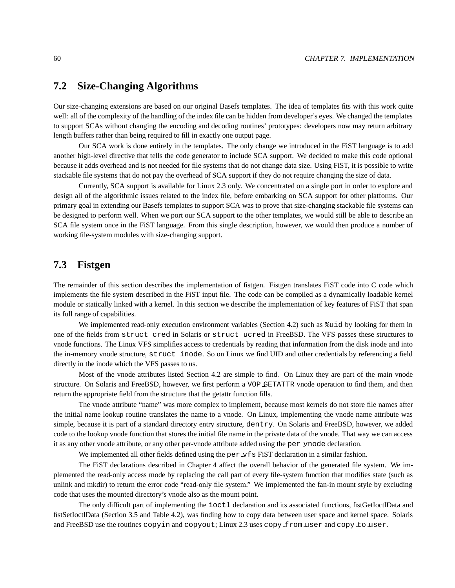## **7.2 Size-Changing Algorithms**

Our size-changing extensions are based on our original Basefs templates. The idea of templates fits with this work quite well: all of the complexity of the handling of the index file can be hidden from developer's eyes. We changed the templates to support SCAs without changing the encoding and decoding routines' prototypes: developers now may return arbitrary length buffers rather than being required to fill in exactly one output page.

Our SCA work is done entirely in the templates. The only change we introduced in the FiST language is to add another high-level directive that tells the code generator to include SCA support. We decided to make this code optional because it adds overhead and is not needed for file systems that do not change data size. Using FiST, it is possible to write stackable file systems that do not pay the overhead of SCA support if they do not require changing the size of data.

Currently, SCA support is available for Linux 2.3 only. We concentrated on a single port in order to explore and design all of the algorithmic issues related to the index file, before embarking on SCA support for other platforms. Our primary goal in extending our Basefs templates to support SCA was to prove that size-changing stackable file systems can be designed to perform well. When we port our SCA support to the other templates, we would still be able to describe an SCA file system once in the FiST language. From this single description, however, we would then produce a number of working file-system modules with size-changing support.

## **7.3 Fistgen**

The remainder of this section describes the implementation of fistgen. Fistgen translates FiST code into C code which implements the file system described in the FiST input file. The code can be compiled as a dynamically loadable kernel module or statically linked with a kernel. In this section we describe the implementation of key features of FiST that span its full range of capabilities.

We implemented read-only execution environment variables (Section 4.2) such as  $\text{d}$  by looking for them in one of the fields from struct cred in Solaris or struct ucred in FreeBSD. The VFS passes these structures to vnode functions. The Linux VFS simplifies access to credentials by reading that information from the disk inode and into the in-memory vnode structure, struct inode. So on Linux we find UID and other credentials by referencing a field directly in the inode which the VFS passes to us.

Most of the vnode attributes listed Section 4.2 are simple to find. On Linux they are part of the main vnode structure. On Solaris and FreeBSD, however, we first perform a VOP GETATTR vnode operation to find them, and then return the appropriate field from the structure that the getattr function fills.

The vnode attribute "name" was more complex to implement, because most kernels do not store file names after the initial name lookup routine translates the name to a vnode. On Linux, implementing the vnode name attribute was simple, because it is part of a standard directory entry structure, dentry. On Solaris and FreeBSD, however, we added code to the lookup vnode function that stores the initial file name in the private data of the vnode. That way we can access it as any other vnode attribute, or any other per-vnode attribute added using the per vnode declaration.

We implemented all other fields defined using the per  $\mathcal{F}$  FiST declaration in a similar fashion.

The FiST declarations described in Chapter 4 affect the overall behavior of the generated file system. We implemented the read-only access mode by replacing the call part of every file-system function that modifies state (such as unlink and mkdir) to return the error code "read-only file system." We implemented the fan-in mount style by excluding code that uses the mounted directory's vnode also as the mount point.

The only difficult part of implementing the ioctl declaration and its associated functions, fistGetIoctIData and fistSetIoctlData (Section 3.5 and Table 4.2), was finding how to copy data between user space and kernel space. Solaris and FreeBSD use the routines copyin and copyout; Linux 2.3 uses copy from user and copy to user.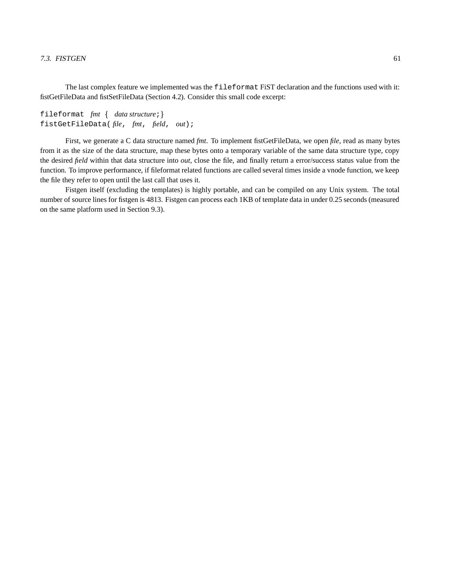The last complex feature we implemented was the fileformat FiST declaration and the functions used with it: fistGetFileData and fistSetFileData (Section 4.2). Consider this small code excerpt:

```
fileformat fmt { data structure; }
fistGetFileData( file, fmt, field, out);
```
First, we generate a C data structure named *fmt*. To implement fistGetFileData, we open *file*, read as many bytes from it as the size of the data structure, map these bytes onto a temporary variable of the same data structure type, copy the desired *field* within that data structure into *out*, close the file, and finally return a error/success status value from the function. To improve performance, if fileformat related functions are called several times inside a vnode function, we keep the file they refer to open until the last call that uses it.

Fistgen itself (excluding the templates) is highly portable, and can be compiled on any Unix system. The total number of source lines for fistgen is 4813. Fistgen can process each 1KB of template data in under 0.25 seconds (measured on the same platform used in Section 9.3).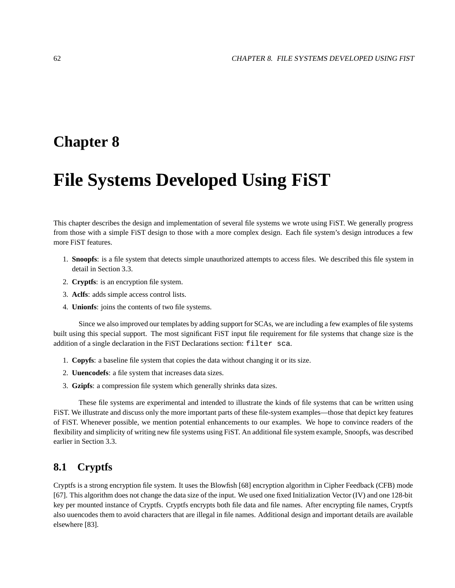## **Chapter 8**

# **File Systems Developed Using FiST**

This chapter describes the design and implementation of several file systems we wrote using FiST. We generally progress from those with a simple FiST design to those with a more complex design. Each file system's design introduces a few more FiST features.

- 1. **Snoopfs**: is a file system that detects simple unauthorized attempts to access files. We described this file system in detail in Section 3.3.
- 2. **Cryptfs**: is an encryption file system.
- 3. **Aclfs**: adds simple access control lists.
- 4. **Unionfs**: joins the contents of two file systems.

Since we also improved our templates by adding support for SCAs, we are including a few examples of file systems built using this special support. The most significant FiST input file requirement for file systems that change size is the addition of a single declaration in the FiST Declarations section: filter sca.

- 1. **Copyfs**: a baseline file system that copies the data without changing it or its size.
- 2. **Uuencodefs**: a file system that increases data sizes.
- 3. **Gzipfs**: a compression file system which generally shrinks data sizes.

These file systems are experimental and intended to illustrate the kinds of file systems that can be written using FiST. We illustrate and discuss only the more important parts of these file-system examples—those that depict key features of FiST. Whenever possible, we mention potential enhancements to our examples. We hope to convince readers of the flexibility and simplicity of writing new file systems using FiST. An additional file system example, Snoopfs, was described earlier in Section 3.3.

## **8.1 Cryptfs**

Cryptfs is a strong encryption file system. It uses the Blowfish [68] encryption algorithm in Cipher Feedback (CFB) mode [67]. This algorithm does not change the data size of the input. We used one fixed Initialization Vector (IV) and one 128-bit key per mounted instance of Cryptfs. Cryptfs encrypts both file data and file names. After encrypting file names, Cryptfs also uuencodes them to avoid characters that are illegal in file names. Additional design and important details are available elsewhere [83].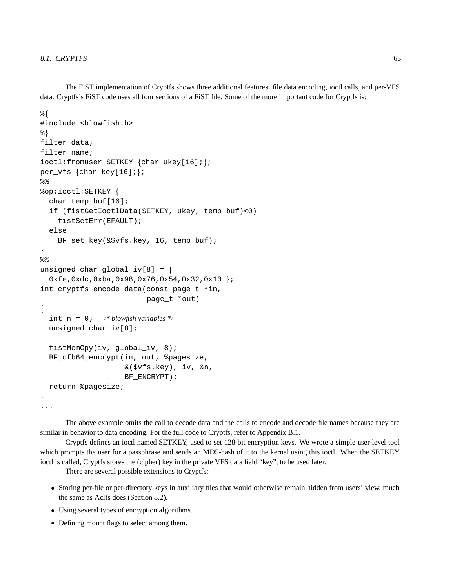The FiST implementation of Cryptfs shows three additional features: file data encoding, ioctl calls, and per-VFS data. Cryptfs's FiST code uses all four sections of a FiST file. Some of the more important code for Cryptfs is:

```
နွ {
#include <blowfish.h>
응}
filter data;
filter name;
ioctl:fromuser SETKEY {char ukey[16];};
per_vfs \{char key[16]i\}နွန့
%op:ioctl:SETKEY {
  char temp buf [16];
  if (fistGetIoctlData(SETKEY, ukey, temp_buf)<0)
    fistSetErr(EFAULT);
  else
    BF_set_key(&$vfs.key, 16, temp_buf);
\mathcal{E}နွန့
unsigned char global_iv[8] = {
  0xfe, 0xdc, 0xba, 0x98, 0x76, 0x54, 0x32, 0x10 };
int cryptfs_encode_data(const page_t *in,
                           page_t *out)
\{\frac{4}{3} blowfish variables \frac{4}{3}int n = 0;
  unsigned char iv[8];
  fistMemCpy(iv, qlobal iv, 8);
  BF_cfb64_encrypt(in, out, %pagesize,
                     &($vfs.key), iv, &n,
                     BF ENCRYPT);
  return %pagesize;
\mathcal{F}
```
The above example omits the call to decode data and the calls to encode and decode file names because they are similar in behavior to data encoding. For the full code to Cryptfs, refer to Appendix B.1.

Cryptfs defines an ioctl named SETKEY, used to set 128-bit encryption keys. We wrote a simple user-level tool which prompts the user for a passphrase and sends an MD5-hash of it to the kernel using this ioctl. When the SETKEY ioctl is called, Cryptfs stores the (cipher) key in the private VFS data field "key", to be used later.

There are several possible extensions to Cryptfs:

- Storing per-file or per-directory keys in auxiliary files that would otherwise remain hidden from users' view, much the same as Aclfs does (Section 8.2).
- Using several types of encryption algorithms.
- Defining mount flags to select among them.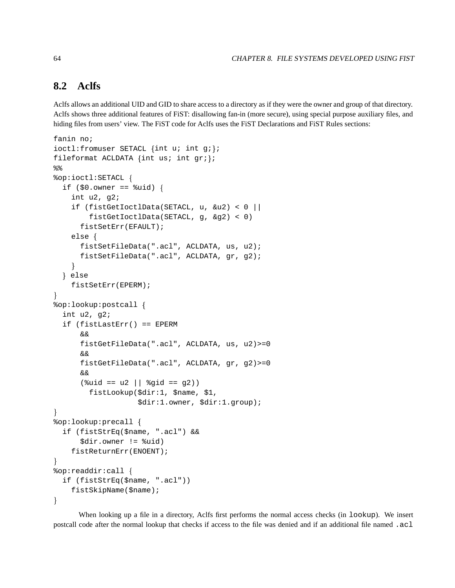#### 8.2 **Aclfs**

Aclfs allows an additional UID and GID to share access to a directory as if they were the owner and group of that directory. Aclfs shows three additional features of FiST: disallowing fan-in (more secure), using special purpose auxiliary files, and hiding files from users' view. The FiST code for Aclfs uses the FiST Declarations and FiST Rules sections:

```
fanin no;
ioctl: fromuser SETACL {int u; int q;};
fileformat ACLDATA \{int us: int gr\}\28%op:ioctl:SETACL {
  if (\$0.0wner == \%uid) {
    int u^2, g^2;
    if (fistGetIoctlData(SETACL, u, \&u2) < 0 ||
         fistGetIoctlData(SETACL, g, &g2) < 0)
      fistSetErr(EFAULT);
    else ffistSetFileData(".acl", ACLDATA, us, u2);
      fistSetFileData(".acl", ACLDATA, gr, g2);
    ł
  } else
    fistSetErr(EPERM);
%op:lookup:postcall {
  int u2, g2;
  if (fistLastErr() == EPERM
      \delta xfistGetFileData(".acl", ACLDATA, us, u2) >= 0
      \delta xfistGetFileData(".acl", ACLDATA, gr, g2) >= 0
      \delta x(suid == u2 || sigid == g2))fistLookup($dir:1, $name, $1,
                     $dir:1.owner, $dir:1.group);
\mathcal{F}%op:lookup:precall {
  if (fistStrEq($name, ".acl") &&
      $dir.owner != %uid)
    fistReturnErr(ENOENT);
\mathcal{F}%op:readdir:call {
  if (fistStrEq($name, ".acl"))
    fistSkipName($name);
\mathcal{F}
```
When looking up a file in a directory, Aclfs first performs the normal access checks (in lookup). We insert postcall code after the normal lookup that checks if access to the file was denied and if an additional file named .acl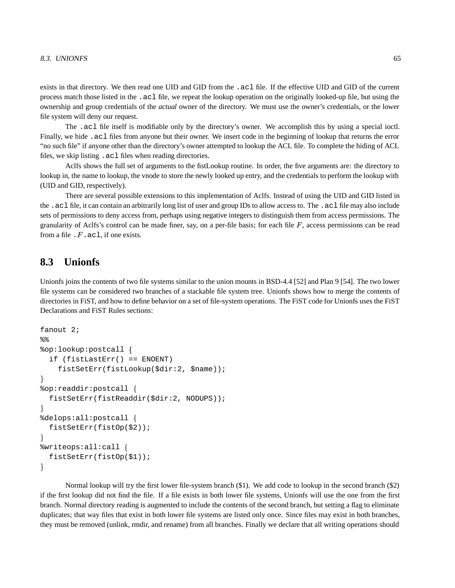exists in that directory. We then read one UID and GID from the .acl file. If the effective UID and GID of the current process match those listed in the .acl file, we repeat the lookup operation on the originally looked-up file, but using the ownership and group credentials of the *actual* owner of the directory. We must use the owner's credentials, or the lower file system will deny our request.

The .acl file itself is modifiable only by the directory's owner. We accomplish this by using a special ioctl. Finally, we hide .acl files from anyone but their owner. We insert code in the beginning of lookup that returns the error "no such file" if anyone other than the directory's owner attempted to lookup the ACL file. To complete the hiding of ACL files, we skip listing .acl files when reading directories.

Aclfs shows the full set of arguments to the fistLookup routine. In order, the five arguments are: the directory to lookup in, the name to lookup, the vnode to store the newly looked up entry, and the credentials to perform the lookup with (UID and GID, respectively).

There are several possible extensions to this implementation of Aclfs. Instead of using the UID and GID listed in the .acl file, it can contain an arbitrarily long list of user and group IDs to allow access to. The .acl file may also include sets of permissions to deny access from, perhaps using negative integers to distinguish them from access permissions. The granularity of Aclfs's control can be made finer, say, on a per-file basis; for each file  $F$ , access permissions can be read from a file  $F$ . acl, if one exists.

## **8.3 Unionfs**

Unionfs joins the contents of two file systems similar to the union mounts in BSD-4.4 [52] and Plan 9 [54]. The two lower file systems can be considered two branches of a stackable file system tree. Unionfs shows how to merge the contents of directories in FiST, and how to define behavior on a set of file-system operations. The FiST code for Unionfs uses the FiST Declarations and FiST Rules sections:

```
fanout 2;
%%op:lookup:postcall {
  if (fistLastErr() == ENOENT)
    fistSetErr(fistLookup($dir:2, $name));
\mathcal{E}%op:readdir:postcall {
  fistSetErr(fistReaddir($dir:2, NODUPS));
ã%delops:all:postcall {
  fistSetErr(fistOp($2));
\mathcal{E}%writeops:all:call {
  fistSetErr(fistOp($1));
\mathcal{E}
```
Normal lookup will try the first lower file-system branch (\$1). We add code to lookup in the second branch (\$2) if the first lookup did not find the file. If a file exists in both lower file systems, Unionfs will use the one from the first branch. Normal directory reading is augmented to include the contents of the second branch, but setting a flag to eliminate duplicates; that way files that exist in both lower file systems are listed only once. Since files may exist in both branches, they must be removed (unlink, rmdir, and rename) from all branches. Finally we declare that all writing operations should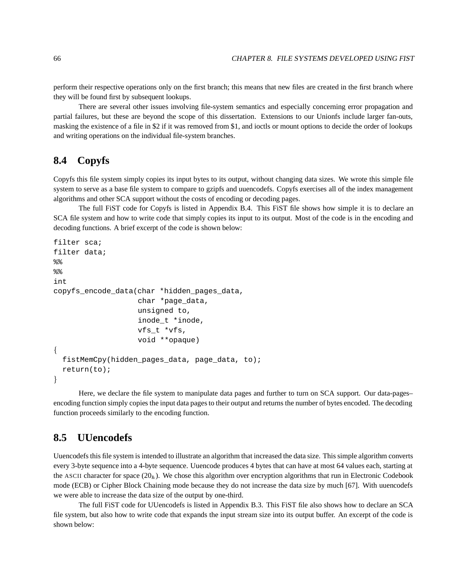perform their respective operations only on the first branch; this means that new files are created in the first branch where they will be found first by subsequent lookups.

There are several other issues involving file-system semantics and especially concerning error propagation and partial failures, but these are beyond the scope of this dissertation. Extensions to our Unionfs include larger fan-outs, masking the existence of a file in \$2 if it was removed from \$1, and ioctls or mount options to decide the order of lookups and writing operations on the individual file-system branches.

## **8.4 Copyfs**

Copyfs this file system simply copies its input bytes to its output, without changing data sizes. We wrote this simple file system to serve as a base file system to compare to gzipfs and uuencodefs. Copyfs exercises all of the index management algorithms and other SCA support without the costs of encoding or decoding pages.

The full FiST code for Copyfs is listed in Appendix B.4. This FiST file shows how simple it is to declare an SCA file system and how to write code that simply copies its input to its output. Most of the code is in the encoding and decoding functions. A brief excerpt of the code is shown below:

```
filter sca;
filter data;
%%
%int
copyfs encode data(char *hidden pages data,
                    char *page_data,
                    unsigned to,
                    inode_t *inode,
                    vfs_t *vfs,
                    void **opaque)
âfistMemCpy(hidden_pages_data, page_data, to);
  return(to);
\mathcal{F}
```
Here, we declare the file system to manipulate data pages and further to turn on SCA support. Our data-pages– encoding function simply copies the input data pages to their output and returns the number of bytes encoded. The decoding function proceeds similarly to the encoding function.

## **8.5 UUencodefs**

Uuencodefsthis file system is intended to illustrate an algorithm that increased the data size. Thissimple algorithm converts every 3-byte sequence into a 4-byte sequence. Uuencode produces 4 bytes that can have at most 64 values each, starting at the ASCII character for space  $(20<sub>h</sub>)$ . We chose this algorithm over encryption algorithms that run in Electronic Codebook mode (ECB) or Cipher Block Chaining mode because they do not increase the data size by much [67]. With uuencodefs we were able to increase the data size of the output by one-third.

The full FiST code for UUencodefs is listed in Appendix B.3. This FiST file also shows how to declare an SCA file system, but also how to write code that expands the input stream size into its output buffer. An excerpt of the code is shown below: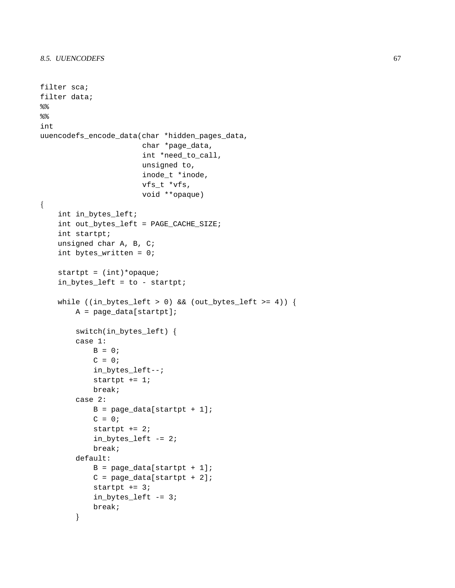```
filter sca;
filter data;
နွန့
28int
uuencodefs_encode_data(char *hidden_pages_data,
                       char *page_data,
                       int *need_to_call,
                       unsigned to,
                       inode_t *inode,
                       vfs_t *vfs,
                       void **opaque)
\{int in_bytes_left;
    int out_bytes_left = PAGE_CACHE_SIZE;
    int startpt;
    unsigned char A, B, C;
    int bytes_written = 0;
    startpt = (int)*opaque;
    in_bytes_left = to - startpt;
    while ((in_bytes_left > 0) && (out_bytes_left >= 4)) {
        A = page_data[startpt];switch(in_bytes_left) {
        case 1:B = 0;C = 0;in_bytes_left--;
            startpt += 1;break;case 2:
            B = page_data[startpt + 1];C = 0;startpt += 2iin_bytes_{left -= 2;
            break;
        default:
            B = page_data[startpt + 1];C = page_data[startpt + 2];startpt += 3iin_bytes_left -= 3;
            break;
        \mathcal{E}
```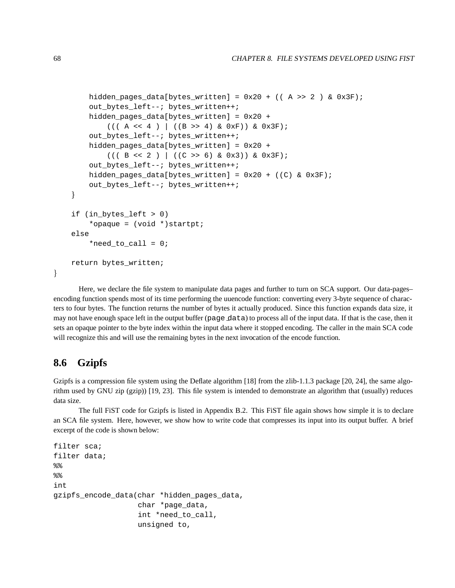```
hidden_pages_data[bytes_written] = 0x20 + ((A >> 2) & 0x3F);
    out_bytes_left--; bytes_written++;
    hidden_pages_data[bytes_written] = 0x20 +
        (( (A << 4) | ((B >> 4) & (0xF)) & (0x3F))out_bytes_left--; bytes_written++;
    hidden_pages_data[bytes_written] = 0x20 +
        (( (B << 2) | ((C >> 6) & 0x3)) & 0x3F);out_bytes_left--; bytes_written++;
    hidden_pages_data[bytes_written] = 0x20 + ((C) & 0x3F);
    out_bytes_left--; bytes_written++;
\mathcal{F}if (in_bytes_left > 0)
    *opaque = (void *)startpt;
else
    *need_to_call = 0;
return bytes written;
```
Here, we declare the file system to manipulate data pages and further to turn on SCA support. Our data-pages– encoding function spends most of its time performing the uuencode function: converting every 3-byte sequence of characters to four bytes. The function returns the number of bytes it actually produced. Since this function expands data size, it may not have enough space left in the output buffer (page data) to process all of the input data. If that is the case, then it sets an opaque pointer to the byte index within the input data where it stopped encoding. The caller in the main SCA code will recognize this and will use the remaining bytes in the next invocation of the encode function.

## **8.6 Gzipfs**

 $\mathcal{F}$ 

Gzipfs is a compression file system using the Deflate algorithm [18] from the zlib-1.1.3 package [20, 24], the same algorithm used by GNU zip (gzip)) [19, 23]. This file system is intended to demonstrate an algorithm that (usually) reduces data size.

The full FiST code for Gzipfs is listed in Appendix B.2. This FiST file again shows how simple it is to declare an SCA file system. Here, however, we show how to write code that compresses its input into its output buffer. A brief excerpt of the code is shown below:

```
filter sca;
filter data;
%%int
gzipfs_encode_data(char *hidden_pages_data,
                   char *page_data,
                   int *need_to_call,
                   unsigned to,
```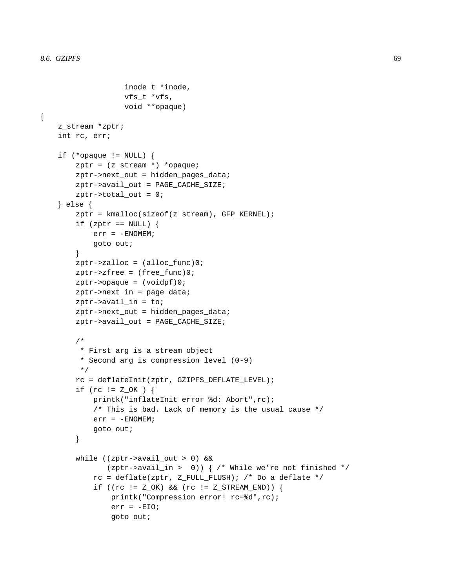$\{$ 

```
inode_t *inode,
                vfs_t *vfs,
                void **opaque)
z_stream *zptr;
int rc, err;
if (*\text{opaque} != \text{NULL}) {
    zptr = (z_stream *) * opaque;zptr->next_out = hidden_pages_data;
    zptr->avail_out = PAGE_CACHE_SIZE;
    zptr->total_out = 0;
\} else \{zptr = kmalloc(sizeof(z_stream), GFP_KERNEL);
    if (zptr == NULL) {
        err = -ENOMEM;goto out;
    \mathcal{F}zptr\rightarrow zalloc = (alloc_func)0;zptr\rightarrow zfree = (free\_func)0;zptr->opaque = (voidpf)0;zptr->next_in = page_data;
    zptr->avail_in = to;
    zptr->next_out = hidden_pages_data;
    zptr->avail_out = PAGE_CACHE_SIZE;
    / *
     * First arg is a stream object
     * Second arg is compression level (0-9)
     \star /
    rc = deflateInit(zptr, GZIPFS_DEFLATE_LEVEL);
    if (rc := Z_OK) {
        printk("inflateInit error %d: Abort", rc);
        /* This is bad. Lack of memory is the usual cause */
        err = -ENOMEM;
        goto out;
    \mathcal{F}while ((zptr->avail out > 0) & &
            (zptr->avail_in > 0)) { /* While we're not finished */
        rc = deflate(zptr, Z_FULL_FLUSH); /* Do a deflate */
        if ((rc := Z OK) & \&& (rc := Z STREAM END)) {
             printk("Compression error! rc=%d", rc);
             err = -EIO;goto out;
```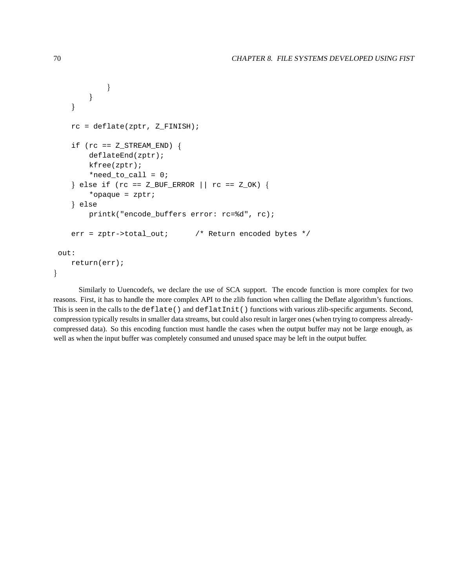```
\}\mathcal{E}\mathcal{E}rc = deflate(zptr, Z_FINISH);if (rc == Z\_STREAM\_END) {
       deflatedEnd(zptr);kfree(zptr);
        *need_to_call = 0;
   } else if (rc == Z_BUF_ERROR || rc == Z_OK) {
        *opaque = zptri} else
       printk("encode_buffers error: rc=%d", rc);
   err = zptr->total_out;
                                  /* Return encoded bytes */
out:
   return(err);
```
Similarly to Uuencodefs, we declare the use of SCA support. The encode function is more complex for two reasons. First, it has to handle the more complex API to the zlib function when calling the Deflate algorithm's functions. This is seen in the calls to the deflate () and deflatInit () functions with various zlib-specific arguments. Second, compression typically results in smaller data streams, but could also result in larger ones (when trying to compress alreadycompressed data). So this encoding function must handle the cases when the output buffer may not be large enough, as well as when the input buffer was completely consumed and unused space may be left in the output buffer.

 $\mathcal{F}$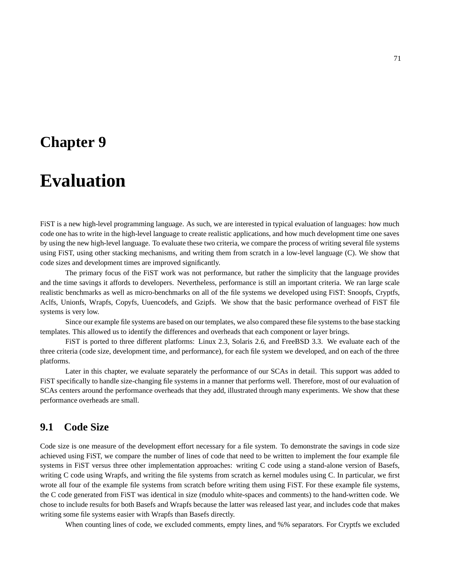## **Chapter 9**

## **Evaluation**

FiST is a new high-level programming language. As such, we are interested in typical evaluation of languages: how much code one has to write in the high-level language to create realistic applications, and how much development time one saves by using the new high-level language. To evaluate these two criteria, we compare the process of writing several file systems using FiST, using other stacking mechanisms, and writing them from scratch in a low-level language (C). We show that code sizes and development times are improved significantly.

The primary focus of the FiST work was not performance, but rather the simplicity that the language provides and the time savings it affords to developers. Nevertheless, performance is still an important criteria. We ran large scale realistic benchmarks as well as micro-benchmarks on all of the file systems we developed using FiST: Snoopfs, Cryptfs, Aclfs, Unionfs, Wrapfs, Copyfs, Uuencodefs, and Gzipfs. We show that the basic performance overhead of FiST file systems is very low.

Since our example file systems are based on our templates, we also compared these file systems to the base stacking templates. This allowed us to identify the differences and overheads that each component or layer brings.

FiST is ported to three different platforms: Linux 2.3, Solaris 2.6, and FreeBSD 3.3. We evaluate each of the three criteria (code size, development time, and performance), for each file system we developed, and on each of the three platforms.

Later in this chapter, we evaluate separately the performance of our SCAs in detail. This support was added to FiST specifically to handle size-changing file systems in a manner that performs well. Therefore, most of our evaluation of SCAs centers around the performance overheads that they add, illustrated through many experiments. We show that these performance overheads are small.

## **9.1 Code Size**

Code size is one measure of the development effort necessary for a file system. To demonstrate the savings in code size achieved using FiST, we compare the number of lines of code that need to be written to implement the four example file systems in FiST versus three other implementation approaches: writing C code using a stand-alone version of Basefs, writing C code using Wrapfs, and writing the file systems from scratch as kernel modules using C. In particular, we first wrote all four of the example file systems from scratch before writing them using FiST. For these example file systems, the C code generated from FiST was identical in size (modulo white-spaces and comments) to the hand-written code. We chose to include results for both Basefs and Wrapfs because the latter was released last year, and includes code that makes writing some file systems easier with Wrapfs than Basefs directly.

When counting lines of code, we excluded comments, empty lines, and %% separators. For Cryptfs we excluded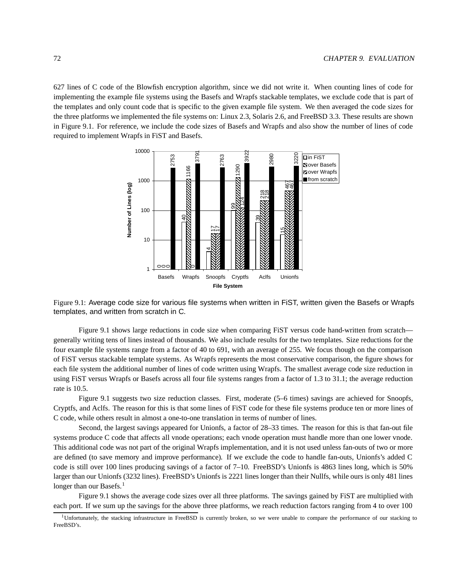627 lines of C code of the Blowfish encryption algorithm, since we did not write it. When counting lines of code for implementing the example file systems using the Basefs and Wrapfs stackable templates, we exclude code that is part of the templates and only count code that is specific to the given example file system. We then averaged the code sizes for the three platforms we implemented the file systems on: Linux 2.3, Solaris 2.6, and FreeBSD 3.3. These results are shown in Figure 9.1. For reference, we include the code sizes of Basefs and Wrapfs and also show the number of lines of code required to implement Wrapfs in FiST and Basefs.



Figure 9.1: Average code size for various file systems when written in FiST, written given the Basefs or Wrapfs templates, and written from scratch in C.

Figure 9.1 shows large reductions in code size when comparing FiST versus code hand-written from scratch generally writing tens of lines instead of thousands. We also include results for the two templates. Size reductions for the four example file systems range from a factor of 40 to 691, with an average of 255. We focus though on the comparison of FiST versus stackable template systems. As Wrapfs represents the most conservative comparison, the figure shows for each file system the additional number of lines of code written using Wrapfs. The smallest average code size reduction in using FiST versus Wrapfs or Basefs across all four file systems ranges from a factor of 1.3 to 31.1; the average reduction rate is 10.5.

Figure 9.1 suggests two size reduction classes. First, moderate (5–6 times) savings are achieved for Snoopfs, Cryptfs, and Aclfs. The reason for this is that some lines of FiST code for these file systems produce ten or more lines of C code, while others result in almost a one-to-one translation in terms of number of lines.

Second, the largest savings appeared for Unionfs, a factor of 28–33 times. The reason for this is that fan-out file systems produce C code that affects all vnode operations; each vnode operation must handle more than one lower vnode. This additional code was not part of the original Wrapfs implementation, and it is not used unless fan-outs of two or more are defined (to save memory and improve performance). If we exclude the code to handle fan-outs, Unionfs's added C code is still over 100 lines producing savings of a factor of 7–10. FreeBSD's Unionfs is 4863 lines long, which is 50% larger than our Unionfs (3232 lines). FreeBSD's Unionfs is 2221 lines longer than their Nullfs, while ours is only 481 lines longer than our Basefs.<sup>1</sup>

Figure 9.1 shows the average code sizes over all three platforms. The savings gained by FiST are multiplied with each port. If we sum up the savings for the above three platforms, we reach reduction factors ranging from 4 to over 100

<sup>1</sup>Unfortunately, the stacking infrastructure in FreeBSD is currently broken, so we were unable to compare the performance of our stacking to FreeBSD's.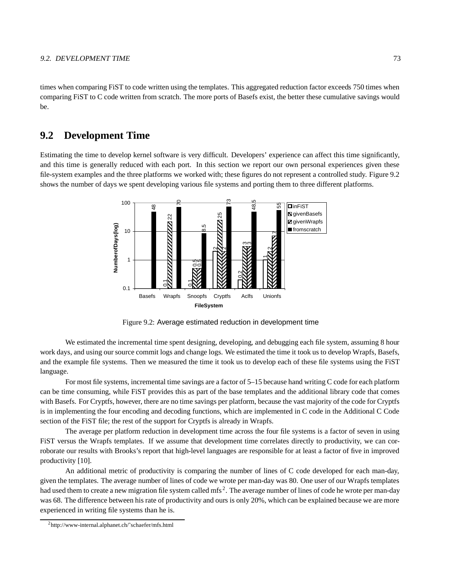times when comparing FiST to code written using the templates. This aggregated reduction factor exceeds 750 times when comparing FiST to C code written from scratch. The more ports of Basefs exist, the better these cumulative savings would be.

## **9.2 Development Time**

Estimating the time to develop kernel software is very difficult. Developers' experience can affect this time significantly, and this time is generally reduced with each port. In this section we report our own personal experiences given these file-system examples and the three platforms we worked with; these figures do not represent a controlled study. Figure 9.2 shows the number of days we spent developing various file systems and porting them to three different platforms.



Figure 9.2: Average estimated reduction in development time

We estimated the incremental time spent designing, developing, and debugging each file system, assuming 8 hour work days, and using our source commit logs and change logs. We estimated the time it took us to develop Wrapfs, Basefs, and the example file systems. Then we measured the time it took us to develop each of these file systems using the FiST language.

For most file systems, incremental time savings are a factor of 5–15 because hand writing C code for each platform can be time consuming, while FiST provides this as part of the base templates and the additional library code that comes with Basefs. For Cryptfs, however, there are no time savings per platform, because the vast majority of the code for Cryptfs is in implementing the four encoding and decoding functions, which are implemented in C code in the Additional C Code section of the FiST file; the rest of the support for Cryptfs is already in Wrapfs.

The average per platform reduction in development time across the four file systems is a factor of seven in using FiST versus the Wrapfs templates. If we assume that development time correlates directly to productivity, we can corroborate our results with Brooks's report that high-level languages are responsible for at least a factor of five in improved productivity [10].

An additional metric of productivity is comparing the number of lines of C code developed for each man-day, given the templates. The average number of lines of code we wrote per man-day was 80. One user of our Wrapfs templates had used them to create a new migration file system called mfs<sup>2</sup>. The average number of lines of code he wrote per man-day was 68. The difference between his rate of productivity and ours is only 20%, which can be explained because we are more experienced in writing file systems than he is.

<sup>2</sup>http://www-internal.alphanet.ch/˜schaefer/mfs.html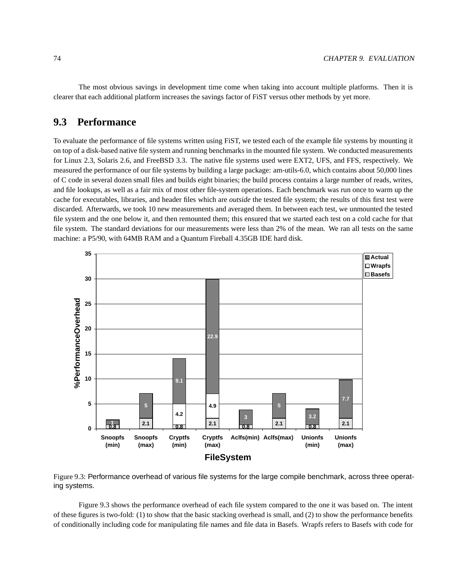The most obvious savings in development time come when taking into account multiple platforms. Then it is clearer that each additional platform increases the savings factor of FiST versus other methods by yet more.

## **9.3 Performance**

To evaluate the performance of file systems written using FiST, we tested each of the example file systems by mounting it on top of a disk-based native file system and running benchmarks in the mounted file system. We conducted measurements for Linux 2.3, Solaris 2.6, and FreeBSD 3.3. The native file systems used were EXT2, UFS, and FFS, respectively. We measured the performance of our file systems by building a large package: am-utils-6.0, which contains about 50,000 lines of C code in several dozen small files and builds eight binaries; the build process contains a large number of reads, writes, and file lookups, as well as a fair mix of most other file-system operations. Each benchmark was run once to warm up the cache for executables, libraries, and header files which are *outside* the tested file system; the results of this first test were discarded. Afterwards, we took 10 new measurements and averaged them. In between each test, we unmounted the tested file system and the one below it, and then remounted them; this ensured that we started each test on a cold cache for that file system. The standard deviations for our measurements were less than 2% of the mean. We ran all tests on the same machine: a P5/90, with 64MB RAM and a Quantum Fireball 4.35GB IDE hard disk.



Figure 9.3: Performance overhead of various file systems for the large compile benchmark, across three operating systems.

Figure 9.3 shows the performance overhead of each file system compared to the one it was based on. The intent of these figures is two-fold: (1) to show that the basic stacking overhead is small, and (2) to show the performance benefits of conditionally including code for manipulating file names and file data in Basefs. Wrapfs refers to Basefs with code for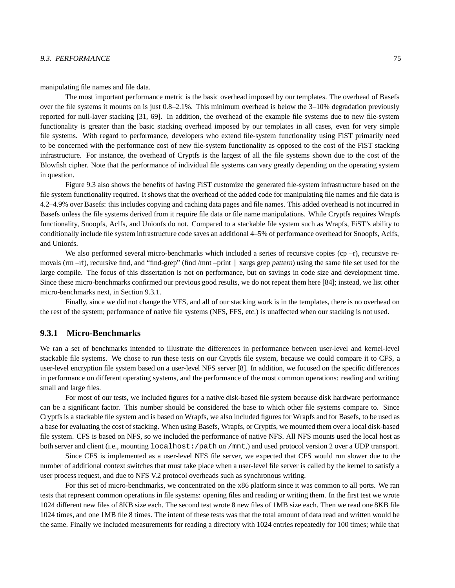#### 9.3. PERFORMANCE 75

manipulating file names and file data.

The most important performance metric is the basic overhead imposed by our templates. The overhead of Basefs over the file systems it mounts on is just 0.8–2.1%. This minimum overhead is below the 3–10% degradation previously reported for null-layer stacking [31, 69]. In addition, the overhead of the example file systems due to new file-system functionality is greater than the basic stacking overhead imposed by our templates in all cases, even for very simple file systems. With regard to performance, developers who extend file-system functionality using FiST primarily need to be concerned with the performance cost of new file-system functionality as opposed to the cost of the FiST stacking infrastructure. For instance, the overhead of Cryptfs is the largest of all the file systems shown due to the cost of the Blowfish cipher. Note that the performance of individual file systems can vary greatly depending on the operating system in question.

Figure 9.3 also shows the benefits of having FiST customize the generated file-system infrastructure based on the file system functionality required. It shows that the overhead of the added code for manipulating file names and file data is 4.2–4.9% over Basefs: this includes copying and caching data pages and file names. This added overhead is not incurred in Basefs unless the file systems derived from it require file data or file name manipulations. While Cryptfs requires Wrapfs functionality, Snoopfs, Aclfs, and Unionfs do not. Compared to a stackable file system such as Wrapfs, FiST's ability to conditionally include file system infrastructure code saves an additional 4–5% of performance overhead for Snoopfs, Aclfs, and Unionfs.

We also performed several micro-benchmarks which included a series of recursive copies (cp  $-r$ ), recursive removals (rm –rf), recursive find, and "find-grep" (find /mnt –print | xargs grep pattern) using the same file set used for the large compile. The focus of this dissertation is not on performance, but on savings in code size and development time. Since these micro-benchmarks confirmed our previous good results, we do not repeat them here [84]; instead, we list other micro-benchmarks next, in Section 9.3.1.

Finally, since we did not change the VFS, and all of our stacking work is in the templates, there is no overhead on the rest of the system; performance of native file systems (NFS, FFS, etc.) is unaffected when our stacking is not used.

#### **9.3.1 Micro-Benchmarks**

We ran a set of benchmarks intended to illustrate the differences in performance between user-level and kernel-level stackable file systems. We chose to run these tests on our Cryptfs file system, because we could compare it to CFS, a user-level encryption file system based on a user-level NFS server [8]. In addition, we focused on the specific differences in performance on different operating systems, and the performance of the most common operations: reading and writing small and large files.

For most of our tests, we included figures for a native disk-based file system because disk hardware performance can be a significant factor. This number should be considered the base to which other file systems compare to. Since Cryptfs is a stackable file system and is based on Wrapfs, we also included figures for Wrapfs and for Basefs, to be used as a base for evaluating the cost of stacking. When using Basefs, Wrapfs, or Cryptfs, we mounted them over a local disk-based file system. CFS is based on NFS, so we included the performance of native NFS. All NFS mounts used the local host as both server and client (i.e., mounting localhost:/path on /mnt,) and used protocol version 2 over a UDP transport.

Since CFS is implemented as a user-level NFS file server, we expected that CFS would run slower due to the number of additional context switches that must take place when a user-level file server is called by the kernel to satisfy a user process request, and due to NFS V.2 protocol overheads such as synchronous writing.

For this set of micro-benchmarks, we concentrated on the x86 platform since it was common to all ports. We ran tests that represent common operations in file systems: opening files and reading or writing them. In the first test we wrote 1024 different new files of 8KB size each. The second test wrote 8 new files of 1MB size each. Then we read one 8KB file 1024 times, and one 1MB file 8 times. The intent of these tests was that the total amount of data read and written would be the same. Finally we included measurements for reading a directory with 1024 entries repeatedly for 100 times; while that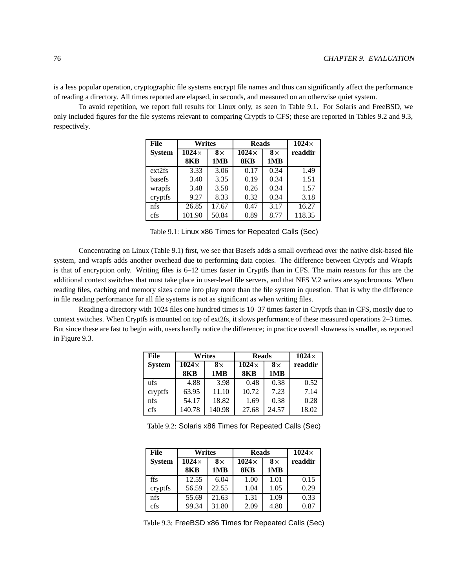is a less popular operation, cryptographic file systems encrypt file names and thus can significantly affect the performance of reading a directory. All times reported are elapsed, in seconds, and measured on an otherwise quiet system.

To avoid repetition, we report full results for Linux only, as seen in Table 9.1. For Solaris and FreeBSD, we only included figures for the file systems relevant to comparing Cryptfs to CFS; these are reported in Tables 9.2 and 9.3, respectively.

| File          | <b>Writes</b> |           | <b>Reads</b> |           | $1024\times$ |
|---------------|---------------|-----------|--------------|-----------|--------------|
| <b>System</b> | $1024\times$  | $8\times$ | $1024\times$ | $8\times$ | readdir      |
|               | <b>8KB</b>    | 1MB       | <b>8KB</b>   | 1MB       |              |
| ext2fs        | 3.33          | 3.06      | 0.17         | 0.34      | 1.49         |
| basefs        | 3.40          | 3.35      | 0.19         | 0.34      | 1.51         |
| wrapfs        | 3.48          | 3.58      | 0.26         | 0.34      | 1.57         |
| cryptfs       | 9.27          | 8.33      | 0.32         | 0.34      | 3.18         |
| nfs           | 26.85         | 17.67     | 0.47         | 3.17      | 16.27        |
| cfs           | 101.90        | 50.84     | 0.89         | 8.77      | 118.35       |

Table 9.1: Linux x86 Times for Repeated Calls (Sec)

Concentrating on Linux (Table 9.1) first, we see that Basefs adds a small overhead over the native disk-based file system, and wrapfs adds another overhead due to performing data copies. The difference between Cryptfs and Wrapfs is that of encryption only. Writing files is 6–12 times faster in Cryptfs than in CFS. The main reasons for this are the additional context switches that must take place in user-level file servers, and that NFS V.2 writes are synchronous. When reading files, caching and memory sizes come into play more than the file system in question. That is why the difference in file reading performance for all file systems is not as significant as when writing files.

Reading a directory with 1024 files one hundred times is 10–37 times faster in Cryptfs than in CFS, mostly due to context switches. When Cryptfs is mounted on top of ext2fs, it slows performance of these measured operations 2–3 times. But since these are fast to begin with, users hardly notice the difference; in practice overall slowness is smaller, as reported in Figure 9.3.

| File          | <b>Writes</b> |           | <b>Reads</b> |           | $1024\times$ |
|---------------|---------------|-----------|--------------|-----------|--------------|
| <b>System</b> | $1024\times$  | $8\times$ | $1024\times$ | $8\times$ | readdir      |
|               | 8KB           | 1MB       | <b>8KB</b>   | 1MB       |              |
| ufs           | 4.88          | 3.98      | 0.48         | 0.38      | 0.52         |
| cryptfs       | 63.95         | 11.10     | 10.72        | 7.23      | 7.14         |
| nfs           | 54.17         | 18.82     | 1.69         | 0.38      | 0.28         |
| cfs           | 140.78        | 140.98    | 27.68        | 24.57     | 18.02        |

Table 9.2: Solaris x86 Times for Repeated Calls (Sec)

| File          | Writes       |           | <b>Reads</b> |           | $1024\times$ |
|---------------|--------------|-----------|--------------|-----------|--------------|
| <b>System</b> | $1024\times$ | $8\times$ | $1024\times$ | $8\times$ | readdir      |
|               | <b>8KB</b>   | 1MB       | <b>8KB</b>   | 1MB       |              |
| ffs           | 12.55        | 6.04      | 1.00         | 1.01      | 0.15         |
| cryptfs       | 56.59        | 22.55     | 1.04         | 1.05      | 0.29         |
| nfs           | 55.69        | 21.63     | 1.31         | 1.09      | 0.33         |
| cfs           | 99.34        | 31.80     | 2.09         | 4.80      | 0.87         |

Table 9.3: FreeBSD x86 Times for Repeated Calls (Sec)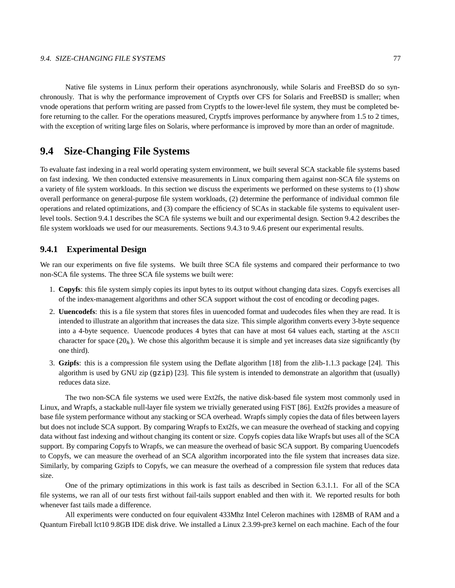Native file systems in Linux perform their operations asynchronously, while Solaris and FreeBSD do so synchronously. That is why the performance improvement of Cryptfs over CFS for Solaris and FreeBSD is smaller; when vnode operations that perform writing are passed from Cryptfs to the lower-level file system, they must be completed before returning to the caller. For the operations measured, Cryptfs improves performance by anywhere from 1.5 to 2 times, with the exception of writing large files on Solaris, where performance is improved by more than an order of magnitude.

## **9.4 Size-Changing File Systems**

To evaluate fast indexing in a real world operating system environment, we built several SCA stackable file systems based on fast indexing. We then conducted extensive measurements in Linux comparing them against non-SCA file systems on a variety of file system workloads. In this section we discuss the experiments we performed on these systems to (1) show overall performance on general-purpose file system workloads, (2) determine the performance of individual common file operations and related optimizations, and (3) compare the efficiency of SCAs in stackable file systems to equivalent userlevel tools. Section 9.4.1 describes the SCA file systems we built and our experimental design. Section 9.4.2 describes the file system workloads we used for our measurements. Sections 9.4.3 to 9.4.6 present our experimental results.

### **9.4.1 Experimental Design**

We ran our experiments on five file systems. We built three SCA file systems and compared their performance to two non-SCA file systems. The three SCA file systems we built were:

- 1. **Copyfs**: this file system simply copies its input bytes to its output without changing data sizes. Copyfs exercises all of the index-management algorithms and other SCA support without the cost of encoding or decoding pages.
- 2. **Uuencodefs**: this is a file system that stores files in uuencoded format and uudecodes files when they are read. It is intended to illustrate an algorithm that increases the data size. This simple algorithm converts every 3-byte sequence into a 4-byte sequence. Uuencode produces 4 bytes that can have at most 64 values each, starting at the ASCII character for space  $(20<sub>b</sub>)$ . We chose this algorithm because it is simple and yet increases data size significantly (by one third).
- 3. **Gzipfs**: this is a compression file system using the Deflate algorithm [18] from the zlib-1.1.3 package [24]. This algorithm is used by GNU zip (gzip) [23]. This file system is intended to demonstrate an algorithm that (usually) reduces data size.

The two non-SCA file systems we used were Ext2fs, the native disk-based file system most commonly used in Linux, and Wrapfs, a stackable null-layer file system we trivially generated using FiST [86]. Ext2fs provides a measure of base file system performance without any stacking or SCA overhead. Wrapfs simply copies the data of files between layers but does not include SCA support. By comparing Wrapfs to Ext2fs, we can measure the overhead of stacking and copying data without fast indexing and without changing its content or size. Copyfs copies data like Wrapfs but uses all of the SCA support. By comparing Copyfs to Wrapfs, we can measure the overhead of basic SCA support. By comparing Uuencodefs to Copyfs, we can measure the overhead of an SCA algorithm incorporated into the file system that increases data size. Similarly, by comparing Gzipfs to Copyfs, we can measure the overhead of a compression file system that reduces data size.

One of the primary optimizations in this work is fast tails as described in Section 6.3.1.1. For all of the SCA file systems, we ran all of our tests first without fail-tails support enabled and then with it. We reported results for both whenever fast tails made a difference.

All experiments were conducted on four equivalent 433Mhz Intel Celeron machines with 128MB of RAM and a Quantum Fireball lct10 9.8GB IDE disk drive. We installed a Linux 2.3.99-pre3 kernel on each machine. Each of the four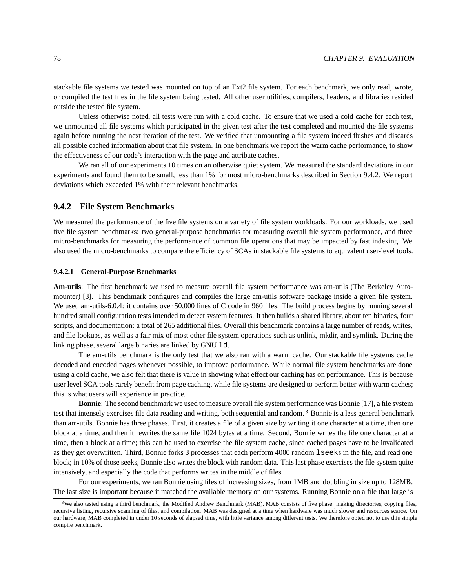stackable file systems we tested was mounted on top of an Ext2 file system. For each benchmark, we only read, wrote, or compiled the test files in the file system being tested. All other user utilities, compilers, headers, and libraries resided outside the tested file system.

Unless otherwise noted, all tests were run with a cold cache. To ensure that we used a cold cache for each test, we unmounted all file systems which participated in the given test after the test completed and mounted the file systems again before running the next iteration of the test. We verified that unmounting a file system indeed flushes and discards all possible cached information about that file system. In one benchmark we report the warm cache performance, to show the effectiveness of our code's interaction with the page and attribute caches.

We ran all of our experiments 10 times on an otherwise quiet system. We measured the standard deviations in our experiments and found them to be small, less than 1% for most micro-benchmarks described in Section 9.4.2. We report deviations which exceeded 1% with their relevant benchmarks.

#### **9.4.2 File System Benchmarks**

We measured the performance of the five file systems on a variety of file system workloads. For our workloads, we used five file system benchmarks: two general-purpose benchmarks for measuring overall file system performance, and three micro-benchmarks for measuring the performance of common file operations that may be impacted by fast indexing. We also used the micro-benchmarks to compare the efficiency of SCAs in stackable file systems to equivalent user-level tools.

#### **9.4.2.1 General-Purpose Benchmarks**

**Am-utils**: The first benchmark we used to measure overall file system performance was am-utils (The Berkeley Automounter) [3]. This benchmark configures and compiles the large am-utils software package inside a given file system. We used am-utils-6.0.4: it contains over 50,000 lines of C code in 960 files. The build process begins by running several hundred small configuration tests intended to detect system features. It then builds a shared library, about ten binaries, four scripts, and documentation: a total of 265 additional files. Overall this benchmark contains a large number of reads, writes, and file lookups, as well as a fair mix of most other file system operations such as unlink, mkdir, and symlink. During the linking phase, several large binaries are linked by GNU ld.

The am-utils benchmark is the only test that we also ran with a warm cache. Our stackable file systems cache decoded and encoded pages whenever possible, to improve performance. While normal file system benchmarks are done using a cold cache, we also felt that there is value in showing what effect our caching has on performance. This is because user level SCA tools rarely benefit from page caching, while file systems are designed to perform better with warm caches; this is what users will experience in practice.

**Bonnie**: The second benchmark we used to measure overall file system performance was Bonnie [17], a file system test that intensely exercises file data reading and writing, both sequential and random. <sup>3</sup> Bonnie is a less general benchmark than am-utils. Bonnie has three phases. First, it creates a file of a given size by writing it one character at a time, then one block at a time, and then it rewrites the same file 1024 bytes at a time. Second, Bonnie writes the file one character at a time, then a block at a time; this can be used to exercise the file system cache, since cached pages have to be invalidated as they get overwritten. Third, Bonnie forks 3 processes that each perform 4000 random lseeks in the file, and read one block; in 10% of those seeks, Bonnie also writes the block with random data. This last phase exercises the file system quite intensively, and especially the code that performs writes in the middle of files.

For our experiments, we ran Bonnie using files of increasing sizes, from 1MB and doubling in size up to 128MB. The last size is important because it matched the available memory on our systems. Running Bonnie on a file that large is

 $3$ We also tested using a third benchmark, the Modified Andrew Benchmark (MAB). MAB consists of five phase: making directories, copying files, recursive listing, recursive scanning of files, and compilation. MAB was designed at a time when hardware was much slower and resources scarce. On our hardware, MAB completed in under 10 seconds of elapsed time, with little variance among different tests. We therefore opted not to use this simple compile benchmark.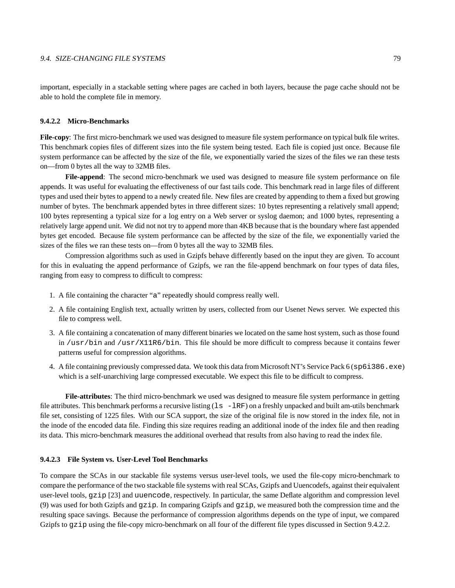important, especially in a stackable setting where pages are cached in both layers, because the page cache should not be able to hold the complete file in memory.

#### **9.4.2.2 Micro-Benchmarks**

**File-copy**: The first micro-benchmark we used was designed to measure file system performance on typical bulk file writes. This benchmark copies files of different sizes into the file system being tested. Each file is copied just once. Because file system performance can be affected by the size of the file, we exponentially varied the sizes of the files we ran these tests on—from 0 bytes all the way to 32MB files.

**File-append**: The second micro-benchmark we used was designed to measure file system performance on file appends. It was useful for evaluating the effectiveness of our fast tails code. This benchmark read in large files of different types and used their bytes to append to a newly created file. New files are created by appending to them a fixed but growing number of bytes. The benchmark appended bytes in three different sizes: 10 bytes representing a relatively small append; 100 bytes representing a typical size for a log entry on a Web server or syslog daemon; and 1000 bytes, representing a relatively large append unit. We did not not try to append more than 4KB because that is the boundary where fast appended bytes get encoded. Because file system performance can be affected by the size of the file, we exponentially varied the sizes of the files we ran these tests on—from 0 bytes all the way to 32MB files.

Compression algorithms such as used in Gzipfs behave differently based on the input they are given. To account for this in evaluating the append performance of Gzipfs, we ran the file-append benchmark on four types of data files, ranging from easy to compress to difficult to compress:

- 1. A file containing the character "a" repeatedly should compress really well.
- 2. A file containing English text, actually written by users, collected from our Usenet News server. We expected this file to compress well.
- 3. A file containing a concatenation of many different binaries we located on the same host system, such as those found in /usr/bin and /usr/X11R6/bin. This file should be more difficult to compress because it contains fewer patterns useful for compression algorithms.
- 4. A file containing previously compressed data. We took this data from Microsoft NT's Service Pack 6 (sp6i386.exe) which is a self-unarchiving large compressed executable. We expect this file to be difficult to compress.

**File-attributes**: The third micro-benchmark we used was designed to measure file system performance in getting file attributes. This benchmark performs a recursive listing  $(1s -lRF)$  on a freshly unpacked and built am-utils benchmark file set, consisting of 1225 files. With our SCA support, the size of the original file is now stored in the index file, not in the inode of the encoded data file. Finding this size requires reading an additional inode of the index file and then reading its data. This micro-benchmark measures the additional overhead that results from also having to read the index file.

#### **9.4.2.3 File System vs. User-Level Tool Benchmarks**

To compare the SCAs in our stackable file systems versus user-level tools, we used the file-copy micro-benchmark to compare the performance of the two stackable file systems with real SCAs, Gzipfs and Uuencodefs, against their equivalent user-level tools, gzip [23] and uuencode, respectively. In particular, the same Deflate algorithm and compression level (9) was used for both Gzipfs and gzip. In comparing Gzipfs and gzip, we measured both the compression time and the resulting space savings. Because the performance of compression algorithms depends on the type of input, we compared Gzipfs to gzip using the file-copy micro-benchmark on all four of the different file types discussed in Section 9.4.2.2.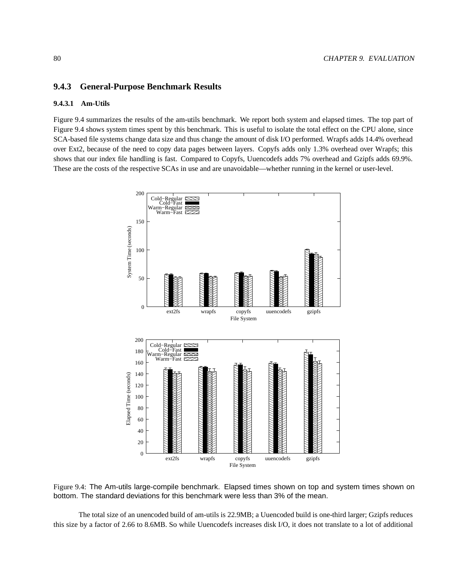#### **CHAPTER 9. EVALUATION**

#### 9.4.3 **General-Purpose Benchmark Results**

#### $9.4.3.1$ **Am-Utils**

Figure 9.4 summarizes the results of the am-utils benchmark. We report both system and elapsed times. The top part of Figure 9.4 shows system times spent by this benchmark. This is useful to isolate the total effect on the CPU alone, since SCA-based file systems change data size and thus change the amount of disk I/O performed. Wrapfs adds 14.4% overhead over Ext2, because of the need to copy data pages between layers. Copyfs adds only 1.3% overhead over Wrapfs; this shows that our index file handling is fast. Compared to Copyfs, Uuencodefs adds 7% overhead and Gzipfs adds 69.9%. These are the costs of the respective SCAs in use and are unavoidable—whether running in the kernel or user-level.



Figure 9.4: The Am-utils large-compile benchmark. Elapsed times shown on top and system times shown on bottom. The standard deviations for this benchmark were less than 3% of the mean.

The total size of an unencoded build of am-utils is 22.9MB; a Uuencoded build is one-third larger; Gzipfs reduces this size by a factor of 2.66 to 8.6MB. So while Uuencodefs increases disk I/O, it does not translate to a lot of additional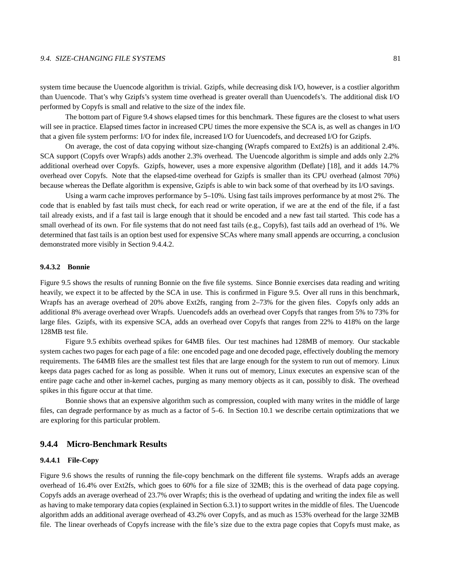#### 9.4. SIZE-CHANGING FILE SYSTEMS 81

system time because the Uuencode algorithm is trivial. Gzipfs, while decreasing disk I/O, however, is a costlier algorithm than Uuencode. That's why Gzipfs's system time overhead is greater overall than Uuencodefs's. The additional disk I/O performed by Copyfs is small and relative to the size of the index file.

The bottom part of Figure 9.4 shows elapsed times for this benchmark. These figures are the closest to what users will see in practice. Elapsed times factor in increased CPU times the more expensive the SCA is, as well as changes in I/O that a given file system performs: I/O for index file, increased I/O for Uuencodefs, and decreased I/O for Gzipfs.

On average, the cost of data copying without size-changing (Wrapfs compared to Ext2fs) is an additional 2.4%. SCA support (Copyfs over Wrapfs) adds another 2.3% overhead. The Uuencode algorithm is simple and adds only 2.2% additional overhead over Copyfs. Gzipfs, however, uses a more expensive algorithm (Deflate) [18], and it adds 14.7% overhead over Copyfs. Note that the elapsed-time overhead for Gzipfs is smaller than its CPU overhead (almost 70%) because whereas the Deflate algorithm is expensive, Gzipfs is able to win back some of that overhead by its I/O savings.

Using a warm cache improves performance by 5–10%. Using fast tails improves performance by at most 2%. The code that is enabled by fast tails must check, for each read or write operation, if we are at the end of the file, if a fast tail already exists, and if a fast tail is large enough that it should be encoded and a new fast tail started. This code has a small overhead of its own. For file systems that do not need fast tails (e.g., Copyfs), fast tails add an overhead of 1%. We determined that fast tails is an option best used for expensive SCAs where many small appends are occurring, a conclusion demonstrated more visibly in Section 9.4.4.2.

#### **9.4.3.2 Bonnie**

Figure 9.5 shows the results of running Bonnie on the five file systems. Since Bonnie exercises data reading and writing heavily, we expect it to be affected by the SCA in use. This is confirmed in Figure 9.5. Over all runs in this benchmark, Wrapfs has an average overhead of 20% above Ext2fs, ranging from 2–73% for the given files. Copyfs only adds an additional 8% average overhead over Wrapfs. Uuencodefs adds an overhead over Copyfs that ranges from 5% to 73% for large files. Gzipfs, with its expensive SCA, adds an overhead over Copyfs that ranges from 22% to 418% on the large 128MB test file.

Figure 9.5 exhibits overhead spikes for 64MB files. Our test machines had 128MB of memory. Our stackable system caches two pages for each page of a file: one encoded page and one decoded page, effectively doubling the memory requirements. The 64MB files are the smallest test files that are large enough for the system to run out of memory. Linux keeps data pages cached for as long as possible. When it runs out of memory, Linux executes an expensive scan of the entire page cache and other in-kernel caches, purging as many memory objects as it can, possibly to disk. The overhead spikes in this figure occur at that time.

Bonnie shows that an expensive algorithm such as compression, coupled with many writes in the middle of large files, can degrade performance by as much as a factor of 5–6. In Section 10.1 we describe certain optimizations that we are exploring for this particular problem.

#### **9.4.4 Micro-Benchmark Results**

#### **9.4.4.1 File-Copy**

Figure 9.6 shows the results of running the file-copy benchmark on the different file systems. Wrapfs adds an average overhead of 16.4% over Ext2fs, which goes to 60% for a file size of 32MB; this is the overhead of data page copying. Copyfs adds an average overhead of 23.7% over Wrapfs; this is the overhead of updating and writing the index file as well as having to make temporary data copies(explained in Section 6.3.1) to support writes in the middle of files. The Uuencode algorithm adds an additional average overhead of 43.2% over Copyfs, and as much as 153% overhead for the large 32MB file. The linear overheads of Copyfs increase with the file's size due to the extra page copies that Copyfs must make, as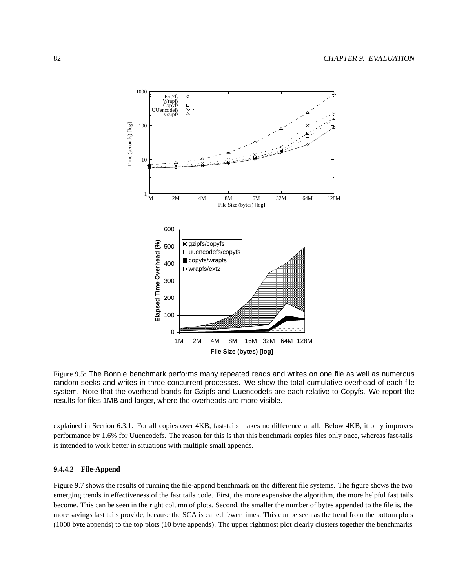

Figure 9.5: The Bonnie benchmark performs many repeated reads and writes on one file as well as numerous random seeks and writes in three concurrent processes. We show the total cumulative overhead of each file system. Note that the overhead bands for Gzipfs and Uuencodefs are each relative to Copyfs. We report the results for files 1MB and larger, where the overheads are more visible.

explained in Section 6.3.1. For all copies over 4KB, fast-tails makes no difference at all. Below 4KB, it only improves performance by 1.6% for Uuencodefs. The reason for this is that this benchmark copies files only once, whereas fast-tails is intended to work better in situations with multiple small appends.

#### **9.4.4.2 File-Append**

Figure 9.7 shows the results of running the file-append benchmark on the different file systems. The figure shows the two emerging trends in effectiveness of the fast tails code. First, the more expensive the algorithm, the more helpful fast tails become. This can be seen in the right column of plots. Second, the smaller the number of bytes appended to the file is, the more savings fast tails provide, because the SCA is called fewer times. This can be seen as the trend from the bottom plots (1000 byte appends) to the top plots (10 byte appends). The upper rightmost plot clearly clusters together the benchmarks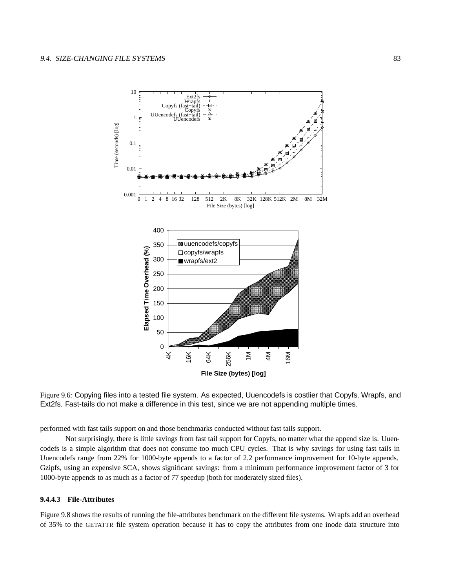

Figure 9.6: Copying files into a tested file system. As expected, Uuencodefs is costlier that Copyfs, Wrapfs, and Ext2fs. Fast-tails do not make a difference in this test, since we are not appending multiple times.

performed with fast tails support on and those benchmarks conducted without fast tails support.

Not surprisingly, there is little savings from fast tail support for Copyfs, no matter what the append size is. Uuencodefs is a simple algorithm that does not consume too much CPU cycles. That is why savings for using fast tails in Uuencodefs range from 22% for 1000-byte appends to a factor of 2.2 performance improvement for 10-byte appends. Gzipfs, using an expensive SCA, shows significant savings: from a minimum performance improvement factor of 3 for 1000-byte appends to as much as a factor of 77 speedup (both for moderately sized files).

#### **9.4.4.3 File-Attributes**

Figure 9.8 shows the results of running the file-attributes benchmark on the different file systems. Wrapfs add an overhead of 35% to the GETATTR file system operation because it has to copy the attributes from one inode data structure into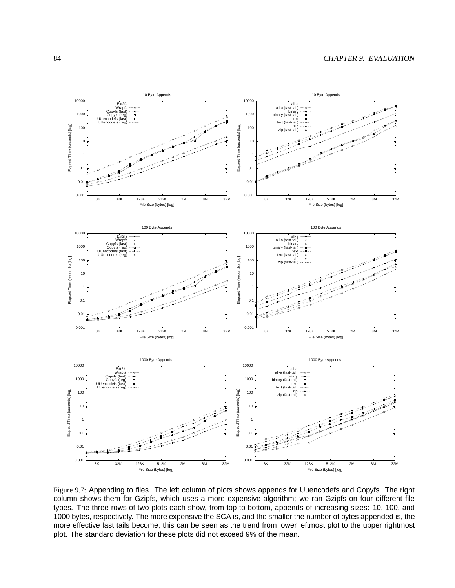

Figure 9.7: Appending to files. The left column of plots shows appends for Uuencodefs and Copyfs. The right column shows them for Gzipfs, which uses a more expensive algorithm; we ran Gzipfs on four different file types. The three rows of two plots each show, from top to bottom, appends of increasing sizes: 10, 100, and 1000 bytes, respectively. The more expensive the SCA is, and the smaller the number of bytes appended is, the more effective fast tails become; this can be seen as the trend from lower leftmost plot to the upper rightmost plot. The standard deviation for these plots did not exceed 9% of the mean.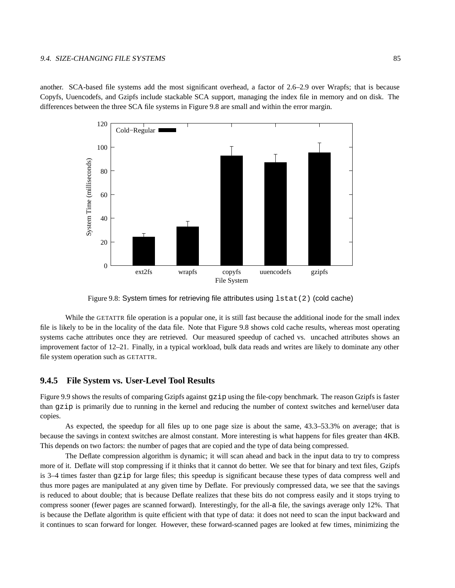#### 9.4. SIZE-CHANGING FILE SYSTEMS 85

another. SCA-based file systems add the most significant overhead, a factor of 2.6–2.9 over Wrapfs; that is because Copyfs, Uuencodefs, and Gzipfs include stackable SCA support, managing the index file in memory and on disk. The differences between the three SCA file systems in Figure 9.8 are small and within the error margin.



Figure 9.8: System times for retrieving file attributes using  $listat(2)$  (cold cache)

While the GETATTR file operation is a popular one, it is still fast because the additional inode for the small index file is likely to be in the locality of the data file. Note that Figure 9.8 shows cold cache results, whereas most operating systems cache attributes once they are retrieved. Our measured speedup of cached vs. uncached attributes shows an improvement factor of 12–21. Finally, in a typical workload, bulk data reads and writes are likely to dominate any other file system operation such as GETATTR.

#### **9.4.5 File System vs. User-Level Tool Results**

Figure 9.9 shows the results of comparing Gzipfs against qzip using the file-copy benchmark. The reason Gzipfs is faster than gzip is primarily due to running in the kernel and reducing the number of context switches and kernel/user data copies.

As expected, the speedup for all files up to one page size is about the same, 43.3–53.3% on average; that is because the savings in context switches are almost constant. More interesting is what happens for files greater than 4KB. This depends on two factors: the number of pages that are copied and the type of data being compressed.

The Deflate compression algorithm is dynamic; it will scan ahead and back in the input data to try to compress more of it. Deflate will stop compressing if it thinks that it cannot do better. We see that for binary and text files, Gzipfs is 3–4 times faster than gzip for large files; this speedup is significant because these types of data compress well and thus more pages are manipulated at any given time by Deflate. For previously compressed data, we see that the savings is reduced to about double; that is because Deflate realizes that these bits do not compress easily and it stops trying to compress sooner (fewer pages are scanned forward). Interestingly, for the all-a file, the savings average only 12%. That is because the Deflate algorithm is quite efficient with that type of data: it does not need to scan the input backward and it continues to scan forward for longer. However, these forward-scanned pages are looked at few times, minimizing the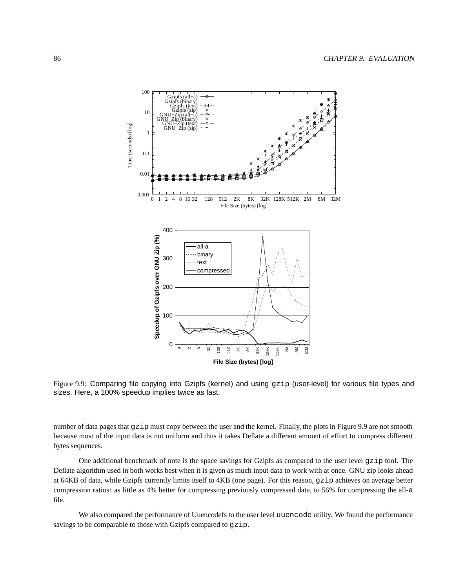

Figure 9.9: Comparing file copying into Gzipfs (kernel) and using gzip (user-level) for various file types and sizes. Here, a 100% speedup implies twice as fast.

number of data pages that gzip must copy between the user and the kernel. Finally, the plots in Figure 9.9 are not smooth because most of the input data is not uniform and thus it takes Deflate a different amount of effort to compress different bytes sequences.

One additional benchmark of note is the space savings for Gzipfs as compared to the user level gzip tool. The Deflate algorithm used in both works best when it is given as much input data to work with at once. GNU zip looks ahead at 64KB of data, while Gzipfs currently limits itself to 4KB (one page). For this reason, gzip achieves on average better compression ratios: as little as 4% better for compressing previously compressed data, to 56% for compressing the all-a file.

We also compared the performance of Uuencodefs to the user level uuencode utility. We found the performance savings to be comparable to those with Gzipfs compared to gzip.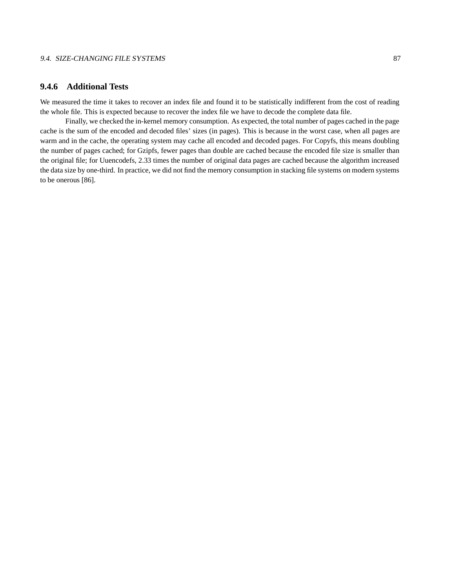## **9.4.6 Additional Tests**

We measured the time it takes to recover an index file and found it to be statistically indifferent from the cost of reading the whole file. This is expected because to recover the index file we have to decode the complete data file.

Finally, we checked the in-kernel memory consumption. As expected, the total number of pages cached in the page cache is the sum of the encoded and decoded files' sizes (in pages). This is because in the worst case, when all pages are warm and in the cache, the operating system may cache all encoded and decoded pages. For Copyfs, this means doubling the number of pages cached; for Gzipfs, fewer pages than double are cached because the encoded file size is smaller than the original file; for Uuencodefs, 2.33 times the number of original data pages are cached because the algorithm increased the data size by one-third. In practice, we did not find the memory consumption in stacking file systems on modern systems to be onerous [86].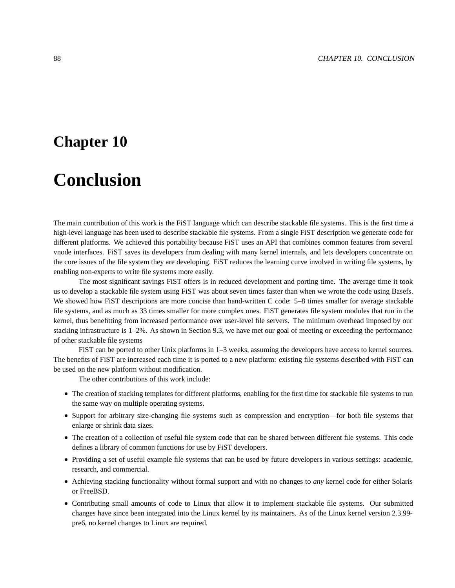## **Chapter 10**

# **Conclusion**

The main contribution of this work is the FiST language which can describe stackable file systems. This is the first time a high-level language has been used to describe stackable file systems. From a single FiST description we generate code for different platforms. We achieved this portability because FiST uses an API that combines common features from several vnode interfaces. FiST saves its developers from dealing with many kernel internals, and lets developers concentrate on the core issues of the file system they are developing. FiST reduces the learning curve involved in writing file systems, by enabling non-experts to write file systems more easily.

The most significant savings FiST offers is in reduced development and porting time. The average time it took us to develop a stackable file system using FiST was about seven times faster than when we wrote the code using Basefs. We showed how FiST descriptions are more concise than hand-written C code: 5–8 times smaller for average stackable file systems, and as much as 33 times smaller for more complex ones. FiST generates file system modules that run in the kernel, thus benefitting from increased performance over user-level file servers. The minimum overhead imposed by our stacking infrastructure is 1–2%. As shown in Section 9.3, we have met our goal of meeting or exceeding the performance of other stackable file systems

FiST can be ported to other Unix platforms in 1–3 weeks, assuming the developers have access to kernel sources. The benefits of FiST are increased each time it is ported to a new platform: existing file systems described with FiST can be used on the new platform without modification.

The other contributions of this work include:

- The creation of stacking templates for different platforms, enabling for the first time for stackable file systems to run the same way on multiple operating systems.
- Support for arbitrary size-changing file systems such as compression and encryption—for both file systems that enlarge or shrink data sizes.
- The creation of a collection of useful file system code that can be shared between different file systems. This code defines a library of common functions for use by FiST developers.
- Providing a set of useful example file systems that can be used by future developers in various settings: academic, research, and commercial.
- Achieving stacking functionality without formal support and with no changes to *any* kernel code for either Solaris or FreeBSD.
- Contributing small amounts of code to Linux that allow it to implement stackable file systems. Our submitted changes have since been integrated into the Linux kernel by its maintainers. As of the Linux kernel version 2.3.99 pre6, no kernel changes to Linux are required.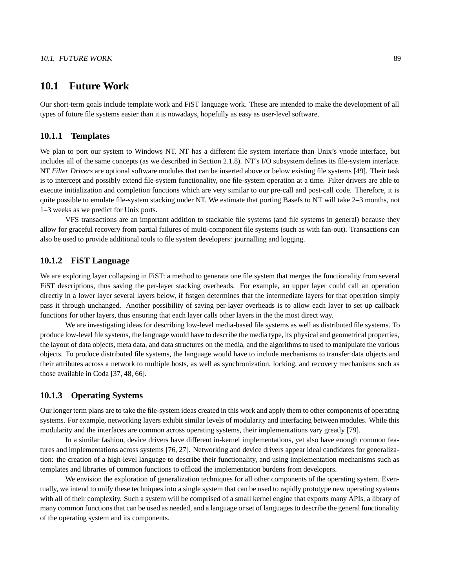### **10.1 Future Work**

Our short-term goals include template work and FiST language work. These are intended to make the development of all types of future file systems easier than it is nowadays, hopefully as easy as user-level software.

### **10.1.1 Templates**

We plan to port our system to Windows NT. NT has a different file system interface than Unix's vnode interface, but includes all of the same concepts (as we described in Section 2.1.8). NT's I/O subsystem defines its file-system interface. NT *Filter Drivers* are optional software modules that can be inserted above or below existing file systems [49]. Their task is to intercept and possibly extend file-system functionality, one file-system operation at a time. Filter drivers are able to execute initialization and completion functions which are very similar to our pre-call and post-call code. Therefore, it is quite possible to emulate file-system stacking under NT. We estimate that porting Basefs to NT will take 2–3 months, not 1–3 weeks as we predict for Unix ports.

VFS transactions are an important addition to stackable file systems (and file systems in general) because they allow for graceful recovery from partial failures of multi-component file systems (such as with fan-out). Transactions can also be used to provide additional tools to file system developers: journalling and logging.

### **10.1.2 FiST Language**

We are exploring layer collapsing in FiST: a method to generate one file system that merges the functionality from several FiST descriptions, thus saving the per-layer stacking overheads. For example, an upper layer could call an operation directly in a lower layer several layers below, if fistgen determines that the intermediate layers for that operation simply pass it through unchanged. Another possibility of saving per-layer overheads is to allow each layer to set up callback functions for other layers, thus ensuring that each layer calls other layers in the the most direct way.

We are investigating ideas for describing low-level media-based file systems as well as distributed file systems. To produce low-level file systems, the language would have to describe the media type, its physical and geometrical properties, the layout of data objects, meta data, and data structures on the media, and the algorithms to used to manipulate the various objects. To produce distributed file systems, the language would have to include mechanisms to transfer data objects and their attributes across a network to multiple hosts, as well as synchronization, locking, and recovery mechanisms such as those available in Coda [37, 48, 66].

#### **10.1.3 Operating Systems**

Our longer term plans are to take the file-system ideas created in this work and apply them to other components of operating systems. For example, networking layers exhibit similar levels of modularity and interfacing between modules. While this modularity and the interfaces are common across operating systems, their implementations vary greatly [79].

In a similar fashion, device drivers have different in-kernel implementations, yet also have enough common features and implementations across systems [76, 27]. Networking and device drivers appear ideal candidates for generalization: the creation of a high-level language to describe their functionality, and using implementation mechanisms such as templates and libraries of common functions to offload the implementation burdens from developers.

We envision the exploration of generalization techniques for all other components of the operating system. Eventually, we intend to unify these techniques into a single system that can be used to rapidly prototype new operating systems with all of their complexity. Such a system will be comprised of a small kernel engine that exports many APIs, a library of many common functions that can be used as needed, and a language orset of languages to describe the general functionality of the operating system and its components.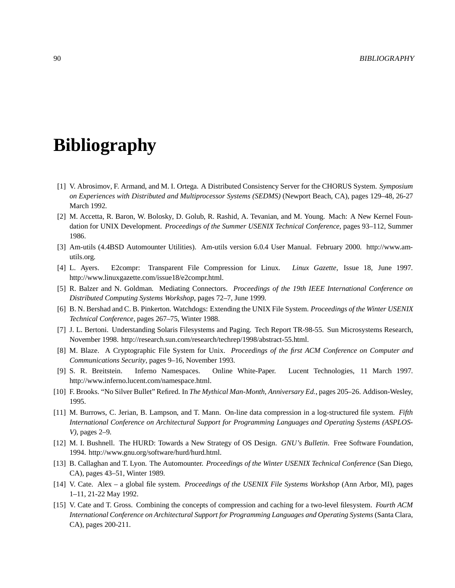# **Bibliography**

- [1] V. Abrosimov, F. Armand, and M. I. Ortega. A Distributed Consistency Server for the CHORUS System. *Symposium on Experiences with Distributed and Multiprocessor Systems (SEDMS)* (Newport Beach, CA), pages 129–48, 26-27 March 1992.
- [2] M. Accetta, R. Baron, W. Bolosky, D. Golub, R. Rashid, A. Tevanian, and M. Young. Mach: A New Kernel Foundation for UNIX Development. *Proceedings of the Summer USENIX Technical Conference*, pages 93–112, Summer 1986.
- [3] Am-utils (4.4BSD Automounter Utilities). Am-utils version 6.0.4 User Manual. February 2000. http://www.amutils.org.
- [4] L. Ayers. E2compr: Transparent File Compression for Linux. *Linux Gazette*, Issue 18, June 1997. http://www.linuxgazette.com/issue18/e2compr.html.
- [5] R. Balzer and N. Goldman. Mediating Connectors. *Proceedings of the 19th IEEE International Conference on Distributed Computing Systems Workshop*, pages 72–7, June 1999.
- [6] B. N. Bershad and C. B. Pinkerton. Watchdogs: Extending the UNIX File System. *Proceedings of the Winter USENIX Technical Conference*, pages 267–75, Winter 1988.
- [7] J. L. Bertoni. Understanding Solaris Filesystems and Paging. Tech Report TR-98-55. Sun Microsystems Research, November 1998. http://research.sun.com/research/techrep/1998/abstract-55.html.
- [8] M. Blaze. A Cryptographic File System for Unix. *Proceedings of the first ACM Conference on Computer and Communications Security*, pages 9–16, November 1993.
- [9] S. R. Breitstein. Inferno Namespaces. Online White-Paper. Lucent Technologies, 11 March 1997. http://www.inferno.lucent.com/namespace.html.
- [10] F. Brooks. "No Silver Bullet" Refired. In *The Mythical Man-Month, Anniversary Ed.*, pages 205–26. Addison-Wesley, 1995.
- [11] M. Burrows, C. Jerian, B. Lampson, and T. Mann. On-line data compression in a log-structured file system. *Fifth International Conference on Architectural Support for Programming Languages and Operating Systems (ASPLOS-V)*, pages 2–9.
- [12] M. I. Bushnell. The HURD: Towards a New Strategy of OS Design. *GNU's Bulletin*. Free Software Foundation, 1994. http://www.gnu.org/software/hurd/hurd.html.
- [13] B. Callaghan and T. Lyon. The Automounter. *Proceedings of the Winter USENIX Technical Conference* (San Diego, CA), pages 43–51, Winter 1989.
- [14] V. Cate. Alex a global file system. *Proceedings of the USENIX File Systems Workshop* (Ann Arbor, MI), pages 1–11, 21-22 May 1992.
- [15] V. Cate and T. Gross. Combining the concepts of compression and caching for a two-level filesystem. *Fourth ACM International Conference on Architectural Support for Programming Languages and Operating Systems* (Santa Clara, CA), pages 200-211.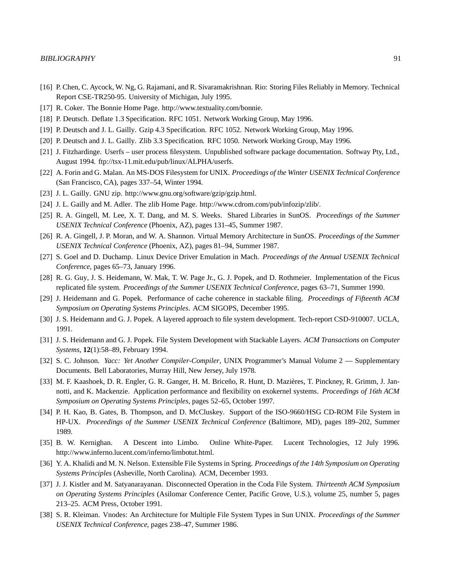- [16] P. Chen, C. Aycock, W. Ng, G. Rajamani, and R. Sivaramakrishnan. Rio: Storing Files Reliably in Memory. Technical Report CSE-TR250-95. University of Michigan, July 1995.
- [17] R. Coker. The Bonnie Home Page. http://www.textuality.com/bonnie.
- [18] P. Deutsch. Deflate 1.3 Specification. RFC 1051. Network Working Group, May 1996.
- [19] P. Deutsch and J. L. Gailly. Gzip 4.3 Specification. RFC 1052. Network Working Group, May 1996.
- [20] P. Deutsch and J. L. Gailly. Zlib 3.3 Specification. RFC 1050. Network Working Group, May 1996.
- [21] J. Fitzhardinge. Userfs user process filesystem. Unpublished software package documentation. Softway Pty, Ltd., August 1994. ftp://tsx-11.mit.edu/pub/linux/ALPHA/userfs.
- [22] A. Forin and G. Malan. An MS-DOS Filesystem for UNIX. *Proceedings of the Winter USENIX Technical Conference* (San Francisco, CA), pages 337–54, Winter 1994.
- [23] J. L. Gailly. GNU zip. http://www.gnu.org/software/gzip/gzip.html.
- [24] J. L. Gailly and M. Adler. The zlib Home Page. http://www.cdrom.com/pub/infozip/zlib/.
- [25] R. A. Gingell, M. Lee, X. T. Dang, and M. S. Weeks. Shared Libraries in SunOS. *Proceedings of the Summer USENIX Technical Conference* (Phoenix, AZ), pages 131–45, Summer 1987.
- [26] R. A. Gingell, J. P. Moran, and W. A. Shannon. Virtual Memory Architecture in SunOS. *Proceedings of the Summer USENIX Technical Conference* (Phoenix, AZ), pages 81–94, Summer 1987.
- [27] S. Goel and D. Duchamp. Linux Device Driver Emulation in Mach. *Proceedings of the Annual USENIX Technical Conference*, pages 65–73, January 1996.
- [28] R. G. Guy, J. S. Heidemann, W. Mak, T. W. Page Jr., G. J. Popek, and D. Rothmeier. Implementation of the Ficus replicated file system. *Proceedings of the Summer USENIX Technical Conference*, pages 63–71, Summer 1990.
- [29] J. Heidemann and G. Popek. Performance of cache coherence in stackable filing. *Proceedings of Fifteenth ACM Symposium on Operating Systems Principles*. ACM SIGOPS, December 1995.
- [30] J. S. Heidemann and G. J. Popek. A layered approach to file system development. Tech-report CSD-910007. UCLA, 1991.
- [31] J. S. Heidemann and G. J. Popek. File System Development with Stackable Layers. *ACM Transactions on Computer Systems*, **12**(1):58–89, February 1994.
- [32] S. C. Johnson. *Yacc: Yet Another Compiler-Compiler*, UNIX Programmer's Manual Volume 2 Supplementary Documents. Bell Laboratories, Murray Hill, New Jersey, July 1978.
- [33] M. F. Kaashoek, D. R. Engler, G. R. Ganger, H. M. Briceño, R. Hunt, D. Mazières, T. Pinckney, R. Grimm, J. Jannotti, and K. Mackenzie. Application performance and flexibility on exokernel systems. *Proceedings of 16th ACM Symposium on Operating Systems Principles*, pages 52–65, October 1997.
- [34] P. H. Kao, B. Gates, B. Thompson, and D. McCluskey. Support of the ISO-9660/HSG CD-ROM File System in HP-UX. *Proceedings of the Summer USENIX Technical Conference* (Baltimore, MD), pages 189–202, Summer 1989.
- [35] B. W. Kernighan. A Descent into Limbo. Online White-Paper. Lucent Technologies, 12 July 1996. http://www.inferno.lucent.com/inferno/limbotut.html.
- [36] Y. A. Khalidi and M. N. Nelson. Extensible File Systems in Spring. *Proceedings of the 14th Symposium on Operating Systems Principles* (Asheville, North Carolina). ACM, December 1993.
- [37] J. J. Kistler and M. Satyanarayanan. Disconnected Operation in the Coda File System. *Thirteenth ACM Symposium on Operating Systems Principles* (Asilomar Conference Center, Pacific Grove, U.S.), volume 25, number 5, pages 213–25. ACM Press, October 1991.
- [38] S. R. Kleiman. Vnodes: An Architecture for Multiple File System Types in Sun UNIX. *Proceedings of the Summer USENIX Technical Conference*, pages 238–47, Summer 1986.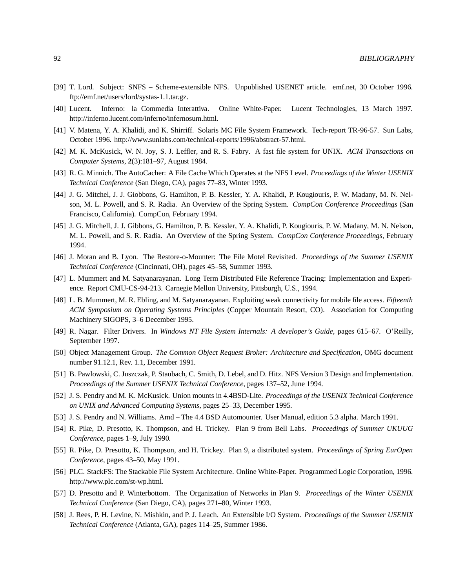- [39] T. Lord. Subject: SNFS Scheme-extensible NFS. Unpublished USENET article. emf.net, 30 October 1996. ftp://emf.net/users/lord/systas-1.1.tar.gz.
- [40] Lucent. Inferno: la Commedia Interattiva. Online White-Paper. Lucent Technologies, 13 March 1997. http://inferno.lucent.com/inferno/infernosum.html.
- [41] V. Matena, Y. A. Khalidi, and K. Shirriff. Solaris MC File System Framework. Tech-report TR-96-57. Sun Labs, October 1996. http://www.sunlabs.com/technical-reports/1996/abstract-57.html.
- [42] M. K. McKusick, W. N. Joy, S. J. Leffler, and R. S. Fabry. A fast file system for UNIX. *ACM Transactions on Computer Systems*, **2**(3):181–97, August 1984.
- [43] R. G. Minnich. The AutoCacher: A File Cache Which Operates at the NFS Level. *Proceedings of the Winter USENIX Technical Conference* (San Diego, CA), pages 77–83, Winter 1993.
- [44] J. G. Mitchel, J. J. Giobbons, G. Hamilton, P. B. Kessler, Y. A. Khalidi, P. Kougiouris, P. W. Madany, M. N. Nelson, M. L. Powell, and S. R. Radia. An Overview of the Spring System. *CompCon Conference Proceedings* (San Francisco, California). CompCon, February 1994.
- [45] J. G. Mitchell, J. J. Gibbons, G. Hamilton, P. B. Kessler, Y. A. Khalidi, P. Kougiouris, P. W. Madany, M. N. Nelson, M. L. Powell, and S. R. Radia. An Overview of the Spring System. *CompCon Conference Proceedings*, February 1994.
- [46] J. Moran and B. Lyon. The Restore-o-Mounter: The File Motel Revisited. *Proceedings of the Summer USENIX Technical Conference* (Cincinnati, OH), pages 45–58, Summer 1993.
- [47] L. Mummert and M. Satyanarayanan. Long Term Distributed File Reference Tracing: Implementation and Experience. Report CMU-CS-94-213. Carnegie Mellon University, Pittsburgh, U.S., 1994.
- [48] L. B. Mummert, M. R. Ebling, and M. Satyanarayanan. Exploiting weak connectivity for mobile file access. *Fifteenth ACM Symposium on Operating Systems Principles* (Copper Mountain Resort, CO). Association for Computing Machinery SIGOPS, 3–6 December 1995.
- [49] R. Nagar. Filter Drivers. In *Windows NT File System Internals: A developer's Guide*, pages 615–67. O'Reilly, September 1997.
- [50] Object Management Group. *The Common Object Request Broker: Architecture and Specification*, OMG document number 91.12.1, Rev. 1.1, December 1991.
- [51] B. Pawlowski, C. Juszczak, P. Staubach, C. Smith, D. Lebel, and D. Hitz. NFS Version 3 Design and Implementation. *Proceedings of the Summer USENIX Technical Conference*, pages 137–52, June 1994.
- [52] J. S. Pendry and M. K. McKusick. Union mounts in 4.4BSD-Lite. *Proceedings of the USENIX Technical Conference on UNIX and Advanced Computing Systems*, pages 25–33, December 1995.
- [53] J. S. Pendry and N. Williams. Amd The 4.4 BSD Automounter. User Manual, edition 5.3 alpha. March 1991.
- [54] R. Pike, D. Presotto, K. Thompson, and H. Trickey. Plan 9 from Bell Labs. *Proceedings of Summer UKUUG Conference*, pages 1–9, July 1990.
- [55] R. Pike, D. Presotto, K. Thompson, and H. Trickey. Plan 9, a distributed system. *Proceedings of Spring EurOpen Conference*, pages 43–50, May 1991.
- [56] PLC. StackFS: The Stackable File System Architecture. Online White-Paper. Programmed Logic Corporation, 1996. http://www.plc.com/st-wp.html.
- [57] D. Presotto and P. Winterbottom. The Organization of Networks in Plan 9. *Proceedings of the Winter USENIX Technical Conference* (San Diego, CA), pages 271–80, Winter 1993.
- [58] J. Rees, P. H. Levine, N. Mishkin, and P. J. Leach. An Extensible I/O System. *Proceedings of the Summer USENIX Technical Conference* (Atlanta, GA), pages 114–25, Summer 1986.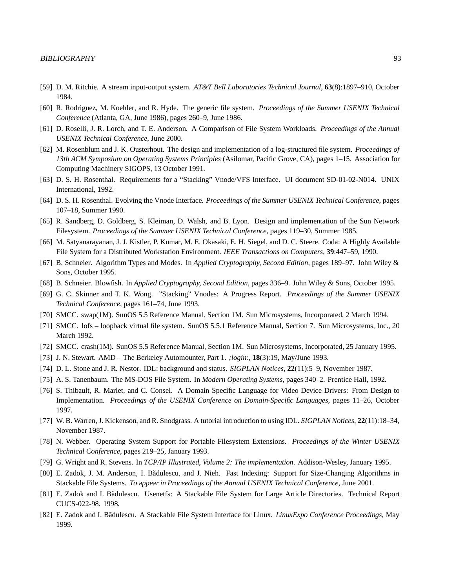- [59] D. M. Ritchie. A stream input-output system. *AT&T Bell Laboratories Technical Journal*, **63**(8):1897–910, October 1984.
- [60] R. Rodriguez, M. Koehler, and R. Hyde. The generic file system. *Proceedings of the Summer USENIX Technical Conference* (Atlanta, GA, June 1986), pages 260–9, June 1986.
- [61] D. Roselli, J. R. Lorch, and T. E. Anderson. A Comparison of File System Workloads. *Proceedings of the Annual USENIX Technical Conference*, June 2000.
- [62] M. Rosenblum and J. K. Ousterhout. The design and implementation of a log-structured file system. *Proceedings of 13th ACM Symposium on Operating Systems Principles* (Asilomar, Pacific Grove, CA), pages 1–15. Association for Computing Machinery SIGOPS, 13 October 1991.
- [63] D. S. H. Rosenthal. Requirements for a "Stacking" Vnode/VFS Interface. UI document SD-01-02-N014. UNIX International, 1992.
- [64] D. S. H. Rosenthal. Evolving the Vnode Interface. *Proceedings of the Summer USENIX Technical Conference*, pages 107–18, Summer 1990.
- [65] R. Sandberg, D. Goldberg, S. Kleiman, D. Walsh, and B. Lyon. Design and implementation of the Sun Network Filesystem. *Proceedings of the Summer USENIX Technical Conference*, pages 119–30, Summer 1985.
- [66] M. Satyanarayanan, J. J. Kistler, P. Kumar, M. E. Okasaki, E. H. Siegel, and D. C. Steere. Coda: A Highly Available File System for a Distributed Workstation Environment. *IEEE Transactions on Computers*, **39**:447–59, 1990.
- [67] B. Schneier. Algorithm Types and Modes. In *Applied Cryptography, Second Edition*, pages 189–97. John Wiley & Sons, October 1995.
- [68] B. Schneier. Blowfish. In *Applied Cryptography, Second Edition*, pages 336–9. John Wiley & Sons, October 1995.
- [69] G. C. Skinner and T. K. Wong. "Stacking" Vnodes: A Progress Report. *Proceedings of the Summer USENIX Technical Conference*, pages 161–74, June 1993.
- [70] SMCC. swap(1M). SunOS 5.5 Reference Manual, Section 1M. Sun Microsystems, Incorporated, 2 March 1994.
- [71] SMCC. lofs loopback virtual file system. SunOS 5.5.1 Reference Manual, Section 7. Sun Microsystems, Inc., 20 March 1992.
- [72] SMCC. crash(1M). SunOS 5.5 Reference Manual, Section 1M. Sun Microsystems, Incorporated, 25 January 1995.
- [73] J. N. Stewart. AMD The Berkeley Automounter, Part 1. *;login:*, **18**(3):19, May/June 1993.
- [74] D. L. Stone and J. R. Nestor. IDL: background and status. *SIGPLAN Notices*, **22**(11):5–9, November 1987.
- [75] A. S. Tanenbaum. The MS-DOS File System. In *Modern Operating Systems*, pages 340–2. Prentice Hall, 1992.
- [76] S. Thibault, R. Marlet, and C. Consel. A Domain Specific Language for Video Device Drivers: From Design to Implementation. *Proceedings of the USENIX Conference on Domain-Specific Languages*, pages 11–26, October 1997.
- [77] W. B. Warren,J. Kickenson, and R. Snodgrass. A tutorial introduction to using IDL. *SIGPLAN Notices*, **22**(11):18–34, November 1987.
- [78] N. Webber. Operating System Support for Portable Filesystem Extensions. *Proceedings of the Winter USENIX Technical Conference*, pages 219–25, January 1993.
- [79] G. Wright and R. Stevens. In *TCP/IP Illustrated, Volume 2: The implementation*. Addison-Wesley, January 1995.
- [80] E. Zadok, J. M. Anderson, I. Bădulescu, and J. Nieh. Fast Indexing: Support for Size-Changing Algorithms in Stackable File Systems. To appear in *Proceedings of the Annual USENIX Technical Conference*, June 2001.
- [81] E. Zadok and I. Bădulescu. Usenetfs: A Stackable File System for Large Article Directories. Technical Report CUCS-022-98. 1998.
- [82] E. Zadok and I. Badulescu. ˘ A Stackable File System Interface for Linux. *LinuxExpo Conference Proceedings*, May 1999.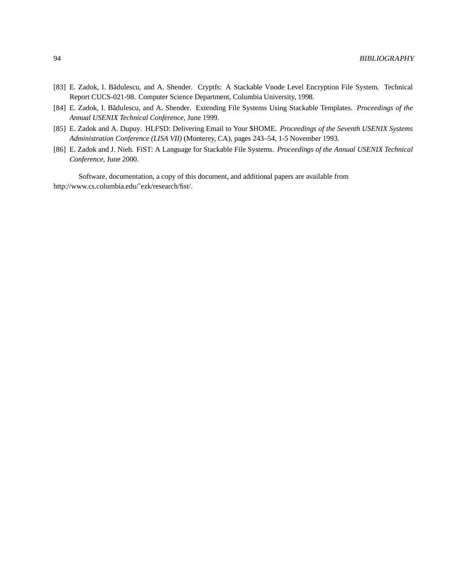- [83] E. Zadok, I. Bădulescu, and A. Shender. Cryptfs: A Stackable Vnode Level Encryption File System. Technical Report CUCS-021-98. Computer Science Department, Columbia University, 1998.
- [84] E. Zadok, I. Bădulescu, and A. Shender. Extending File Systems Using Stackable Templates. *Proceedings of the Annual USENIX Technical Conference*, June 1999.
- [85] E. Zadok and A. Dupuy. HLFSD: Delivering Email to Your \$HOME. *Proceedings of the Seventh USENIX Systems Administration Conference (LISA VII)* (Monterey, CA), pages 243–54, 1-5 November 1993.
- [86] E. Zadok and J. Nieh. FiST: A Language for Stackable File Systems. *Proceedings of the Annual USENIX Technical Conference*, June 2000.

Software, documentation, a copy of this document, and additional papers are available from http://www.cs.columbia.edu/˜ezk/research/fist/.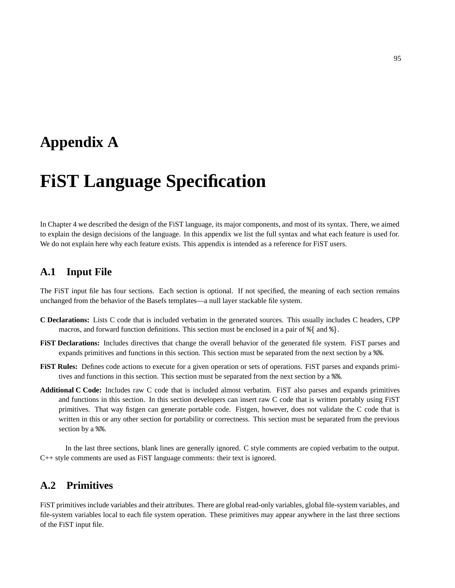## **Appendix A**

# **FiST Language Specification**

In Chapter 4 we described the design of the FiST language, its major components, and most of its syntax. There, we aimed to explain the design decisions of the language. In this appendix we list the full syntax and what each feature is used for. We do not explain here why each feature exists. This appendix is intended as a reference for FiST users.

## **A.1 Input File**

The FiST input file has four sections. Each section is optional. If not specified, the meaning of each section remains unchanged from the behavior of the Basefs templates—a null layer stackable file system.

- **C Declarations:** Lists C code that is included verbatim in the generated sources. This usually includes C headers, CPP macros, and forward function definitions. This section must be enclosed in a pair of  $\{\}$  and  $\{\}$ .
- **FiST Declarations:** Includes directives that change the overall behavior of the generated file system. FiST parses and expands primitives and functions in this section. This section must be separated from the next section by a %%.
- **FiST Rules:** Defines code actions to execute for a given operation or sets of operations. FiST parses and expands primitives and functions in this section. This section must be separated from the next section by a %%.
- **Additional C Code:** Includes raw C code that is included almost verbatim. FiST also parses and expands primitives and functions in this section. In this section developers can insert raw C code that is written portably using FiST primitives. That way fistgen can generate portable code. Fistgen, however, does not validate the C code that is written in this or any other section for portability or correctness. This section must be separated from the previous section by a  $\frac{1}{2}$ .

In the last three sections, blank lines are generally ignored. C style comments are copied verbatim to the output. C++ style comments are used as FiST language comments: their text is ignored.

## **A.2 Primitives**

FiST primitives include variables and their attributes. There are global read-only variables, global file-system variables, and file-system variables local to each file system operation. These primitives may appear anywhere in the last three sections of the FiST input file.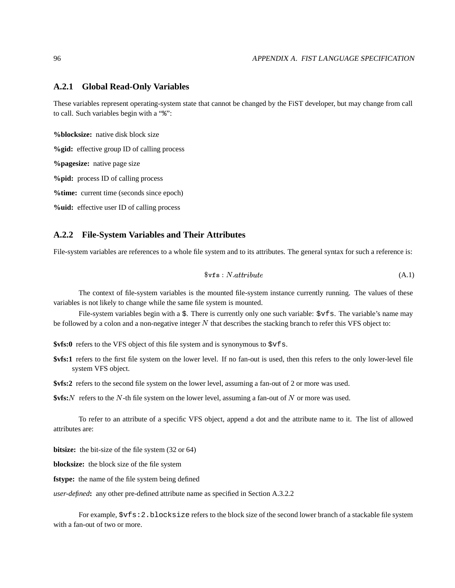#### **A.2.1 Global Read-Only Variables**

These variables represent operating-system state that cannot be changed by the FiST developer, but may change from call to call. Such variables begin with a "%":

**%blocksize:** native disk block size

**%gid:** effective group ID of calling process

**%pagesize:** native page size

**%pid:** process ID of calling process

**%time:** current time (seconds since epoch)

**%uid:** effective user ID of calling process

#### **A.2.2 File-System Variables and Their Attributes**

File-system variables are references to a whole file system and to its attributes. The general syntax for such a reference is:

$$
f \circ f s : N. attribute
$$
\n(A.1)

The context of file-system variables is the mounted file-system instance currently running. The values of these variables is not likely to change while the same file system is mounted.

File-system variables begin with a \$. There is currently only one such variable:  $\forall$ vfs. The variable's name may be followed by a colon and a non-negative integer  $N$  that describes the stacking branch to refer this VFS object to:

**\$vfs:0** refers to the VFS object of this file system and is synonymous to  $\forall$ v f s.

- **\$vfs:1** refers to the first file system on the lower level. If no fan-out is used, then this refers to the only lower-level file system VFS object.
- **\$vfs:2** refers to the second file system on the lower level, assuming a fan-out of 2 or more was used.

 $\frac{\text{Sts}}{N}$  refers to the *N*-th file system on the lower level, assuming a fan-out of *N* or more was used.

To refer to an attribute of a specific VFS object, append a dot and the attribute name to it. The list of allowed attributes are:

**bitsize:** the bit-size of the file system (32 or 64)

**blocksize:** the block size of the file system

**fstype:** the name of the file system being defined

*user-defined***:** any other pre-defined attribute name as specified in Section A.3.2.2

For example, \$vfs:2.blocksize refers to the block size of the second lower branch of a stackable file system with a fan-out of two or more.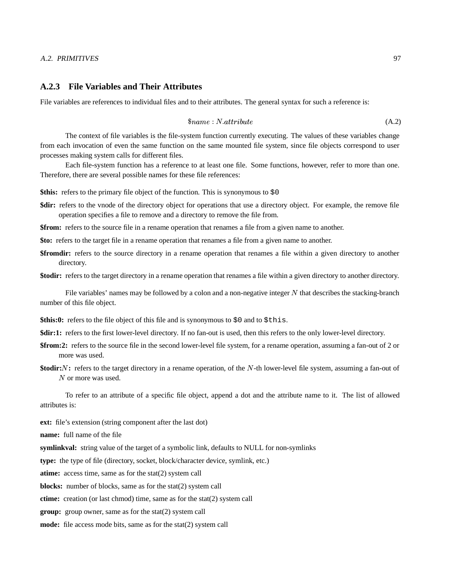#### A.2. PRIMITIVES 97

#### **A.2.3 File Variables and Their Attributes**

File variables are references to individual files and to their attributes. The general syntax for such a reference is:

$$
\$name: N.attribute
$$
\n(A.2)

The context of file variables is the file-system function currently executing. The values of these variables change from each invocation of even the same function on the same mounted file system, since file objects correspond to user processes making system calls for different files.

Each file-system function has a reference to at least one file. Some functions, however, refer to more than one. Therefore, there are several possible names for these file references:

**\$this:** refers to the primary file object of the function. This is synonymous to \$0

**\$dir:** refers to the vnode of the directory object for operations that use a directory object. For example, the remove file operation specifies a file to remove and a directory to remove the file from.

**\$from:** refers to the source file in a rename operation that renames a file from a given name to another.

**\$to:** refers to the target file in a rename operation that renames a file from a given name to another.

**\$fromdir:** refers to the source directory in a rename operation that renames a file within a given directory to another directory.

**\$todir:** refers to the target directory in a rename operation that renames a file within a given directory to another directory.

File variables' names may be followed by a colon and a non-negative integer  $N$  that describes the stacking-branch number of this file object.

- \$this:0: refers to the file object of this file and is synonymous to \$0 and to \$this.
- **\$dir:1:** refers to the first lower-level directory. If no fan-out is used, then this refers to the only lower-level directory.
- **\$from:2:** refers to the source file in the second lower-level file system, for a rename operation, assuming a fan-out of 2 or more was used.
- **\$todir:** *N*: refers to the target directory in a rename operation, of the N-th lower-level file system, assuming a fan-out of  $N$  or more was used.

To refer to an attribute of a specific file object, append a dot and the attribute name to it. The list of allowed attributes is:

**ext:** file's extension (string component after the last dot)

**name:** full name of the file

**symlinkval:** string value of the target of a symbolic link, defaults to NULL for non-symlinks

**type:** the type of file (directory, socket, block/character device, symlink, etc.)

**atime:** access time, same as for the stat(2) system call

**blocks:** number of blocks, same as for the stat(2) system call

**ctime:** creation (or last chmod) time, same as for the stat(2) system call

**group:** group owner, same as for the stat(2) system call

**mode:** file access mode bits, same as for the stat(2) system call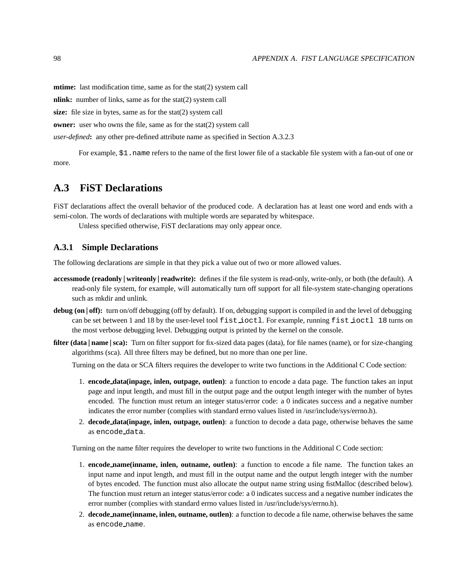**mtime:** last modification time, same as for the stat(2) system call

**nlink:** number of links, same as for the stat(2) system call

**size:** file size in bytes, same as for the stat(2) system call

**owner:** user who owns the file, same as for the stat(2) system call

*user-defined***:** any other pre-defined attribute name as specified in Section A.3.2.3

For example, \$1.name refers to the name of the first lower file of a stackable file system with a fan-out of one or more.

## **A.3 FiST Declarations**

FiST declarations affect the overall behavior of the produced code. A declaration has at least one word and ends with a semi-colon. The words of declarations with multiple words are separated by whitespace.

Unless specified otherwise, FiST declarations may only appear once.

#### **A.3.1 Simple Declarations**

The following declarations are simple in that they pick a value out of two or more allowed values.

- **accessmode** (**readonly** | writeonly | **readwrite**): defines if the file system is read-only, write-only, or both (the default). A read-only file system, for example, will automatically turn off support for all file-system state-changing operations such as mkdir and unlink.
- **debug** (on | off): turn on/off debugging (off by default). If on, debugging support is compiled in and the level of debugging can be set between 1 and 18 by the user-level tool fist ioctl. For example, running fist ioctl 18 turns on the most verbose debugging level. Debugging output is printed by the kernel on the console.
- **filter (data** | **name** | **sca**): Turn on filter support for fix-sized data pages (data), for file names (name), or for size-changing algorithms (sca). All three filters may be defined, but no more than one per line.

Turning on the data or SCA filters requires the developer to write two functions in the Additional C Code section:

- 1. **encode data(inpage, inlen, outpage, outlen)**: a function to encode a data page. The function takes an input page and input length, and must fill in the output page and the output length integer with the number of bytes encoded. The function must return an integer status/error code: a 0 indicates success and a negative number indicates the error number (complies with standard errno values listed in /usr/include/sys/errno.h).
- 2. **decode data(inpage, inlen, outpage, outlen)**: a function to decode a data page, otherwise behaves the same as encode data.

Turning on the name filter requires the developer to write two functions in the Additional C Code section:

- 1. **encode name(inname, inlen, outname, outlen)**: a function to encode a file name. The function takes an input name and input length, and must fill in the output name and the output length integer with the number of bytes encoded. The function must also allocate the output name string using fistMalloc (described below). The function must return an integer status/error code: a 0 indicates success and a negative number indicates the error number (complies with standard errno values listed in /usr/include/sys/errno.h).
- 2. **decode name(inname, inlen, outname, outlen)**: a function to decode a file name, otherwise behaves the same as encode name.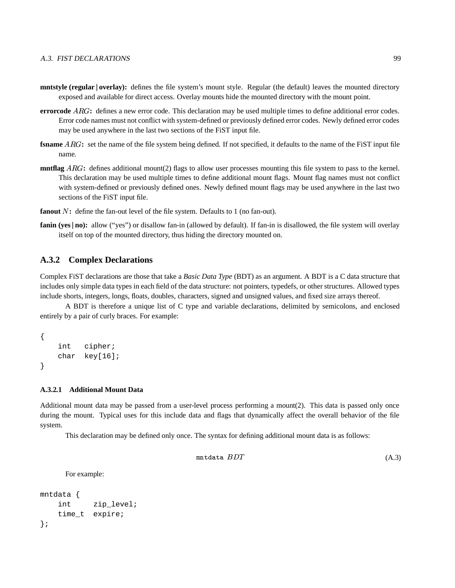- **mntstyle** (**regular** | **overlay**): defines the file system's mount style. Regular (the default) leaves the mounted directory exposed and available for direct access. Overlay mounts hide the mounted directory with the mount point.
- **errorcode**  $ARG$ : defines a new error code. This declaration may be used multiple times to define additional error codes. Error code names must not conflict with system-defined or previously defined error codes. Newly defined error codes may be used anywhere in the last two sections of the FiST input file.
- **fsname** ARG: set the name of the file system being defined. If not specified, it defaults to the name of the FiST input file name.
- **mntflag**  $ARG$ : defines additional mount(2) flags to allow user processes mounting this file system to pass to the kernel. This declaration may be used multiple times to define additional mount flags. Mount flag names must not conflict with system-defined or previously defined ones. Newly defined mount flags may be used anywhere in the last two sections of the FiST input file.
- fanout N: define the fan-out level of the file system. Defaults to 1 (no fan-out).
- **fanin** (yes | no): allow ("yes") or disallow fan-in (allowed by default). If fan-in is disallowed, the file system will overlay itself on top of the mounted directory, thus hiding the directory mounted on.

#### **A.3.2 Complex Declarations**

Complex FiST declarations are those that take a *Basic Data Type* (BDT) as an argument. A BDT is a C data structure that includes only simple data types in each field of the data structure: not pointers, typedefs, or other structures. Allowed types include shorts, integers, longs, floats, doubles, characters, signed and unsigned values, and fixed size arrays thereof.

A BDT is therefore a unique list of C type and variable declarations, delimited by semicolons, and enclosed entirely by a pair of curly braces. For example:

```
{
   int cipher;
   char key[16];
}
```
#### **A.3.2.1 Additional Mount Data**

Additional mount data may be passed from a user-level process performing a mount(2). This data is passed only once during the mount. Typical uses for this include data and flags that dynamically affect the overall behavior of the file system.

This declaration may be defined only once. The syntax for defining additional mount data is as follows:

 $mntdata$   $BDT$  (A.3)

For example:

```
mntdata {
   int zip_level;
   time_t expire;
};
```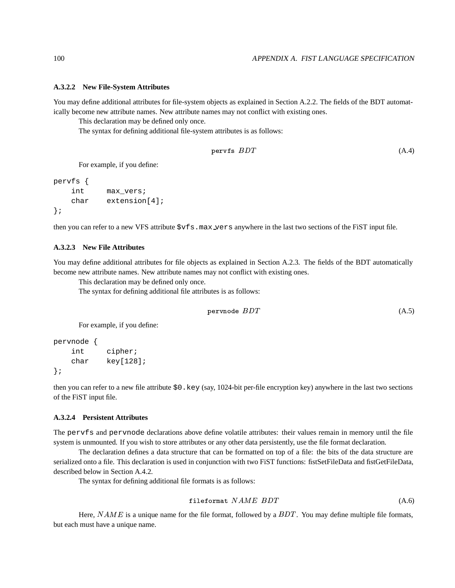#### **A.3.2.2 New File-System Attributes**

You may define additional attributes for file-system objects as explained in Section A.2.2. The fields of the BDT automatically become new attribute names. New attribute names may not conflict with existing ones.

This declaration may be defined only once.

The syntax for defining additional file-system attributes is as follows:

$$
pervfs\;BDT\tag{A.4}
$$

For example, if you define:

```
pervfs {
   int max_vers;
   char extension[4];
};
```
then you can refer to a new VFS attribute  $\forall x f s$ . max vers anywhere in the last two sections of the FiST input file.

#### **A.3.2.3 New File Attributes**

You may define additional attributes for file objects as explained in Section A.2.3. The fields of the BDT automatically become new attribute names. New attribute names may not conflict with existing ones.

This declaration may be defined only once.

The syntax for defining additional file attributes is as follows:

$$
\text{pervnode } BDT \tag{A.5}
$$

For example, if you define:

```
pervnode {
   int cipher;
   char key[128];
};
```
then you can refer to a new file attribute \$0.key (say, 1024-bit per-file encryption key) anywhere in the last two sections of the FiST input file.

#### **A.3.2.4 Persistent Attributes**

The pervfs and pervnode declarations above define volatile attributes: their values remain in memory until the file system is unmounted. If you wish to store attributes or any other data persistently, use the file format declaration.

The declaration defines a data structure that can be formatted on top of a file: the bits of the data structure are serialized onto a file. This declaration is used in conjunction with two FiST functions: fistSetFileData and fistGetFileData, described below in Section A.4.2.

The syntax for defining additional file formats is as follows:

$$
fileformat \quad NAME \quad BDT \tag{A.6}
$$

Here,  $NAME$  is a unique name for the file format, followed by a  $BDT$ . You may define multiple file formats, but each must have a unique name.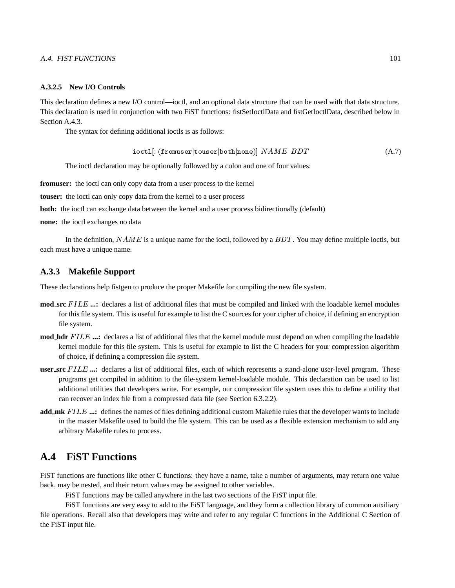#### A.4. FIST FUNCTIONS 101

#### **A.3.2.5 New I/O Controls**

This declaration defines a new I/O control—ioctl, and an optional data structure that can be used with that data structure. This declaration is used in conjunction with two FiST functions: fistSetIoctlData and fistGetIoctlData, described below in Section A.4.3.

The syntax for defining additional ioctls is as follows:

$$
i\textrm{oct1}[:(\verb|fromuser|touser|both|none)]\;\;NAME\;\;BDT\qquad \qquad (A.7)
$$

The ioctl declaration may be optionally followed by a colon and one of four values:

**fromuser:** the ioctl can only copy data from a user process to the kernel

**touser:** the ioctl can only copy data from the kernel to a user process

**both:** the ioctl can exchange data between the kernel and a user process bidirectionally (default)

**none:** the ioctl exchanges no data

In the definition,  $NAME$  is a unique name for the ioctl, followed by a  $BDT$ . You may define multiple ioctls, but each must have a unique name.

#### **A.3.3 Makefile Support**

These declarations help fistgen to produce the proper Makefile for compiling the new file system.

- **mod\_src** FILE ...: declares a list of additional files that must be compiled and linked with the loadable kernel modules for this file system. This is useful for example to list the C sources for your cipher of choice, if defining an encryption file system.
- **mod\_hdr**  $FILE$  ...: declares a list of additional files that the kernel module must depend on when compiling the loadable kernel module for this file system. This is useful for example to list the C headers for your compression algorithm of choice, if defining a compression file system.
- **user\_src** FILE ...: declares a list of additional files, each of which represents a stand-alone user-level program. These programs get compiled in addition to the file-system kernel-loadable module. This declaration can be used to list additional utilities that developers write. For example, our compression file system uses this to define a utility that can recover an index file from a compressed data file (see Section 6.3.2.2).
- **add\_mk** FILE ...: defines the names of files defining additional custom Makefile rules that the developer wants to include in the master Makefile used to build the file system. This can be used as a flexible extension mechanism to add any arbitrary Makefile rules to process.

## **A.4 FiST Functions**

FiST functions are functions like other C functions: they have a name, take a number of arguments, may return one value back, may be nested, and their return values may be assigned to other variables.

FiST functions may be called anywhere in the last two sections of the FiST input file.

FiST functions are very easy to add to the FiST language, and they form a collection library of common auxiliary file operations. Recall also that developers may write and refer to any regular C functions in the Additional C Section of the FiST input file.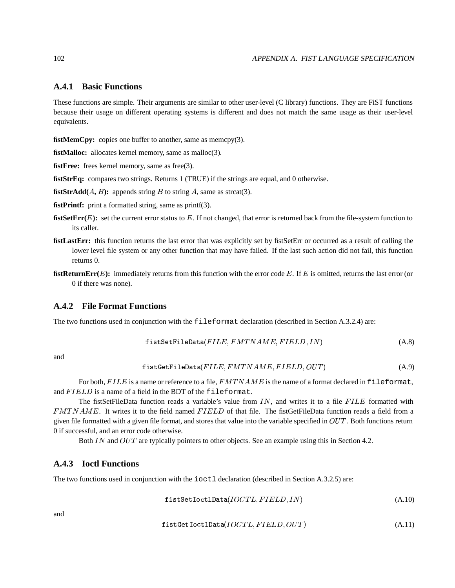## **A.4.1 Basic Functions**

These functions are simple. Their arguments are similar to other user-level (C library) functions. They are FiST functions because their usage on different operating systems is different and does not match the same usage as their user-level equivalents.

**fistMemCpy:** copies one buffer to another, same as memcpy(3).

**fistMalloc:** allocates kernel memory, same as malloc(3).

**fistFree:** frees kernel memory, same as free(3).

**fistStrEq:** compares two strings. Returns 1 (TRUE) if the strings are equal, and 0 otherwise.

**fistStrAdd** $(A, B)$ : appends string B to string A, same as strcat(3).

**fistPrintf:** print a formatted string, same as printf(3).

- **fistSetErr(** $E$ **):** set the current error status to  $E$ . If not changed, that error is returned back from the file-system function to its caller.
- **fistLastErr:** this function returns the last error that was explicitly set by fistSetErr or occurred as a result of calling the lower level file system or any other function that may have failed. If the last such action did not fail, this function returns 0.
- **fistReturnErr(** $E$ **):** immediately returns from this function with the error code  $E$ . If  $E$  is omitted, returns the last error (or 0 if there was none).

## **A.4.2 File Format Functions**

The two functions used in conjunction with the fileformat declaration (described in Section A.3.2.4) are:

$$
firstSetFileData(FILE, FMTNAME, FIELD, IN)
$$
\n(A.8)

and

$$
\mathtt{fistGetFileData}(FILE, FMTNAME, FIELD, OUT) \tag{A.9}
$$

For both,  $FILE$  is a name or reference to a file,  $FMTNAME$  is the name of a format declared in fileformat, and FIELD is a name of a field in the BDT of the fileformat.

The fistSetFileData function reads a variable's value from  $IN$ , and writes it to a file  $FILE$  formatted with  $FMTNAME$ . It writes it to the field named  $FIELD$  of that file. The fistGetFileData function reads a field from a given file formatted with a given file format, and stores that value into the variable specified in  $OUT$ . Both functions return 0 if successful, and an error code otherwise.

Both *IN* and  $OUT$  are typically pointers to other objects. See an example using this in Section 4.2.

## **A.4.3 Ioctl Functions**

The two functions used in conjunction with the ioctl declaration (described in Section A.3.2.5) are:

$$
first Set I oct1Data (IOCTL, FIELD, IN)
$$
\n(A.10)

and

$$
first GetIoct1Data (IOCTL, FIELD, OUT)
$$
\n
$$
(A.11)
$$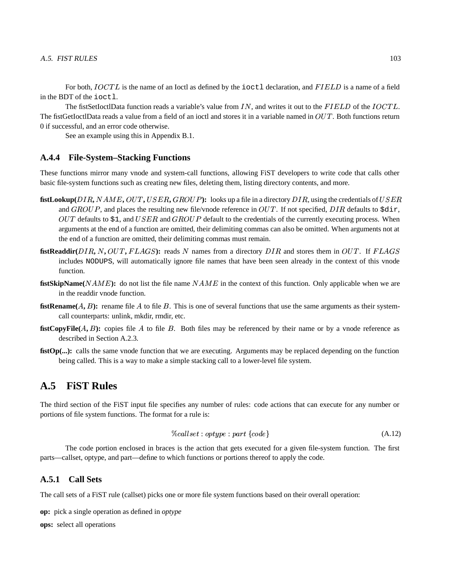For both,  $IOCTL$  is the name of an Ioctl as defined by the ioctl declaration, and  $FIELD$  is a name of a field in the BDT of the ioctl.

The fistSetIoctlData function reads a variable's value from  $IN$ , and writes it out to the  $FIELD$  of the  $IOCTL$ . The fistGetIoctlData reads a value from a field of an ioctl and stores it in a variable named in  $OUT$ . Both functions return 0 if successful, and an error code otherwise.

See an example using this in Appendix B.1.

#### **A.4.4 File-System–Stacking Functions**

These functions mirror many vnode and system-call functions, allowing FiST developers to write code that calls other basic file-system functions such as creating new files, deleting them, listing directory contents, and more.

- fistLookup(DIR, NAME, OUT, USER, GROUP): looks up a file in a directory DIR, using the credentials of USER and  $GROUP$ , and places the resulting new file/vnode reference in  $OUT$ . If not specified,  $DIR$  defaults to  $\frac{1}{2}$ ,  $OUT$  defaults to \$1, and  $USER$  and  $GROUP$  default to the credentials of the currently executing process. When arguments at the end of a function are omitted, their delimiting commas can also be omitted. When arguments not at the end of a function are omitted, their delimiting commas must remain.
- **fistReaddir**( $DIR, N, OUT, FLAGS$ ): reads  $N$  names from a directory  $DIR$  and stores them in  $OUT$ . If  $FLAGS$ includes NODUPS, will automatically ignore file names that have been seen already in the context of this vnode function.
- **fistSkipName(** $NAME$ **):** do not list the file name  $NAME$  in the context of this function. Only applicable when we are in the readdir vnode function.
- **fistRename** $(A, B)$ : rename file  $\overline{A}$  to file  $\overline{B}$ . This is one of several functions that use the same arguments as their systemcall counterparts: unlink, mkdir, rmdir, etc.
- **fistCopyFile** $(A, B)$ : copies file  $\overline{A}$  to file  $\overline{B}$ . Both files may be referenced by their name or by a vnode reference as described in Section A.2.3.
- **fistOp(...):** calls the same vnode function that we are executing. Arguments may be replaced depending on the function being called. This is a way to make a simple stacking call to a lower-level file system.

## **A.5 FiST Rules**

The third section of the FiST input file specifies any number of rules: code actions that can execute for any number or portions of file system functions. The format for a rule is:

$$
\%called: optype: part \{code\} \tag{A.12}
$$

The code portion enclosed in braces is the action that gets executed for a given file-system function. The first parts—callset, optype, and part—define to which functions or portions thereof to apply the code.

## **A.5.1 Call Sets**

The call sets of a FiST rule (callset) picks one or more file system functions based on their overall operation:

**op:** pick a single operation as defined in *optype*

**ops:** select all operations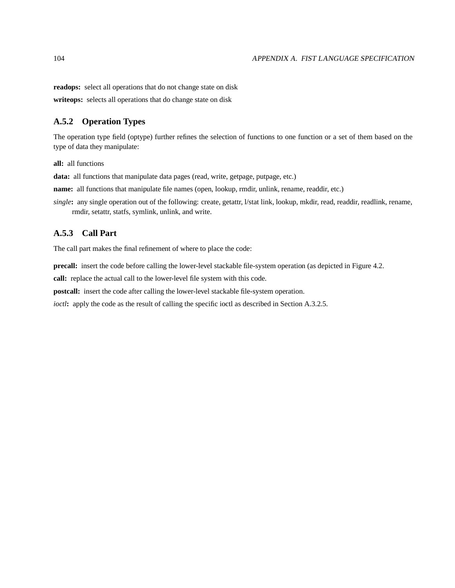**readops:** select all operations that do not change state on disk

**writeops:** selects all operations that do change state on disk

## **A.5.2 Operation Types**

The operation type field (optype) further refines the selection of functions to one function or a set of them based on the type of data they manipulate:

**all:** all functions

**data:** all functions that manipulate data pages (read, write, getpage, putpage, etc.)

**name:** all functions that manipulate file names (open, lookup, rmdir, unlink, rename, readdir, etc.)

*single*: any single operation out of the following: create, getattr, l/stat link, lookup, mkdir, read, readdir, readlink, rename, rmdir, setattr, statfs, symlink, unlink, and write.

## **A.5.3 Call Part**

The call part makes the final refinement of where to place the code:

**precall:** insert the code before calling the lower-level stackable file-system operation (as depicted in Figure 4.2.

**call:** replace the actual call to the lower-level file system with this code.

**postcall:** insert the code after calling the lower-level stackable file-system operation.

*ioctl***:** apply the code as the result of calling the specific ioctl as described in Section A.3.2.5.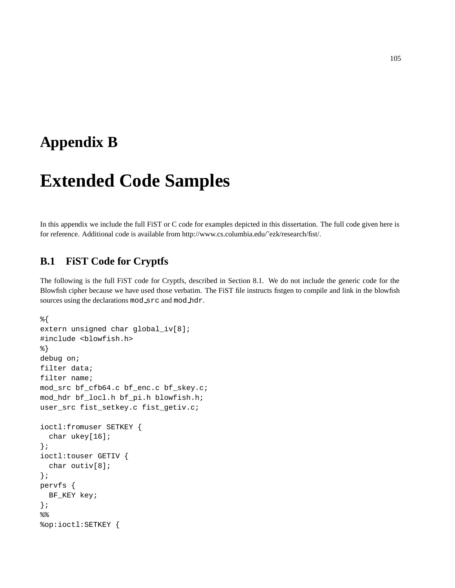## **Appendix B**

# **Extended Code Samples**

In this appendix we include the full FiST or C code for examples depicted in this dissertation. The full code given here is for reference. Additional code is available from http://www.cs.columbia.edu/˜ezk/research/fist/.

## **B.1 FiST Code for Cryptfs**

The following is the full FiST code for Cryptfs, described in Section 8.1. We do not include the generic code for the Blowfish cipher because we have used those verbatim. The FiST file instructs fistgen to compile and link in the blowfish sources using the declarations mod src and mod hdr.

```
%{
extern unsigned char global_iv[8];
#include <blowfish.h>
%}
debug on;
filter data;
filter name;
mod_src bf_cfb64.c bf_enc.c bf_skey.c;
mod_hdr bf_locl.h bf_pi.h blowfish.h;
user_src fist_setkey.c fist_getiv.c;
ioctl:fromuser SETKEY {
  char ukey[16];
};
ioctl:touser GETIV {
  char outiv[8];
};
pervfs {
 BF_KEY key;
};
%%op:ioctl:SETKEY {
```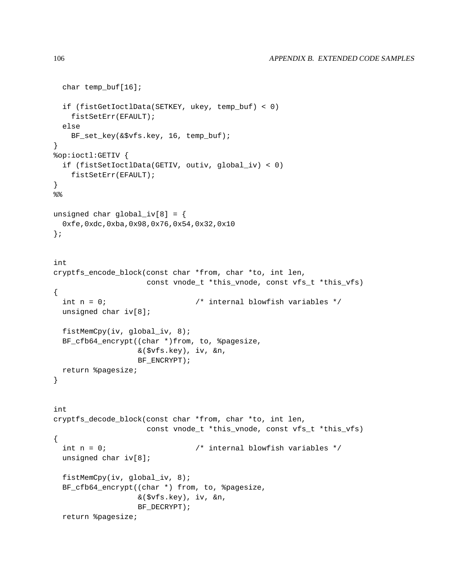```
char temp_buf[16];
  if (fistGetIoctlData(SETKEY, ukey, temp_buf) < 0)
    fistSetErr(EFAULT);
  else
    BF_set_key(&$vfs.key, 16, temp_buf);
}
%op:ioctl:GETIV {
  if (fistSetIoctlData(GETIV, outiv, global_iv) < 0)
   fistSetErr(EFAULT);
}
%unsigned char global_iv[8] = \{0xfe,0xdc,0xba,0x98,0x76,0x54,0x32,0x10
};
int
cryptfs_encode_block(const char *from, char *to, int len,
                     const vnode_t *this_vnode, const vfs_t *this_vfs)
{
  int n = 0; \gamma /* internal blowfish variables */
  unsigned char iv[8];
  fistMemCpy(iv, global_iv, 8);
  BF_cfb64_encrypt((char *)from, to, %pagesize,
                   &($vfs.key), iv, &n,
                   BF_ENCRYPT);
  return %pagesize;
}
int
cryptfs_decode_block(const char *from, char *to, int len,
                     const vnode_t *this_vnode, const vfs_t *this_vfs)
{
  int n = 0; \hspace{1cm} /* internal blowfish variables */
  unsigned char iv[8];
  fistMemCpy(iv, global_iv, 8);
  BF_cfb64_encrypt((char *) from, to, %pagesize,
                   &($vfs.key), iv, &n,
                   BF_DECRYPT);
  return %pagesize;
```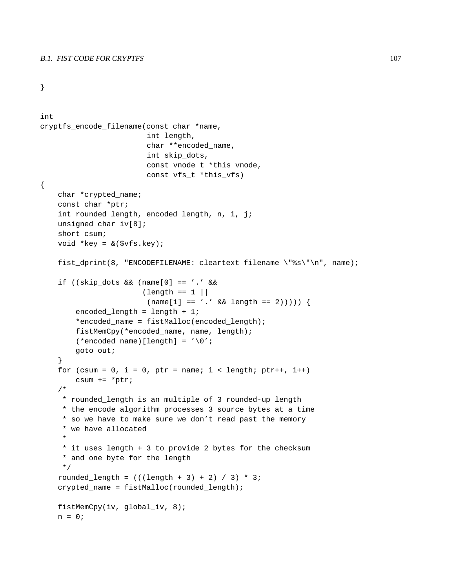#### B.1. FIST CODE FOR CRYPTFS 107

```
}
```

```
int
cryptfs_encode_filename(const char *name,
                         int length,
                         char **encoded_name,
                         int skip_dots,
                         const vnode_t *this_vnode,
                         const vfs_t *this_vfs)
{
    char *crypted_name;
    const char *ptr;
    int rounded_length, encoded_length, n, i, j;
    unsigned char iv[8];
    short csum;
    void *key = &($vfs.key);
    fist_dprint(8, "ENCODEFILENAME: cleartext filename \"%s\"\n", name);
    if ((skip_dots && (name[0] == '.' &&
                        \left| \text{length} \right| = 1 |
                         (name[1] == '.' && length == 2)))) {
        encoded length = length + 1;
        *encoded_name = fistMalloc(encoded_length);
        fistMemCpy(*encoded_name, name, length);
        (*encoded_name)[length] = '\0';
        goto out;
    }
    for (csum = 0, i = 0, ptr = name; i < length; ptr++, i++)csum += *ptr;
    /*
     * rounded_length is an multiple of 3 rounded-up length
     * the encode algorithm processes 3 source bytes at a time
     * so we have to make sure we don't read past the memory
     * we have allocated
     *
     * it uses length + 3 to provide 2 bytes for the checksum
     * and one byte for the length
     */
    rounded_length = (((length + 3) + 2) / 3) * 3;crypted_name = fistMalloc(rounded_length);
    fistMemCpy(iv, qlobal iv, 8);
    n = 0;
```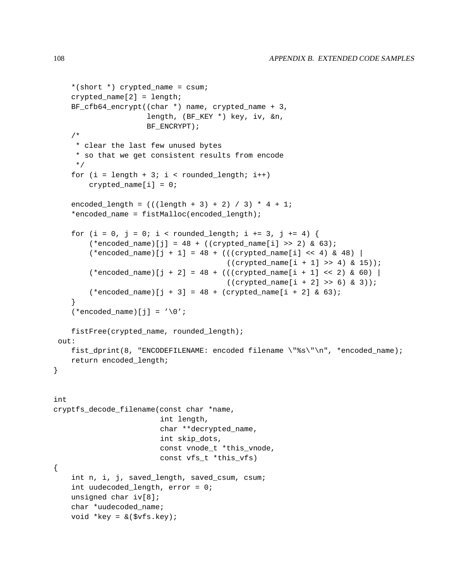```
*(short *) crypted_name = csum;
    crypted_name[2] = length;
    BF_cfb64_encrypt((char *) name, crypted_name + 3,
                     length, (BF_KEY *) key, iv, &n,
                     BF_ENCRYPT);
    /*
     * clear the last few unused bytes
     * so that we get consistent results from encode
     */
    for (i = length + 3; i < rounded_length; i++)crypted_name[i] = 0;
    encoded_length = (((\text{length} + 3) + 2) / 3) * 4 + 1;*encoded name = fistMalloc(encoded length);
   for (i = 0, j = 0; i < rounded_length; i += 3, j += 4) {
        (*encoded_name)[j] = 48 + ((crypted_name[i] >> 2) & 63);(*encoded_name)[j + 1] = 48 + ((crypted_name[i] << 4) & 48)((crypted_name[i + 1] >> 4) & 15));(*encoded_name)[j + 2] = 48 + (((crypted_name[i + 1] << 2) & 60)((crypted_name[i + 2] >> 6) & 3));(*encoded_name) [j + 3] = 48 + (crypted_name[i + 2] & 63);}
    (*encoded name)[j] = '\\0';fistFree(crypted_name, rounded_length);
 out:
   fist_dprint(8, "ENCODEFILENAME: encoded filename \"%s\"\n", *encoded_name);
   return encoded_length;
}
int
cryptfs_decode_filename(const char *name,
                        int length,
                        char **decrypted_name,
                        int skip_dots,
                        const vnode_t *this_vnode,
                        const vfs t *this vfs)
{
    int n, i, j, saved_length, saved_csum, csum;
    int uudecoded_length, error = 0;
   unsigned char iv[8];
    char *uudecoded_name;
   void *key = \&($vfs.key);
```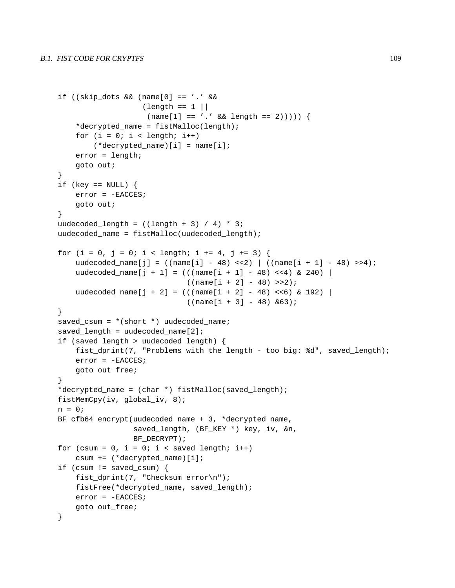```
if ((skip_dots && (name[0] == '.' &&
                   \left(\text{length} = 1 \right)(name[1] == '.' && length == 2))))*decrypted_name = fistMalloc(length);
    for (i = 0; i < length; i++)(*decrypted_name)[i] = name[i];
    error = length;
    goto out;
}
if (key == NULL) {
    error = -EACCES;
    goto out;
}
uudecoded_length = ((length + 3) / 4) * 3;uudecoded_name = fistMalloc(uudecoded_length);
for (i = 0, j = 0; i < length; i += 4, j += 3) {
    uudecoded_name[j] = ((name[i] - 48) << 2) ((name[i + 1] - 48) >> 4);uudecoded_name[j + 1] = (((name[i + 1] - 48) <<4) & 240) |
                              ((name[i + 2] - 48) >> 2);uudecoded_name[j + 2] = (((name[i + 2] - 48) <<6) & 192) |
                              ((name[i + 3] - 48) & 63);}
saved_csum = *(short *) uudecoded_name;
saved_length = uudecoded_name[2];
if (saved_length > uudecoded_length) {
    fist_dprint(7, "Problems with the length - too big: %d", saved_length);
    error = -EACCES;
    goto out_free;
}
*decrypted name = (char *) fistMalloc(saved length);
fistMemCpy(iv, global_iv, 8);
n = 0;BF_cfb64_encrypt(uudecoded_name + 3, *decrypted_name,
                 saved_length, (BF_KEY *) key, iv, &n,
                 BF_DECRYPT);
for (csum = 0, i = 0; i < saved_length; i++)
    csum += (*decrypted name)[i];
if (csum != saved_csum) {
    fist_dprint(7, "Checksum error\n");
    fistFree(*decrypted_name, saved_length);
    error = -EACCES;
    goto out_free;
}
```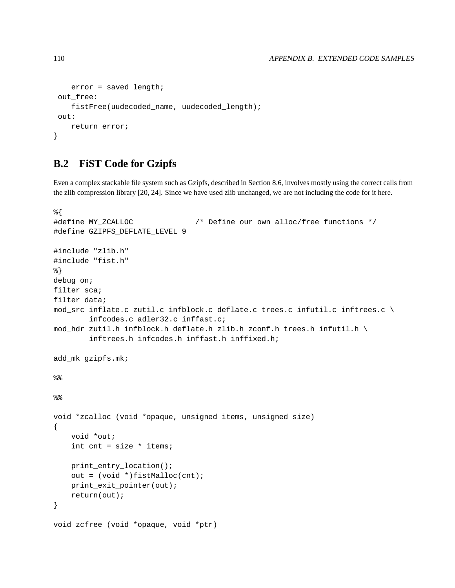```
error = saved_length;
out_free:
    fistFree(uudecoded_name, uudecoded_length);
out:
   return error;
}
```
## **B.2 FiST Code for Gzipfs**

Even a complex stackable file system such as Gzipfs, described in Section 8.6, involves mostly using the correct calls from the zlib compression library [20, 24]. Since we have used zlib unchanged, we are not including the code for it here.

```
%{
#define MY_ZCALLOC /* Define our own alloc/free functions */
#define GZIPFS_DEFLATE_LEVEL 9
#include "zlib.h"
#include "fist.h"
%}
debug on;
filter sca;
filter data;
mod_src inflate.c zutil.c infblock.c deflate.c trees.c infutil.c inftrees.c \
        infcodes.c adler32.c inffast.c;
mod_hdr zutil.h infblock.h deflate.h zlib.h zconf.h trees.h infutil.h \
        inftrees.h infcodes.h inffast.h inffixed.h;
add_mk gzipfs.mk;
%%void *zcalloc (void *opaque, unsigned items, unsigned size)
{
    void *out;
    int cnt = size * items;
    print_entry_location();
    out = (void *)fistMalloc(cnt);
    print_exit_pointer(out);
    return(out);
}
void zcfree (void *opaque, void *ptr)
```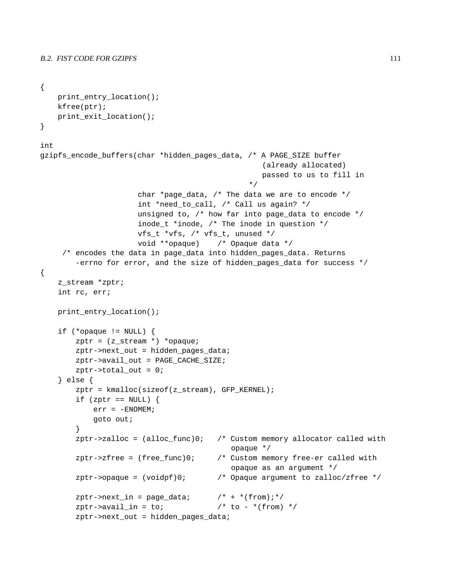```
{
   print_entry_location();
   kfree(ptr);
   print_exit_location();
}
int
gzipfs_encode_buffers(char *hidden_pages_data, /* A PAGE_SIZE buffer
                                                  (already allocated)
                                                  passed to us to fill in
                                               */
                      char *page_data, /* The data we are to encode */
                      int *need_to_call, /* Call us again? */
                      unsigned to, /* how far into page_data to encode */
                      inode_t *inode, /* The inode in question */
                      vfs_t *vfs, /* vfs_t, unused */
                      void **opaque) /* Opaque data */
     /* encodes the data in page_data into hidden_pages_data. Returns
        -errno for error, and the size of hidden pages data for success */{
    z_stream *zptr;
   int rc, err;
   print_entry_location();
    if (*opaque != NULL) {
        zptr = (z_stream *) *opaque;
        zptr->next_out = hidden_pages_data;
        zptr->avail_out = PAGE_CACHE_SIZE;
        zptr-\n total_out = 0;
    } else {
        zptr = kmalloc(sizeof(z_stream), GFP_KERNEL);
        if (zptr == NULL) {
            err = -ENOMEM;goto out;
        }
        zptr\rightarrow zalloc = (alloc\_func)0; /* Custom memory allocator called with
                                           opaque */
        zptr\rightarrow zfree = (free~func)0; /* Custom memory free-er called with
                                           opaque as an argument */
        zptr->opaque = (voidpf)0; /* Opaque argument to zalloc/zfree */
        zptr->next_in = page_data; /* + *(from); */
        zptr->avail in = to; / /* to - *(from) */
        zptr->next_out = hidden_pages_data;
```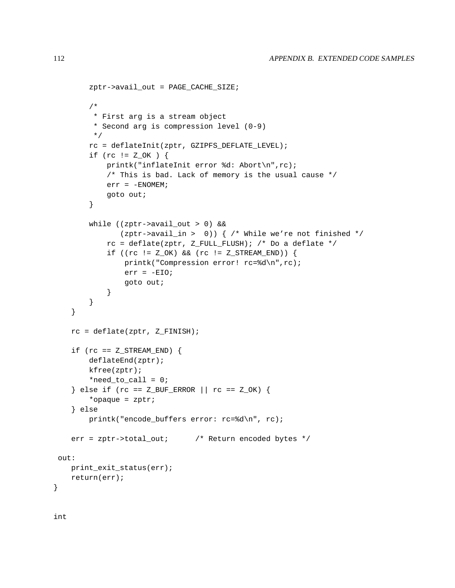```
zptr->avail_out = PAGE_CACHE_SIZE;
       /*
        * First arg is a stream object
        * Second arg is compression level (0-9)
        */
       rc = deflateInit(zptr, GZIPFS_DEFLATE_LEVEL);
       if (rc != Z_OK ) {
          printk("inflateInit error %d: Abort\n",rc);
           /* This is bad. Lack of memory is the usual cause */
           err = -ENOMEM;goto out;
       }
       while ((zptr->avail_out > 0) &&
              (zptr->avail_in > 0)) { /* While we're not finished */
           rc = deflate(zptr, Z_FULL_FLUSH); /* Do a deflate */
           if ((rc != Z_OK) && (rc != Z_STREAM_END)) {
               printk("Compression error! rc=%d\n",rc);
               err = -EIO;goto out;
           }
       }
   }
  rc = deflate(zptr, Z_FINISH);
  if (rc = = Z_STREAM_END) {
      deflateEnd(zptr);
      kfree(zptr);
       *need_to_call = 0;} else if (rc == Z_BUF_ERROR || rc == Z_OK) {
       *opaque = zptr;
   } else
      printk("encode_buffers error: rc=%d\n", rc);
  err = zptr->total_out; /* Return encoded bytes */
out:
  print_exit_status(err);
  return(err);
```
int

}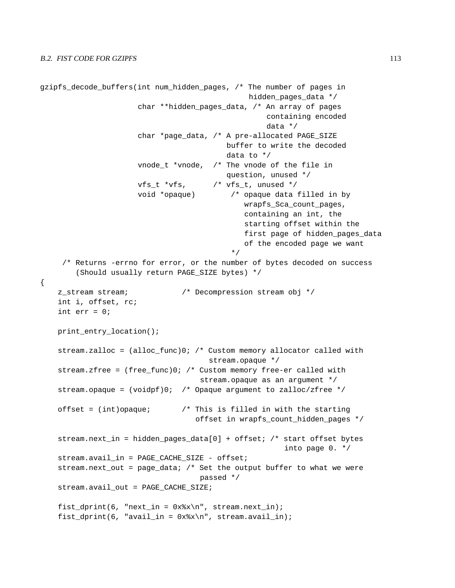```
gzipfs_decode_buffers(int num_hidden_pages, /* The number of pages in
                                               hidden_pages_data */
                      char **hidden_pages_data, /* An array of pages
                                                   containing encoded
                                                   data */
                      char *page_data, /* A pre-allocated PAGE_SIZE
                                         buffer to write the decoded
                                          data to */
                     vnode_t *vnode, /* The vnode of the file in
                                          question, unused */
                     vfs_t *vfs, /* vfs_t, unused */
                     void *opaque) /* opaque data filled in by
                                              wrapfs_Sca_count_pages,
                                              containing an int, the
                                              starting offset within the
                                              first page of hidden_pages_data
                                              of the encoded page we want
                                           */
     /* Returns -errno for error, or the number of bytes decoded on success
        (Should usually return PAGE_SIZE bytes) */
{
    z_stream stream; /* Decompression stream obj */
   int i, offset, rc;
    int err = 0;
   print_entry_location();
    stream.zalloc = (alloc_func)0; /* Custom memory allocator called with
                                     stream.opaque */
    stream.zfree = (free_func)0; /* Custom memory free-er called with
                                    stream.opaque as an argument */
    stream.opaque = (voidpf)0; /* Opaque argument to zalloc/zfree */
   offset = (int)opaque; /* This is filled in with the starting
                                   offset in wrapfs_count_hidden_pages */
    stream.next_in = hidden_pages_data[0] + offset; /* start offset bytes
                                                       into page 0. */
    stream.avail in = PAGE CACHE SIZE - offset;
    stream.next_out = page_data; /* Set the output buffer to what we were
                                   passed */
    stream.avail out = PAGE CACHE SIZE;
    fist dprint(6, "next in = 0x<sup>2</sup>x\n", stream.next in);
    fist_dprint(6, "avail_in = 0x*x\n", stream.avail_in);
```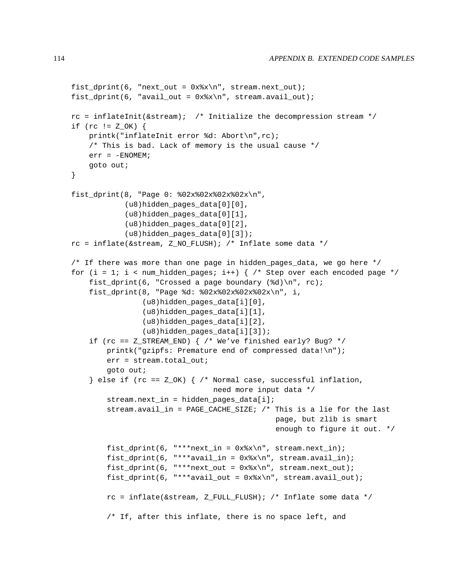```
first\_dprint(6, "next\_out = 0x*x\n", stream.next\_out);fist_dprint(6, "avail_out = 0x%x\n", stream.avail_out);
rc = inflateInit(\&stream); /* Initialize the decompression stream */
if (rc != Z_OK) {
    printk("inflateInit error %d: Abort\n",rc);
    /* This is bad. Lack of memory is the usual cause */
    err = -ENOMEM;goto out;
}
fist_dprint(8, "Page 0: %02x%02x%02x%02x\n",
            (u8)hidden_pages_data[0][0],
            (u8)hidden_pages_data[0][1],
            (u8)hidden_pages_data[0][2],
            (u8)hidden pages data[0][3]);
rc = inflate(Kstream, Z_NO_FLUSH); /* Inflate some data */
/* If there was more than one page in hidden_pages_data, we go here */
for (i = 1; i < num_hidden_pages; i++) { /* Step over each encoded page */
    fist_dprint(6, "Crossed a page boundary (\frac{d}{d})\n\cdot rc;
    fist_dprint(8, "Page %d: %02x%02x%02x%02x\n", i,
                (u8)hidden_pages_data[i][0],
                (u8)hidden_pages_data[i][1],
                (u8)hidden_pages_data[i][2],
                (u8)hidden_pages_data[i][3]);
    if (rc == Z_STREAM_END) { /* We've finished early? Bug? */
        printk("gzipfs: Premature end of compressed data!\n");
        err = stream.total out;
        goto out;
    } else if (rc = = Z_0K) { /* Normal case, successful inflation,
                                need more input data */
        stream.next_in = hidden_pages_data[i];
        stream.avail_in = PAGE_CACHE_SIZE; /* This is a lie for the last
                                               page, but zlib is smart
                                               enough to figure it out. */
        fist_dprint(6, "***next_in = 0x*x\n", stream.next_in);
        fist dprint(6, "***avail in = 0x*x\n", stream.avail in);
        first\_dprint(6, "***next\_out = 0x*x\n", stream.next\_out);fist_dprint(6, "***avail_out = 0x%x\n", stream.avail_out);
        rc = inflate(\&stream, Z_FULL_FLUSH); /* Inflate some data */
        /* If, after this inflate, there is no space left, and
```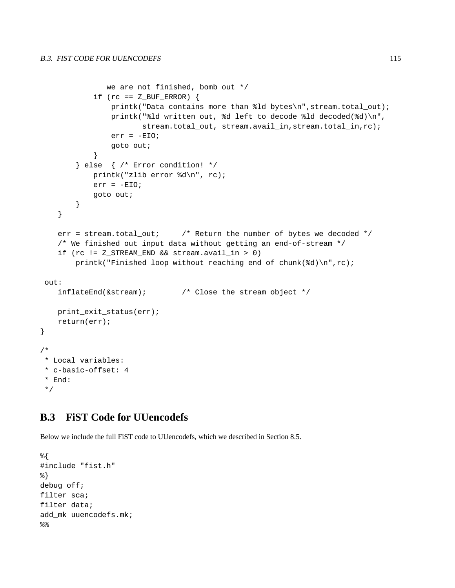```
we are not finished, bomb out */
           if (rc = = Z_BUF_RROR) {
               printk("Data contains more than %ld bytes\n",stream.total_out);
               printk("%ld written out, %d left to decode %ld decoded(%d)\n",
                       stream.total_out, stream.avail_in,stream.total_in,rc);
               err = -EIO;goto out;
            }
       } else { /* Error condition! */
           printk("zlib error %d\n", rc);
           err = -EIO;goto out;
       }
   }
   err = stream.total_out; /* Return the number of bytes we decoded */
   /* We finished out input data without getting an end-of-stream */
   if (rc != Z_STREAM_END && stream.avail_in > 0)
       printk("Finished loop without reaching end of chunk(%d)\n",rc);
out:
   inflateEnd(&stream); /* Close the stream object */
   print_exit_status(err);
   return(err);
/*
* Local variables:
* c-basic-offset: 4
* End:
*/
```
## **B.3 FiST Code for UUencodefs**

Below we include the full FiST code to UUencodefs, which we described in Section 8.5.

```
%{
#include "fist.h"
%}
debug off;
filter sca;
filter data;
add_mk uuencodefs.mk;
%
```
}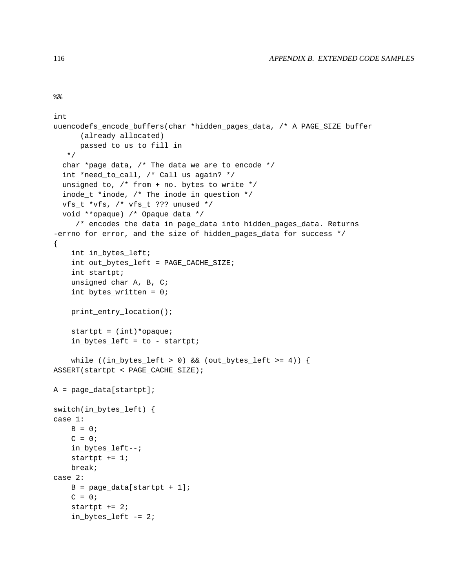```
%
```

```
int
uuencodefs_encode_buffers(char *hidden_pages_data, /* A PAGE_SIZE buffer
      (already allocated)
      passed to us to fill in
   */
  char *page_data, /* The data we are to encode */
  int *need_to_call, /* Call us again? */
  unsigned to, /* from + no. bytes to write */
  inode_t *inode, /* The inode in question */
  vfs_t *vfs, /* vfs_t ??? unused */
  void **opaque) /* Opaque data */
     /* encodes the data in page_data into hidden_pages_data. Returns
-errno for error, and the size of hidden_pages_data for success */
{
    int in_bytes_left;
    int out_bytes_left = PAGE_CACHE_SIZE;
    int startpt;
    unsigned char A, B, C;
    int bytes_written = 0;
   print_entry_location();
    startpt = (int)*opaque;
    in_bytes_left = to - startpt;
    while ((in_bytes_left > 0) && (out_bytes_left >= 4)) {
ASSERT(startpt < PAGE_CACHE_SIZE);
A = page_data[startpt];
switch(in_bytes_left) {
case 1:
   B = 0;C = 0;in_bytes_left--;
    startpt += 1;break;
case 2:
    B = page\_data[startpt + 1];C = 0;startpt += 2;in_bytes_left -= 2;
```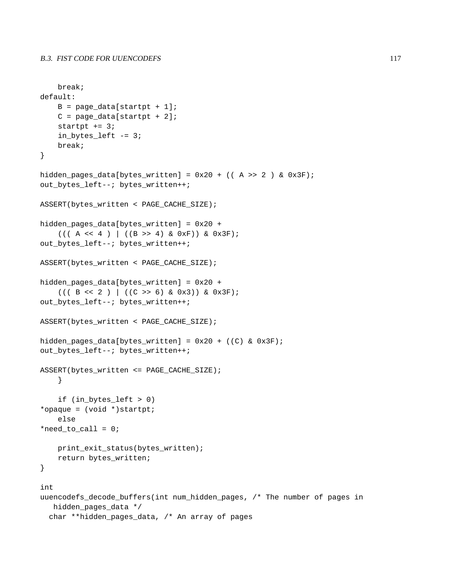```
break;
default:
    B = page_data[startpt + 1];C = page_data[startpt + 2];startpt += 3;in_bytes_left -= 3;
   break;
}
hidden_pages_data[bytes_written] = 0x20 + ((A >> 2) & (0x3F);
out_bytes_left--; bytes_written++;
ASSERT(bytes_written < PAGE_CACHE_SIZE);
hidden_pages_data[bytes_written] = 0x20 +
    (( (A \le 4) | ((B \ge 4) \& 0xF)) \& 0x3F);out_bytes_left--; bytes_written++;
ASSERT(bytes_written < PAGE_CACHE_SIZE);
hidden_pages_data[bytes_written] = 0x20 +
    (( (B << 2) ) ((C >> 6) & 0x3)) & (0x3F);out_bytes_left--; bytes_written++;
ASSERT(bytes_written < PAGE_CACHE_SIZE);
hidden_pages_data[bytes_written] = 0x20 + ((C) & 0x3F);
out_bytes_left--; bytes_written++;
ASSERT(bytes_written <= PAGE_CACHE_SIZE);
    }
    if (in_bytes_left > 0)
*opaque = (void *)startpt;
    else
*need_to_call = 0;print_exit_status(bytes_written);
    return bytes_written;
}
int
uuencodefs_decode_buffers(int num_hidden_pages, /* The number of pages in
   hidden pages data */
  char **hidden_pages_data, /* An array of pages
```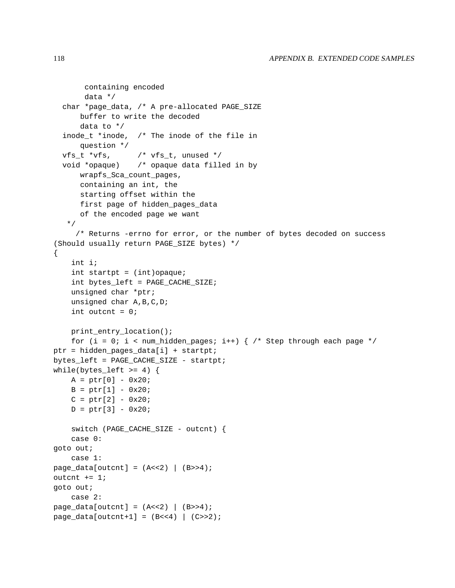```
containing encoded
       data */
  char *page_data, /* A pre-allocated PAGE_SIZE
      buffer to write the decoded
      data to */
  inode_t *inode, /* The inode of the file in
      question */
  vfs_t *vfs, \sqrt{\prime} vfs_t, unused */
  void *opaque) /* opaque data filled in by
      wrapfs_Sca_count_pages,
      containing an int, the
      starting offset within the
      first page of hidden_pages_data
      of the encoded page we want
   */
     /* Returns -errno for error, or the number of bytes decoded on success
(Should usually return PAGE_SIZE bytes) */
{
    int i;
    int startpt = (int)opaque;
    int bytes_left = PAGE_CACHE_SIZE;
    unsigned char *ptr;
    unsigned char A,B,C,D;
    int outcnt = 0;
   print_entry_location();
    for (i = 0; i < num_hidden_pages; i++) { /* Step through each page */
ptr = hidden_pages_data[i] + startpt;
bytes left = PAGE CACHE SIZE - startpt;
while(bytes_left >= 4) {
    A = ptr[0] - 0x20;B = ptr[1] - 0x20;C = ptr[2] - 0x20;D = ptr[3] - 0x20;switch (PAGE_CACHE_SIZE - outcnt) {
    case 0:
goto out;
    case 1:
page\_data[output] = (A<<2) | (B>>4);outcnt += 1;
goto out;
    case 2:
page data[outcnt] = (A<<2) | (B>>4);
page\_data[outcnt+1] = (B<<4) | (C>>2);
```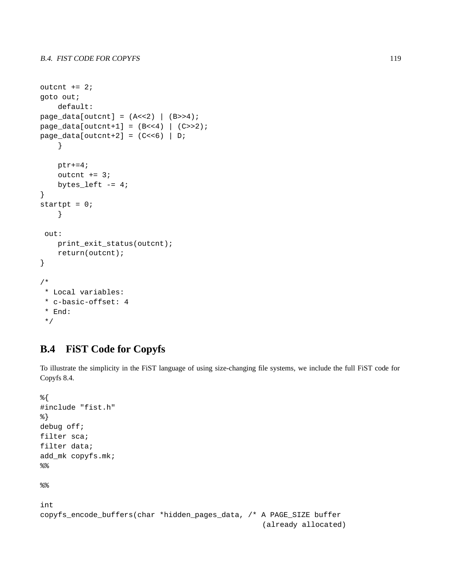```
outcnt += 2;goto out;
    default:
page\_data[output] = (A<<2) | (B>>4);page\_data[outcnt+1] = (B<<4) | (C>>2);page_data[outcnt+2] = (C<<6) | D;
    }
   ptr+=4;outcnt += 3;
   bytes_left -= 4;}
startpt = 0;
    }
 out:
    print_exit_status(outcnt);
    return(outcnt);
}
/*
 * Local variables:
 * c-basic-offset: 4
 * End:
 */
```
## **B.4 FiST Code for Copyfs**

To illustrate the simplicity in the FiST language of using size-changing file systems, we include the full FiST code for Copyfs 8.4.

```
%{
#include "fist.h"
%}
debug off;
filter sca;
filter data;
add_mk copyfs.mk;
%%int
copyfs_encode_buffers(char *hidden_pages_data, /* A PAGE_SIZE buffer
                                                   (already allocated)
```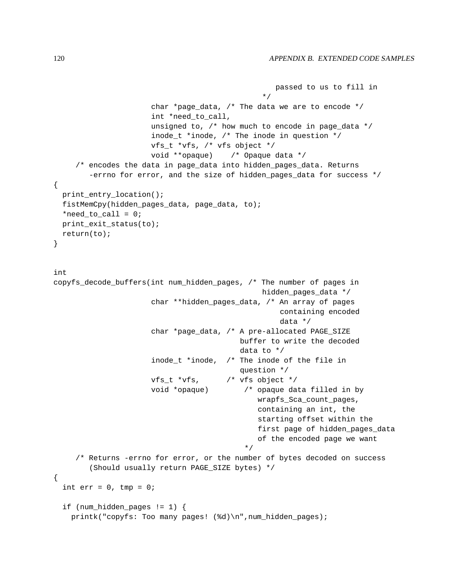```
passed to us to fill in
                                               */
                      char *page_data, /* The data we are to encode */
                      int *need_to_call,
                      unsigned to, /* how much to encode in page_data */
                      inode_t *inode, /* The inode in question */
                      vfs_t *vfs, /* vfs object */
                      void **opaque) /* Opaque data */
     /* encodes the data in page_data into hidden_pages_data. Returns
        -errno for error, and the size of hidden_pages_data for success */
{
 print_entry_location();
  fistMemCpy(hidden_pages_data, page_data, to);
  *need_to_call = 0;print_exit_status(to);
 return(to);
}
int
copyfs_decode_buffers(int num_hidden_pages, /* The number of pages in
                                               hidden_pages_data */
                      char **hidden_pages_data, /* An array of pages
                                                   containing encoded
                                                   data */
                      char *page_data, /* A pre-allocated PAGE_SIZE
                                          buffer to write the decoded
                                          data to */
                      inode t *inode, /* The inode of the file in
                                          question */
                      vfs_t *vfs, /* vfs object */
                      void *opaque) /* opaque data filled in by
                                              wrapfs_Sca_count_pages,
                                              containing an int, the
                                              starting offset within the
                                              first page of hidden_pages_data
                                              of the encoded page we want
                                           */
     /* Returns -errno for error, or the number of bytes decoded on success
        (Should usually return PAGE_SIZE bytes) */
{
  int err = 0, tmp = 0;
  if (num hidden pages != 1) {
   printk("copyfs: Too many pages! (%d)\n",num_hidden_pages);
```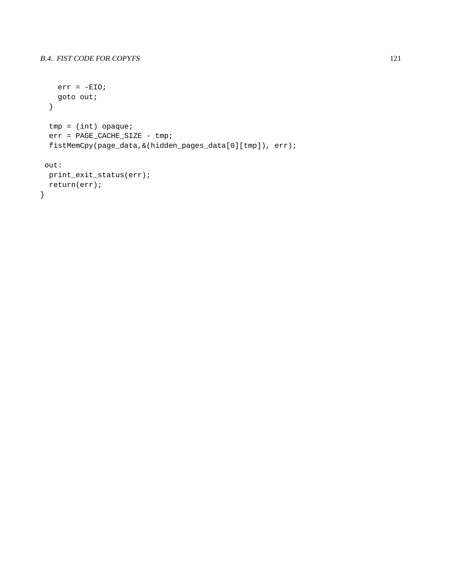```
err = -EIO;goto out;
  }
  tmp = (int) opaque;
  err = PAGE_CACHE_SIZE - tmp;
  fistMemCpy(page_data,&(hidden_pages_data[0][tmp]), err);
 out:
 print_exit_status(err);
 return(err);
}
```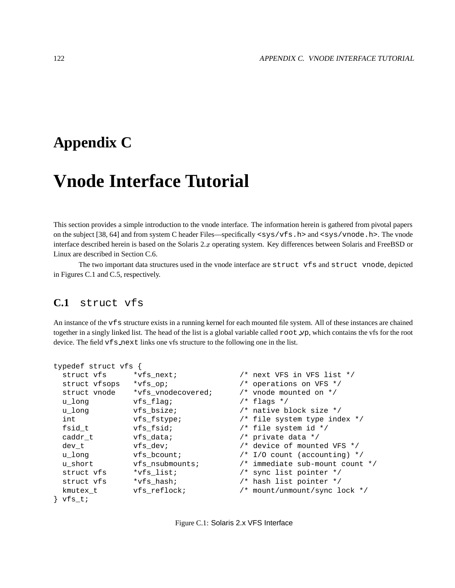## **Appendix C**

# **Vnode Interface Tutorial**

This section provides a simple introduction to the vnode interface. The information herein is gathered from pivotal papers on the subject [38, 64] and from system C header Files—specifically <sys/vfs.h> and <sys/vnode.h>. The vnode interface described herein is based on the Solaris  $2.x$  operating system. Key differences between Solaris and FreeBSD or Linux are described in Section C.6.

The two important data structures used in the vnode interface are struct vfs and struct vnode, depicted in Figures C.1 and C.5, respectively.

## **C.1** struct vfs

An instance of the vfs structure exists in a running kernel for each mounted file system. All of these instances are chained together in a singly linked list. The head of the list is a global variable called root vp, which contains the vfs for the root device. The field vfs\_next links one vfs structure to the following one in the list.

```
typedef struct vfs {
 struct vfs *vfs_next; /* next VFS in VFS list */
 struct vfsops *vfs_op; \sqrt{x} operations on VFS */
 struct vnode *vfs_vnodecovered;    /* vnode mounted on */
 u long vfs flag; / flags */u_long vfs_bsize; /* native block size */
 int vfs_fstype; /* file system type index */
 fsid_t vfs_fsid; /* file system id */
 caddr t vfs data; v^* private data \star/
 dev t vfs\ devi /* device of mounted VFS */
 u_long vfs_bcount; /* I/O count (accounting) */
 u_short vfs_nsubmounts; /* immediate sub-mount count */
 struct vfs *vfs_list; /* sync list pointer */
 struct vfs *vfs_hash; /* hash list pointer */
 kmutex_t vfs_reflock; /* mount/unmount/sync lock */
} vfs t;
```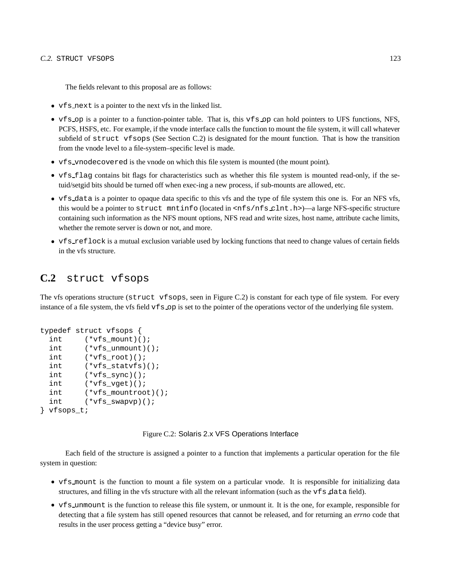The fields relevant to this proposal are as follows:

- vfs next is a pointer to the next vfs in the linked list.
- vfs op is a pointer to a function-pointer table. That is, this vfs op can hold pointers to UFS functions, NFS, PCFS, HSFS, etc. For example, if the vnode interface calls the function to mount the file system, it will call whatever subfield of struct vfsops (See Section C.2) is designated for the mount function. That is how the transition from the vnode level to a file-system–specific level is made.
- vfs vnodecovered is the vnode on which this file system is mounted (the mount point).
- vfs flag contains bit flags for characteristics such as whether this file system is mounted read-only, if the setuid/setgid bits should be turned off when exec-ing a new process, if sub-mounts are allowed, etc.
- vfs data is a pointer to opaque data specific to this vfs and the type of file system this one is. For an NFS vfs, this would be a pointer to struct mntinfo (located in <nfs/nfs clnt.h>)—a large NFS-specific structure containing such information as the NFS mount options, NFS read and write sizes, host name, attribute cache limits, whether the remote server is down or not, and more.
- vfs reflock is a mutual exclusion variable used by locking functions that need to change values of certain fields in the vfs structure.

## **C.2** struct vfsops

The vfs operations structure (struct vfsops, seen in Figure C.2) is constant for each type of file system. For every instance of a file system, the vfs field  $\sqrt{5}$  op is set to the pointer of the operations vector of the underlying file system.

```
typedef struct vfsops {
 int (*vfs mount)();
 int (*vfs_unmount)();
 int (*vfs_root)();
 int (*vfs_statvfs)();
 int (*vfs_sync)();
 int (*vfs_vget)();
 int (*vfs_mountroot)();
 int (*vfs_swapvp)();
} vfsops_t;
```
Figure C.2: Solaris 2.x VFS Operations Interface

Each field of the structure is assigned a pointer to a function that implements a particular operation for the file system in question:

- vfs mount is the function to mount a file system on a particular vnode. It is responsible for initializing data structures, and filling in the vfs structure with all the relevant information (such as the vfs data field).
- vfs unmount is the function to release this file system, or unmount it. It is the one, for example, responsible for detecting that a file system has still opened resources that cannot be released, and for returning an *errno* code that results in the user process getting a "device busy" error.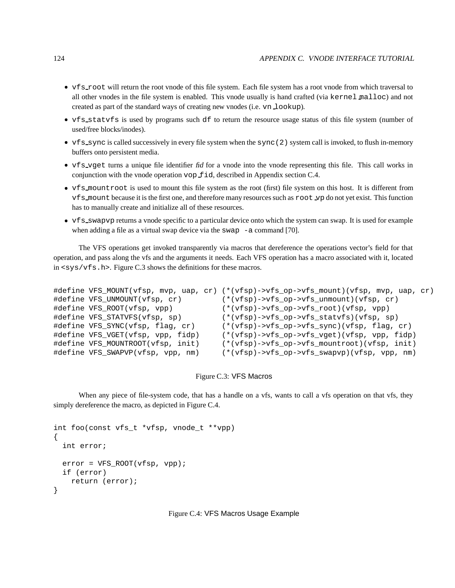- vfs root will return the root vnode of this file system. Each file system has a root vnode from which traversal to all other vnodes in the file system is enabled. This vnode usually is hand crafted (via kernel malloc) and not created as part of the standard ways of creating new vnodes (i.e. vn lookup).
- vfs statvfs is used by programs such df to return the resource usage status of this file system (number of used/free blocks/inodes).
- vfs\_sync is called successively in every file system when the sync(2) system call is invoked, to flush in-memory buffers onto persistent media.
- vfs\_vget turns a unique file identifier fid for a vnode into the vnode representing this file. This call works in conjunction with the vnode operation vop fid, described in Appendix section C.4.
- vfs mountroot is used to mount this file system as the root (first) file system on this host. It is different from vfs mount because it is the first one, and therefore many resourcessuch as root vp do not yet exist. Thisfunction has to manually create and initialize all of these resources.
- vfs\_swapvp returns a vnode specific to a particular device onto which the system can swap. It is used for example when adding a file as a virtual swap device via the swap  $-$ a command [70].

The VFS operations get invoked transparently via macros that dereference the operations vector's field for that operation, and pass along the vfs and the arguments it needs. Each VFS operation has a macro associated with it, located in <sys/vfs.h>. Figure C.3 shows the definitions for these macros.

```
#define VFS_MOUNT(vfsp, mvp, uap, cr) (*(vfsp)->vfs_op->vfs_mount)(vfsp, mvp, uap, cr)
#define VFS_UNMOUNT(vfsp, cr) (*(vfsp)->vfs_op->vfs_unmount)(vfsp, cr)
#define VFS_ROOT(vfsp, vpp) (*(vfsp)->vfs_op->vfs_root)(vfsp, vpp)
#define VFS_STATVFS(vfsp, sp) (*(vfsp)->vfs_op->vfs_statvfs)(vfsp, sp)
#define VFS_SYNC(vfsp, flag, cr) (*(vfsp)->vfs_op->vfs_sync)(vfsp, flag, cr)
#define VFS_VGET(vfsp, vpp, fidp) (*(vfsp)->vfs_op->vfs_vget)(vfsp, vpp, fidp)
#define VFS_MOUNTROOT(vfsp, init) (*(vfsp)->vfs_op->vfs_mountroot)(vfsp, init)
#define VFS_SWAPVP(vfsp, vpp, nm) (*(vfsp)->vfs_op->vfs_swapvp)(vfsp, vpp, nm)
```
#### Figure C.3: VFS Macros

When any piece of file-system code, that has a handle on a vfs, wants to call a vfs operation on that vfs, they simply dereference the macro, as depicted in Figure C.4.

```
int foo(const vfs_t *vfsp, vnode_t **vpp)
{
 int error;
 error = VFS_ROOT(vfsp, vpp);if (error)
    return (error);
}
```
Figure C.4: VFS Macros Usage Example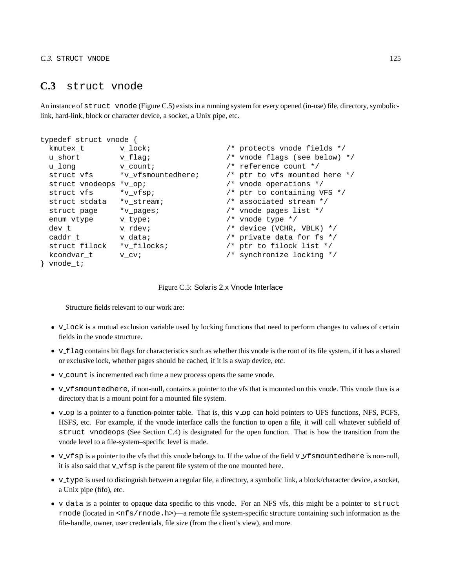## **C.3** struct vnode

An instance of struct vnode (Figure C.5) exists in a running system for every opened (in-use) file, directory, symboliclink, hard-link, block or character device, a socket, a Unix pipe, etc.

| typedef struct vnode { |                    |                                   |
|------------------------|--------------------|-----------------------------------|
| kmutex t               | v lock;            | /* protects vnode fields */       |
| u short                | v flag;            | $/*$ vnode flags (see below) */   |
| u long                 | v count;           | /* reference count */             |
| struct vfs             | *v vfsmountedhere; | $/*$ ptr to vfs mounted here $*/$ |
| struct vnodeops        | $*_{V}$ op;        | $/*$ vnode operations $*/$        |
| struct vfs             | *v vfsp;           | $/*$ ptr to containing VFS $*/$   |
| struct stdata          | *v stream;         | /* associated stream */           |
| struct page            | *v pages;          | $/*$ vnode pages list $*/$        |
| enum vtype             | v type;            | $/*$ vnode type $*/$              |
| dev t                  | v rdev;            | $/*$ device (VCHR, VBLK) */       |
| caddr t                | v data;            | /* private data for fs $*/$       |
| struct filock          | *v filocks;        | $/*$ ptr to filock list $*/$      |
| kcondvar t             | v cv;              | /* synchronize locking */         |
| vnode t;               |                    |                                   |

Figure C.5: Solaris 2.x Vnode Interface

Structure fields relevant to our work are:

- v\_lock is a mutual exclusion variable used by locking functions that need to perform changes to values of certain fields in the vnode structure.
- v\_flag contains bit flags for characteristics such as whether this vnode is the root of its file system, if it has a shared or exclusive lock, whether pages should be cached, if it is a swap device, etc.
- v count is incremented each time a new process opens the same vnode.
- v\_vfsmountedhere, if non-null, contains a pointer to the vfs that is mounted on this vnode. This vnode thus is a directory that is a mount point for a mounted file system.
- v op is a pointer to a function-pointer table. That is, this v op can hold pointers to UFS functions, NFS, PCFS, HSFS, etc. For example, if the vnode interface calls the function to open a file, it will call whatever subfield of struct vnodeops (See Section C.4) is designated for the open function. That is how the transition from the vnode level to a file-system–specific level is made.
- v\_vfsp is a pointer to the vfs that this vnode belongs to. If the value of the field v  $\vee$  f smountedhere is non-null, it is also said that  $v$  vfsp is the parent file system of the one mounted here.
- v type is used to distinguish between a regular file, a directory, a symbolic link, a block/character device, a socket, a Unix pipe (fifo), etc.
- v data is a pointer to opaque data specific to this vnode. For an NFS vfs, this might be a pointer to struct rnode (located in <nfs/rnode.h>)—a remote file system-specific structure containing such information as the file-handle, owner, user credentials, file size (from the client's view), and more.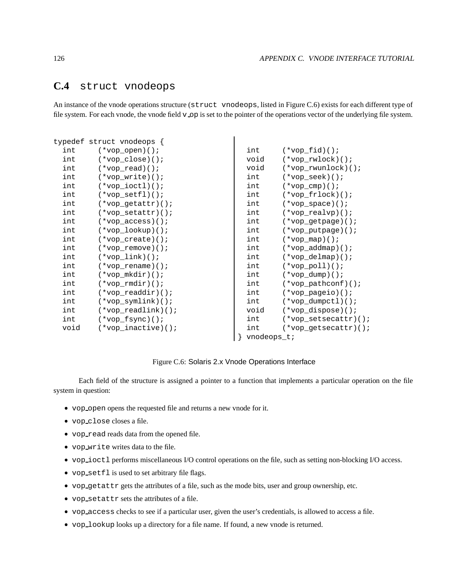## **C.4** struct vnodeops

An instance of the vnode operations structure (struct vnodeops, listed in Figure C.6) exists for each different type of file system. For each vnode, the vnode field v op is set to the pointer of the operations vector of the underlying file system.

|      | typedef struct vnodeops { |                |                        |
|------|---------------------------|----------------|------------------------|
| int  | $(*vop\_open)()$          | int            | $(*vop_fid)():$        |
| int  | $(*vop\_close)()$         | void           | $(*vop_rwlock)($       |
| int  | $(*vop\_read)()$ ;        | void           | $(*vop_rwunlock)()$    |
| int  | $(*vop_write)()$          | int            | $(*vop\_seek)()$       |
| int  | $(*vop\_ioctl)()$         | int            | $(*vop_{ump})($        |
| int  | $(*vop_setfl)()$ ;        | int            | $(*vop_frdock)()$      |
| int  | $(*vop_getattr)()$        | int            | $(*vop\_space)()$      |
| int  | $(*vop setattr)()$        | int            | $(*vop realvp)():$     |
| int  | $(*vop_access)()$         | int            | $(*vop_getpage)()$     |
| int  | $(*vop\_lookup)()$        | int            | $(*vop\_putpage)()$    |
| int  | $(*vop_create)()$         | int            | $(*vop_map)($          |
| int  | $(*vop\_remove)()$        | int            | $(*vop\_addmap)()$     |
| int  | $(*vop\_link)()$          | int            | $(*vop\_delmap)()$     |
| int  | $(*vop_r$ rename $)()$ ;  | int            | $(*vop\_pol1)($        |
| int  | $(*vop_mkdir)()$          | int            | $(*vop\_dump)()$ ;     |
| int  | $(*vop_rmdir)()$          | int            | $(*vop\_pathconf)()$   |
| int  | $(*vop_readdir)()$        | int            | $(*vop\_pageio)()$     |
| int  | $(*vop_symlink)()$        | int            | $(*vop\_dumpctl)()$    |
| int  | $(*vop\_readlink)()$      | void           | $(*vop\_dispose)()$    |
| int  | $(*vop_fsymc)$ ();        | int            | $(*vop_setsecattr)()$  |
| void | $(*vop inactive)()$       | int            | $(*vop$ qetsecattr)(); |
|      |                           | $v$ nodeops_t; |                        |

Figure C.6: Solaris 2.x Vnode Operations Interface

Each field of the structure is assigned a pointer to a function that implements a particular operation on the file system in question:

- vop open opens the requested file and returns a new vnode for it.
- vop close closes a file.
- vop read reads data from the opened file.
- vop write writes data to the file.
- vop ioctl performs miscellaneous I/O control operations on the file, such as setting non-blocking I/O access.
- vop setfl is used to set arbitrary file flags.
- vop getattr gets the attributes of a file, such as the mode bits, user and group ownership, etc.
- vop setattr sets the attributes of a file.
- vop access checks to see if a particular user, given the user's credentials, is allowed to access a file.
- vop lookup looks up a directory for a file name. If found, a new vnode is returned.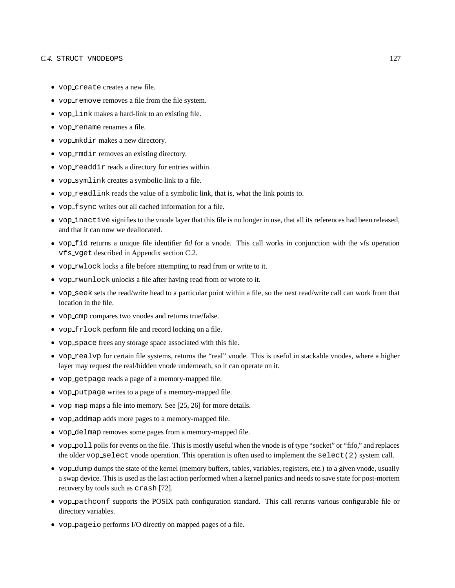#### C.4. STRUCT VNODEOPS 127

- vop create creates a new file.
- vop remove removes a file from the file system.
- vop link makes a hard-link to an existing file.
- vop rename renames a file.
- vop mkdir makes a new directory.
- vop rmdir removes an existing directory.
- vop readdir reads a directory for entries within.
- vop symlink creates a symbolic-link to a file.
- vop readlink reads the value of a symbolic link, that is, what the link points to.
- vop fsync writes out all cached information for a file.
- vop inactive signifies to the vnode layer that this file is no longer in use, that all its references had been released, and that it can now we deallocated.
- vop fid returns a unique file identifier fid for a vnode. This call works in conjunction with the vfs operation vfs vget described in Appendix section C.2.
- vop rwlock locks a file before attempting to read from or write to it.
- vop rwunlock unlocks a file after having read from or wrote to it.
- vop seek sets the read/write head to a particular point within a file, so the next read/write call can work from that location in the file.
- vop cmp compares two vnodes and returns true/false.
- vop frlock perform file and record locking on a file.
- vop space frees any storage space associated with this file.
- vop realvp for certain file systems, returns the "real" vnode. This is useful in stackable vnodes, where a higher layer may request the real/hidden vnode underneath, so it can operate on it.
- vop getpage reads a page of a memory-mapped file.
- vop putpage writes to a page of a memory-mapped file.
- vop map maps a file into memory. See [25, 26] for more details.
- vop addmap adds more pages to a memory-mapped file.
- vop delmap removes some pages from a memory-mapped file.
- vop poll polls for events on the file. This is mostly useful when the vnode is of type "socket" or "fifo," and replaces the older vop select vnode operation. This operation is often used to implement the select(2) system call.
- vop dump dumps the state of the kernel (memory buffers, tables, variables, registers, etc.) to a given vnode, usually a swap device. This is used as the last action performed when a kernel panics and needs to save state for post-mortem recovery by tools such as crash [72].
- vop pathconf supports the POSIX path configuration standard. This call returns various configurable file or directory variables.
- vop pageio performs I/O directly on mapped pages of a file.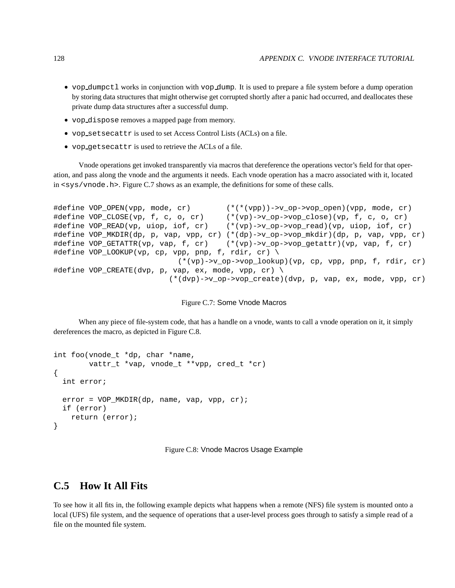- vop dumpctl works in conjunction with vop dump. It is used to prepare a file system before a dump operation by storing data structures that might otherwise get corrupted shortly after a panic had occurred, and deallocates these private dump data structures after a successful dump.
- vop dispose removes a mapped page from memory.
- vop setsecattr is used to set Access Control Lists (ACLs) on a file.
- vop getsecattr is used to retrieve the ACLs of a file.

Vnode operations get invoked transparently via macros that dereference the operations vector's field for that operation, and pass along the vnode and the arguments it needs. Each vnode operation has a macro associated with it, located in  $\langle$ sys/vnode.h>. Figure C.7 shows as an example, the definitions for some of these calls.

```
#define VOP_OPEN(vpp, mode, cr) (*(*(vpp))->v_op->vop_open)(vpp, mode, cr)
#define VOP_CLOSE(vp, f, c, o, cr) (*(vp)->v_op->vop_close)(vp, f, c, o, cr)
#define VOP_READ(vp, uiop, iof, cr) (*(vp)->v_op->vop_read)(vp, uiop, iof, cr)
#define VOP_MKDIR(dp, p, vap, vpp, cr) (*(dp)->v_op->vop_mkdir)(dp, p, vap, vpp, cr)
#define VOP_GETATTR(vp, vap, f, cr) (*(vp)->v_op->vop_getattr)(vp, vap, f, cr)
#define VOP_LOOKUP(vp, cp, vpp, pnp, f, rdir, cr) \
                           (*(vp)->v_op->vop_lookup)(vp, cp, vpp, pnp, f, rdir, cr)
#define VOP_CREATE(dvp, p, vap, ex, mode, vpp, cr) \
                         (*(dvp)->v_op->vop_create)(dvp, p, vap, ex, mode, vpp, cr)
```
#### Figure C.7: Some Vnode Macros

When any piece of file-system code, that has a handle on a vnode, wants to call a vnode operation on it, it simply dereferences the macro, as depicted in Figure C.8.

```
int foo(vnode_t *dp, char *name,
        vattr_t *vap, vnode_t **vpp, cred_t *cr)
{
 int error;
 error = VOP_MKDIR(dp, name, vap, vpp, cr);
 if (error)
   return (error);
}
```
Figure C.8: Vnode Macros Usage Example

## **C.5 How It All Fits**

To see how it all fits in, the following example depicts what happens when a remote (NFS) file system is mounted onto a local (UFS) file system, and the sequence of operations that a user-level process goes through to satisfy a simple read of a file on the mounted file system.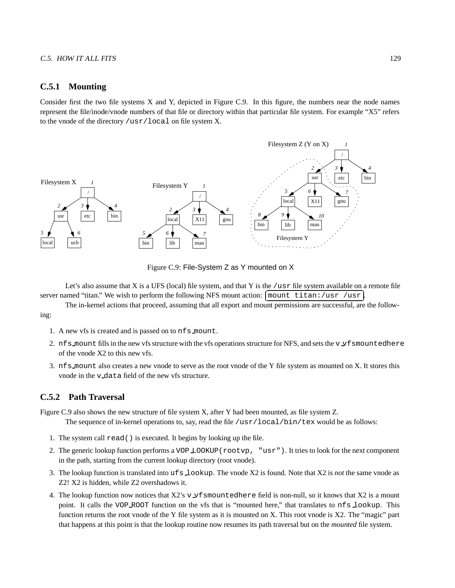## **C.5.1 Mounting**

Consider first the two file systems X and Y, depicted in Figure C.9. In this figure, the numbers near the node names represent the file/inode/vnode numbers of that file or directory within that particular file system. For example "X5" refers to the vnode of the directory /usr/local on file system X.



Figure C.9: File-System Z as Y mounted on X

Let's also assume that X is a UFS (local) file system, and that Y is the /usr file system available on a remote file server named "titan." We wish to perform the following NFS mount action:  $\lceil \text{mount} \rceil$  titan:/usr /usr

The in-kernel actions that proceed, assuming that all export and mount permissions are successful, are the following:

- 1. A new vfs is created and is passed on to nfs mount.
- 2. nfs mount fills in the new vfs structure with the vfs operations structure for NFS, and sets the v *x* f smountedhere of the vnode X2 to this new vfs.
- 3. nfs mount also creates a new vnode to serve as the root vnode of the Y file system as mounted on X. It stores this vnode in the v data field of the new vfs structure.

## **C.5.2 Path Traversal**

Figure C.9 also shows the new structure of file system X, after Y had been mounted, as file system Z.

The sequence of in-kernel operations to, say, read the file /usr/local/bin/tex would be as follows:

- 1. The system call read() is executed. It begins by looking up the file.
- 2. The generic lookup function performs a VOP LOOKUP(rootvp, "usr"). It tries to look for the next component in the path, starting from the current lookup directory (root vnode).
- 3. The lookup function is translated into ufs lookup. The vnode X2 is found. Note that X2 is *not* the same vnode as Z2! X2 is hidden, while Z2 overshadows it.
- 4. The lookup function now notices that  $X2$ 's v vfsmountedhere field is non-null, so it knows that  $X2$  is a mount point. It calls the VOP ROOT function on the vfs that is "mounted here," that translates to nfs lookup. This function returns the root vnode of the Y file system as it is mounted on X. This root vnode is X2. The "magic" part that happens at this point is that the lookup routine now resumes its path traversal but on the *mounted* file system.